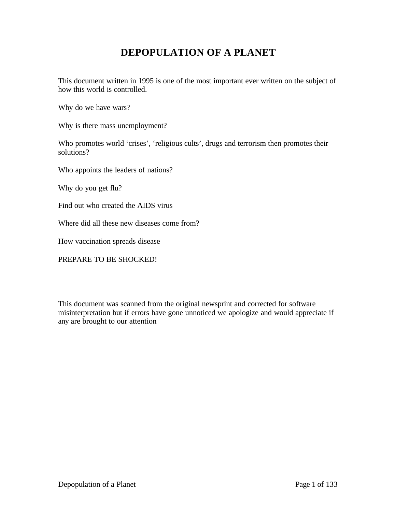# **DEPOPULATION OF A PLANET**

This document written in 1995 is one of the most important ever written on the subject of how this world is controlled.

Why do we have wars?

Why is there mass unemployment?

Who promotes world 'crises', 'religious cults', drugs and terrorism then promotes their solutions?

Who appoints the leaders of nations?

Why do you get flu?

Find out who created the AIDS virus

Where did all these new diseases come from?

How vaccination spreads disease

PREPARE TO BE SHOCKED!

This document was scanned from the original newsprint and corrected for software misinterpretation but if errors have gone unnoticed we apologize and would appreciate if any are brought to our attention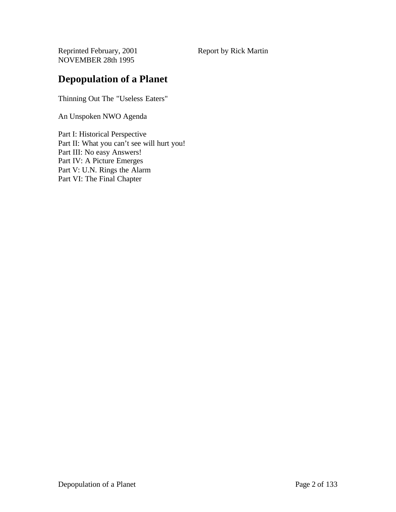Reprinted February, 2001 Report by Rick Martin NOVEMBER 28th 1995

# **Depopulation of a Planet**

Thinning Out The "Useless Eaters"

An Unspoken NWO Agenda

Part I: Historical Perspective Part II: What you can't see will hurt you! Part III: No easy Answers! Part IV: A Picture Emerges Part V: U.N. Rings the Alarm Part VI: The Final Chapter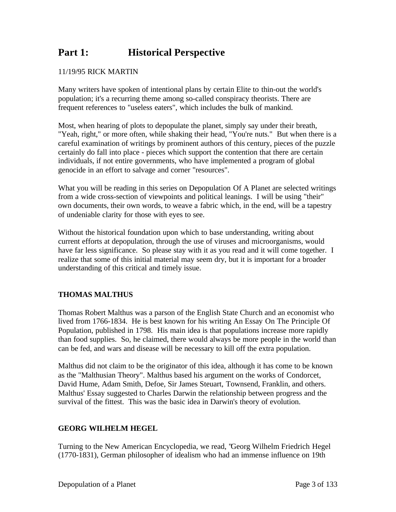# **Part 1: Historical Perspective**

#### 11/19/95 RICK MARTIN

Many writers have spoken of intentional plans by certain Elite to thin-out the world's population; it's a recurring theme among so-called conspiracy theorists. There are frequent references to "useless eaters", which includes the bulk of mankind.

Most, when hearing of plots to depopulate the planet, simply say under their breath, "Yeah, right," or more often, while shaking their head, "You're nuts." But when there is a careful examination of writings by prominent authors of this century, pieces of the puzzle certainly do fall into place - pieces which support the contention that there are certain individuals, if not entire governments, who have implemented a program of global genocide in an effort to salvage and corner "resources".

What you will be reading in this series on Depopulation Of A Planet are selected writings from a wide cross-section of viewpoints and political leanings. I will be using "their" own documents, their own words, to weave a fabric which, in the end, will be a tapestry of undeniable clarity for those with eyes to see.

Without the historical foundation upon which to base understanding, writing about current efforts at depopulation, through the use of viruses and microorganisms, would have far less significance. So please stay with it as you read and it will come together. I realize that some of this initial material may seem dry, but it is important for a broader understanding of this critical and timely issue.

## **THOMAS MALTHUS**

Thomas Robert Malthus was a parson of the English State Church and an economist who lived from 1766-1834. He is best known for his writing An Essay On The Principle Of Population, published in 1798. His main idea is that populations increase more rapidly than food supplies. So, he claimed, there would always be more people in the world than can be fed, and wars and disease will be necessary to kill off the extra population.

Malthus did not claim to be the originator of this idea, although it has come to be known as the "Malthusian Theory". Malthus based his argument on the works of Condorcet, David Hume, Adam Smith, Defoe, Sir James Steuart, Townsend, Franklin, and others. Malthus' Essay suggested to Charles Darwin the relationship between progress and the survival of the fittest. This was the basic idea in Darwin's theory of evolution.

## **GEORG WILHELM HEGEL**

Turning to the New American Encyclopedia, we read, "Georg Wilhelm Friedrich Hegel (1770-1831), German philosopher of idealism who had an immense influence on 19th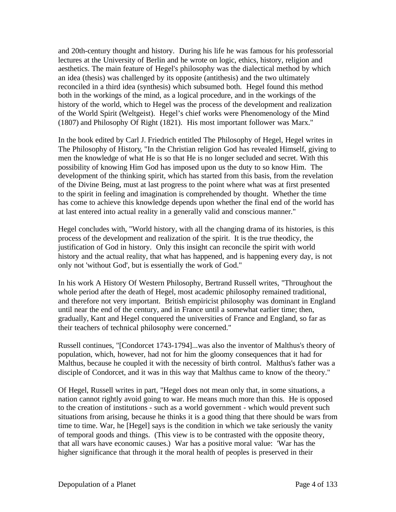and 20th-century thought and history. During his life he was famous for his professorial lectures at the University of Berlin and he wrote on logic, ethics, history, religion and aesthetics. The main feature of Hegel's philosophy was the dialectical method by which an idea (thesis) was challenged by its opposite (antithesis) and the two ultimately reconciled in a third idea (synthesis) which subsumed both. Hegel found this method both in the workings of the mind, as a logical procedure, and in the workings of the history of the world, which to Hegel was the process of the development and realization of the World Spirit (Weltgeist). Hegel's chief works were Phenomenology of the Mind (1807) and Philosophy Of Right (1821). His most important follower was Marx."

In the book edited by Carl J. Friedrich entitled The Philosophy of Hegel, Hegel writes in The Philosophy of History, "In the Christian religion God has revealed Himself, giving to men the knowledge of what He is so that He is no longer secluded and secret. With this possibility of knowing Him God has imposed upon us the duty to so know Him. The development of the thinking spirit, which has started from this basis, from the revelation of the Divine Being, must at last progress to the point where what was at first presented to the spirit in feeling and imagination is comprehended by thought. Whether the time has come to achieve this knowledge depends upon whether the final end of the world has at last entered into actual reality in a generally valid and conscious manner."

Hegel concludes with, "World history, with all the changing drama of its histories, is this process of the development and realization of the spirit. It is the true theodicy, the justification of God in history. Only this insight can reconcile the spirit with world history and the actual reality, that what has happened, and is happening every day, is not only not 'without God', but is essentially the work of God."

In his work A History Of Western Philosophy, Bertrand Russell writes, "Throughout the whole period after the death of Hegel, most academic philosophy remained traditional, and therefore not very important. British empiricist philosophy was dominant in England until near the end of the century, and in France until a somewhat earlier time; then, gradually, Kant and Hegel conquered the universities of France and England, so far as their teachers of technical philosophy were concerned."

Russell continues, "[Condorcet 1743-1794]...was also the inventor of Malthus's theory of population, which, however, had not for him the gloomy consequences that it had for Malthus, because he coupled it with the necessity of birth control. Malthus's father was a disciple of Condorcet, and it was in this way that Malthus came to know of the theory."

Of Hegel, Russell writes in part, "Hegel does not mean only that, in some situations, a nation cannot rightly avoid going to war. He means much more than this. He is opposed to the creation of institutions - such as a world government - which would prevent such situations from arising, because he thinks it is a good thing that there should be wars from time to time. War, he [Hegel] says is the condition in which we take seriously the vanity of temporal goods and things. (This view is to be contrasted with the opposite theory, that all wars have economic causes.) War has a positive moral value: 'War has the higher significance that through it the moral health of peoples is preserved in their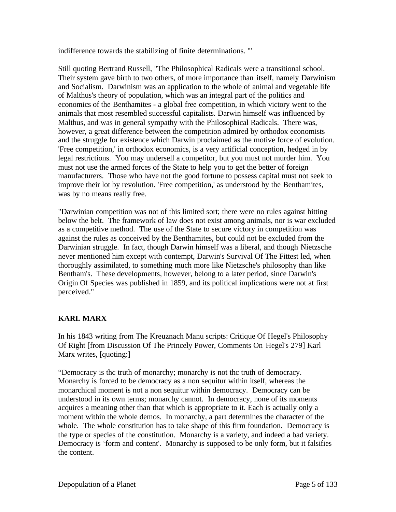indifference towards the stabilizing of finite determinations. '"

Still quoting Bertrand Russell, "The Philosophical Radicals were a transitional school. Their system gave birth to two others, of more importance than itself, namely Darwinism and Socialism. Darwinism was an application to the whole of animal and vegetable life of Malthus's theory of population, which was an integral part of the politics and economics of the Benthamites - a global free competition, in which victory went to the animals that most resembled successful capitalists. Darwin himself was influenced by Malthus, and was in general sympathy with the Philosophical Radicals. There was, however, a great difference between the competition admired by orthodox economists and the struggle for existence which Darwin proclaimed as the motive force of evolution. 'Free competition,' in orthodox economics, is a very artificial conception, hedged in by legal restrictions. You may undersell a competitor, but you must not murder him. You must not use the armed forces of the State to help you to get the better of foreign manufacturers. Those who have not the good fortune to possess capital must not seek to improve their lot by revolution. 'Free competition,' as understood by the Benthamites, was by no means really free.

"Darwinian competition was not of this limited sort; there were no rules against hitting below the belt. The framework of law does not exist among animals, nor is war excluded as a competitive method. The use of the State to secure victory in competition was against the rules as conceived by the Benthamites, but could not be excluded from the Darwinian struggle. In fact, though Darwin himself was a liberal, and though Nietzsche never mentioned him except with contempt, Darwin's Survival Of The Fittest led, when thoroughly assimilated, to something much more like Nietzsche's philosophy than like Bentham's. These developments, however, belong to a later period, since Darwin's Origin Of Species was published in 1859, and its political implications were not at first perceived."

# **KARL MARX**

In his 1843 writing from The Kreuznach Manu scripts: Critique Of Hegel's Philosophy Of Right [from Discussion Of The Princely Power, Comments On Hegel's 279] Karl Marx writes, [quoting:]

"Democracy is thc truth of monarchy; monarchy is not thc truth of democracy. Monarchy is forced to be democracy as a non sequitur within itself, whereas the monarchical moment is not a non sequitur within democracy. Democracy can be understood in its own terms; monarchy cannot. In democracy, none of its moments acquires a meaning other than that which is appropriate to it. Each is actually only a moment within the whole demos. In monarchy, a part determines the character of the whole. The whole constitution has to take shape of this firm foundation. Democracy is the type or species of the constitution. Monarchy is a variety, and indeed a bad variety. Democracy is 'form and content'. Monarchy is supposed to be only form, but it falsifies the content.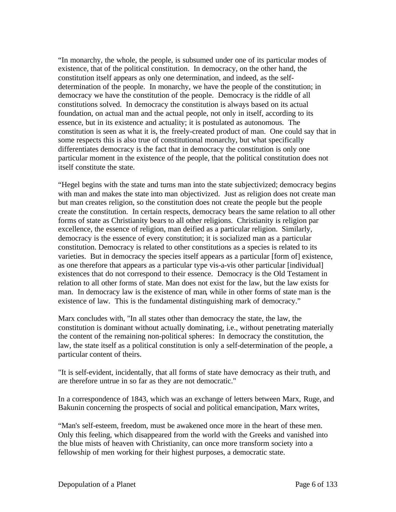"In monarchy, the whole, the people, is subsumed under one of its particular modes of existence, that of the political constitution. In democracy, on the other hand, the constitution itself appears as only one determination, and indeed, as the selfdetermination of the people. In monarchy, we have the people of the constitution; in democracy we have the constitution of the people. Democracy is the riddle of all constitutions solved. In democracy the constitution is always based on its actual foundation, on actual man and the actual people, not only in itself, according to its essence, but in its existence and actuality; it is postulated as autonomous. The constitution is seen as what it is, the freely-created product of man. One could say that in some respects this is also true of constitutional monarchy, but what specifically differentiates democracy is the fact that in democracy the constitution is only one particular moment in the existence of the people, that the political constitution does not itself constitute the state.

"Hegel begins with the state and turns man into the state subjectivized; democracy begins with man and makes the state into man objectivized. Just as religion does not create man but man creates religion, so the constitution does not create the people but the people create the constitution. In certain respects, democracy bears the same relation to all other forms of state as Christianity bears to all other religions. Christianity is religion par excellence, the essence of religion, man deified as a particular religion. Similarly, democracy is the essence of every constitution; it is socialized man as a particular constitution. Democracy is related to other constitutions as a species is related to its varieties. But in democracy the species itself appears as a particular [form of] existence, as one therefore that appears as a particular type vis-a-vis other particular [individual] existences that do not correspond to their essence. Democracy is the Old Testament in relation to all other forms of state. Man does not exist for the law, but the law exists for man. In democracy law is the existence of man, while in other forms of state man is the existence of law. This is the fundamental distinguishing mark of democracy."

Marx concludes with, "In all states other than democracy the state, the law, the constitution is dominant without actually dominating, i.e., without penetrating materially the content of the remaining non-political spheres: In democracy the constitution, the law, the state itself as a political constitution is only a self-determination of the people, a particular content of theirs.

"It is self-evident, incidentally, that all forms of state have democracy as their truth, and are therefore untrue in so far as they are not democratic."

In a correspondence of 1843, which was an exchange of letters between Marx, Ruge, and Bakunin concerning the prospects of social and political emancipation, Marx writes,

"Man's self-esteem, freedom, must be awakened once more in the heart of these men. Only this feeling, which disappeared from the world with the Greeks and vanished into the blue mists of heaven with Christianity, can once more transform society into a fellowship of men working for their highest purposes, a democratic state.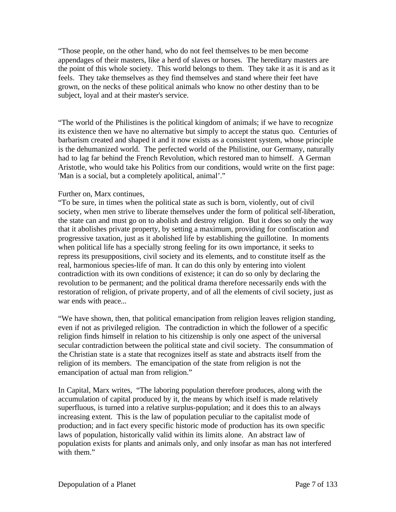"Those people, on the other hand, who do not feel themselves to be men become appendages of their masters, like a herd of slaves or horses. The hereditary masters are the point of this whole society. This world belongs to them. They take it as it is and as it feels. They take themselves as they find themselves and stand where their feet have grown, on the necks of these political animals who know no other destiny than to be subject, loyal and at their master's service.

"The world of the Philistines is the political kingdom of animals; if we have to recognize its existence then we have no alternative but simply to accept the status quo. Centuries of barbarism created and shaped it and it now exists as a consistent system, whose principle is the dehumanized world. The perfected world of the Philistine, our Germany, naturally had to lag far behind the French Revolution, which restored man to himself. A German Aristotle, who would take his Politics from our conditions, would write on the first page: 'Man is a social, but a completely apolitical, animal'."

#### Further on, Marx continues,

"To be sure, in times when the political state as such is born, violently, out of civil society, when men strive to liberate themselves under the form of political self-liberation, the state can and must go on to abolish and destroy religion. But it does so only the way that it abolishes private property, by setting a maximum, providing for confiscation and progressive taxation, just as it abolished life by establishing the guillotine. In moments when political life has a specially strong feeling for its own importance, it seeks to repress its presuppositions, civil society and its elements, and to constitute itself as the real, harmonious species-life of man. It can do this only by entering into violent contradiction with its own conditions of existence; it can do so only by declaring the revolution to be permanent; and the political drama therefore necessarily ends with the restoration of religion, of private property, and of all the elements of civil society, just as war ends with peace...

"We have shown, then, that political emancipation from religion leaves religion standing, even if not as privileged religion. The contradiction in which the follower of a specific religion finds himself in relation to his citizenship is only one aspect of the universal secular contradiction between the political state and civil society. The consummation of the Christian state is a state that recognizes itself as state and abstracts itself from the religion of its members. The emancipation of the state from religion is not the emancipation of actual man from religion."

In Capital, Marx writes, "The laboring population therefore produces, along with the accumulation of capital produced by it, the means by which itself is made relatively superfluous, is turned into a relative surplus-population; and it does this to an always increasing extent. This is the law of population peculiar to the capitalist mode of production; and in fact every specific historic mode of production has its own specific laws of population, historically valid within its limits alone. An abstract law of population exists for plants and animals only, and only insofar as man has not interfered with them."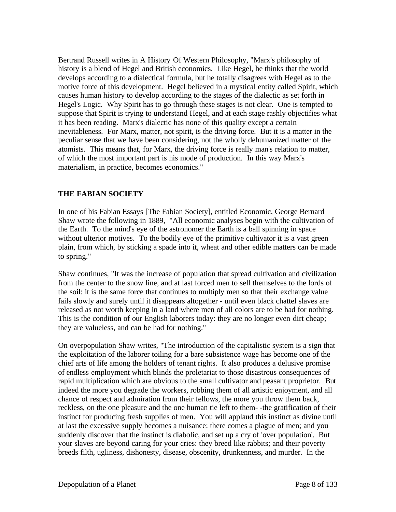Bertrand Russell writes in A History Of Western Philosophy, "Marx's philosophy of history is a blend of Hegel and British economics. Like Hegel, he thinks that the world develops according to a dialectical formula, but he totally disagrees with Hegel as to the motive force of this development. Hegel believed in a mystical entity called Spirit, which causes human history to develop according to the stages of the dialectic as set forth in Hegel's Logic. Why Spirit has to go through these stages is not clear. One is tempted to suppose that Spirit is trying to understand Hegel, and at each stage rashly objectifies what it has been reading. Marx's dialectic has none of this quality except a certain inevitableness. For Marx, matter, not spirit, is the driving force. But it is a matter in the peculiar sense that we have been considering, not the wholly dehumanized matter of the atomists. This means that, for Marx, the driving force is really man's relation to matter, of which the most important part is his mode of production. In this way Marx's materialism, in practice, becomes economics."

# **THE FABIAN SOCIETY**

In one of his Fabian Essays [The Fabian Society], entitled Economic, George Bernard Shaw wrote the following in 1889, "All economic analyses begin with the cultivation of the Earth. To the mind's eye of the astronomer the Earth is a ball spinning in space without ulterior motives. To the bodily eye of the primitive cultivator it is a vast green plain, from which, by sticking a spade into it, wheat and other edible matters can be made to spring."

Shaw continues, "It was the increase of population that spread cultivation and civilization from the center to the snow line, and at last forced men to sell themselves to the lords of the soil: it is the same force that continues to multiply men so that their exchange value fails slowly and surely until it disappears altogether - until even black chattel slaves are released as not worth keeping in a land where men of all colors are to be had for nothing. This is the condition of our English laborers today: they are no longer even dirt cheap; they are valueless, and can be had for nothing."

On overpopulation Shaw writes, "The introduction of the capitalistic system is a sign that the exploitation of the laborer toiling for a bare subsistence wage has become one of the chief arts of life among the holders of tenant rights. It also produces a delusive promise of endless employment which blinds the proletariat to those disastrous consequences of rapid multiplication which are obvious to the small cultivator and peasant proprietor. But indeed the more you degrade the workers, robbing them of all artistic enjoyment, and all chance of respect and admiration from their fellows, the more you throw them back, reckless, on the one pleasure and the one human tie left to them- -the gratification of their instinct for producing fresh supplies of men. You will applaud this instinct as divine until at last the excessive supply becomes a nuisance: there comes a plague of men; and you suddenly discover that the instinct is diabolic, and set up a cry of 'over population'. But your slaves are beyond caring for your cries: they breed like rabbits; and their poverty breeds filth, ugliness, dishonesty, disease, obscenity, drunkenness, and murder. In the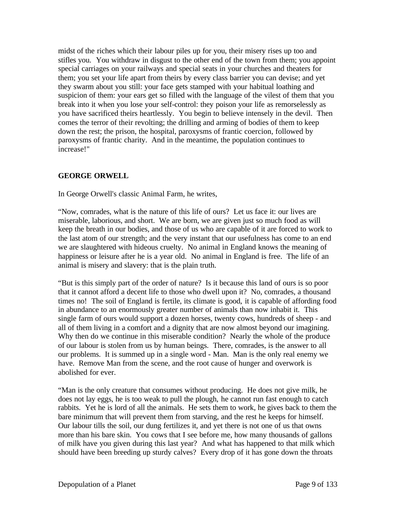midst of the riches which their labour piles up for you, their misery rises up too and stifles you. You withdraw in disgust to the other end of the town from them; you appoint special carriages on your railways and special seats in your churches and theaters for them; you set your life apart from theirs by every class barrier you can devise; and yet they swarm about you still: your face gets stamped with your habitual loathing and suspicion of them: your ears get so filled with the language of the vilest of them that you break into it when you lose your self-control: they poison your life as remorselessly as you have sacrificed theirs heartlessly. You begin to believe intensely in the devil. Then comes the terror of their revolting; the drilling and arming of bodies of them to keep down the rest; the prison, the hospital, paroxysms of frantic coercion, followed by paroxysms of frantic charity. And in the meantime, the population continues to increase!"

# **GEORGE ORWELL**

In George Orwell's classic Animal Farm, he writes,

"Now, comrades, what is the nature of this life of ours? Let us face it: our lives are miserable, laborious, and short. We are born, we are given just so much food as will keep the breath in our bodies, and those of us who are capable of it are forced to work to the last atom of our strength; and the very instant that our usefulness has come to an end we are slaughtered with hideous cruelty. No animal in England knows the meaning of happiness or leisure after he is a year old. No animal in England is free. The life of an animal is misery and slavery: that is the plain truth.

"But is this simply part of the order of nature? Is it because this land of ours is so poor that it cannot afford a decent life to those who dwell upon it? No, comrades, a thousand times no! The soil of England is fertile, its climate is good, it is capable of affording food in abundance to an enormously greater number of animals than now inhabit it. This single farm of ours would support a dozen horses, twenty cows, hundreds of sheep - and all of them living in a comfort and a dignity that are now almost beyond our imagining. Why then do we continue in this miserable condition? Nearly the whole of the produce of our labour is stolen from us by human beings. There, comrades, is the answer to all our problems. It is summed up in a single word - Man. Man is the only real enemy we have. Remove Man from the scene, and the root cause of hunger and overwork is abolished for ever.

"Man is the only creature that consumes without producing. He does not give milk, he does not lay eggs, he is too weak to pull the plough, he cannot run fast enough to catch rabbits. Yet he is lord of all the animals. He sets them to work, he gives back to them the bare minimum that will prevent them from starving, and the rest he keeps for himself. Our labour tills the soil, our dung fertilizes it, and yet there is not one of us that owns more than his bare skin. You cows that I see before me, how many thousands of gallons of milk have you given during this last year? And what has happened to that milk which should have been breeding up sturdy calves? Every drop of it has gone down the throats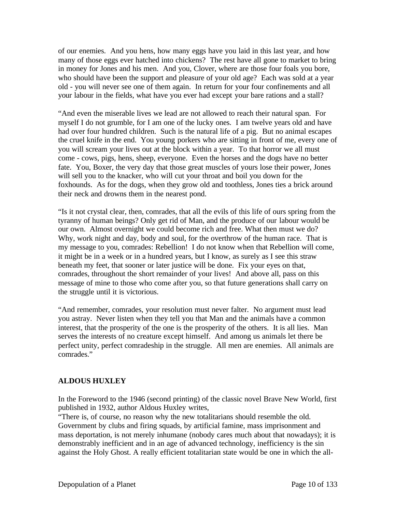of our enemies. And you hens, how many eggs have you laid in this last year, and how many of those eggs ever hatched into chickens? The rest have all gone to market to bring in money for Jones and his men. And you, Clover, where are those four foals you bore, who should have been the support and pleasure of your old age? Each was sold at a year old - you will never see one of them again. In return for your four confinements and all your labour in the fields, what have you ever had except your bare rations and a stall?

"And even the miserable lives we lead are not allowed to reach their natural span. For myself I do not grumble, for I am one of the lucky ones. I am twelve years old and have had over four hundred children. Such is the natural life of a pig. But no animal escapes the cruel knife in the end. You young porkers who are sitting in front of me, every one of you will scream your lives out at the block within a year. To that horror we all must come - cows, pigs, hens, sheep, everyone. Even the horses and the dogs have no better fate. You, Boxer, the very day that those great muscles of yours lose their power, Jones will sell you to the knacker, who will cut your throat and boil you down for the foxhounds. As for the dogs, when they grow old and toothless, Jones ties a brick around their neck and drowns them in the nearest pond.

"Is it not crystal clear, then, comrades, that all the evils of this life of ours spring from the tyranny of human beings? Only get rid of Man, and the produce of our labour would be our own. Almost overnight we could become rich and free. What then must we do? Why, work night and day, body and soul, for the overthrow of the human race. That is my message to you, comrades: Rebellion! I do not know when that Rebellion will come, it might be in a week or in a hundred years, but I know, as surely as I see this straw beneath my feet, that sooner or later justice will be done. Fix your eyes on that, comrades, throughout the short remainder of your lives! And above all, pass on this message of mine to those who come after you, so that future generations shall carry on the struggle until it is victorious.

"And remember, comrades, your resolution must never falter. No argument must lead you astray. Never listen when they tell you that Man and the animals have a common interest, that the prosperity of the one is the prosperity of the others. It is all lies. Man serves the interests of no creature except himself. And among us animals let there be perfect unity, perfect comradeship in the struggle. All men are enemies. All animals are comrades."

## **ALDOUS HUXLEY**

In the Foreword to the 1946 (second printing) of the classic novel Brave New World, first published in 1932, author Aldous Huxley writes,

"There is, of course, no reason why the new totalitarians should resemble the old. Government by clubs and firing squads, by artificial famine, mass imprisonment and mass deportation, is not merely inhumane (nobody cares much about that nowadays); it is demonstrably inefficient and in an age of advanced technology, inefficiency is the sin against the Holy Ghost. A really efficient totalitarian state would be one in which the all-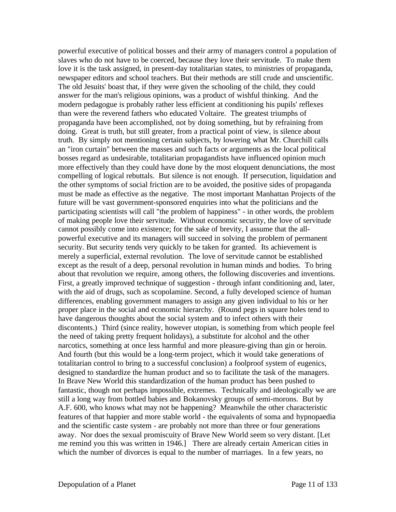powerful executive of political bosses and their army of managers control a population of slaves who do not have to be coerced, because they love their servitude. To make them love it is the task assigned, in present-day totalitarian states, to ministries of propaganda, newspaper editors and school teachers. But their methods are still crude and unscientific. The old Jesuits' boast that, if they were given the schooling of the child, they could answer for the man's religious opinions, was a product of wishful thinking. And the modern pedagogue is probably rather less efficient at conditioning his pupils' reflexes than were the reverend fathers who educated Voltaire. The greatest triumphs of propaganda have been accomplished, not by doing something, but by refraining from doing. Great is truth, but still greater, from a practical point of view, is silence about truth. By simply not mentioning certain subjects, by lowering what Mr. Churchill calls an "iron curtain" between the masses and such facts or arguments as the local political bosses regard as undesirable, totalitarian propagandists have influenced opinion much more effectively than they could have done by the most eloquent denunciations, the most compelling of logical rebuttals. But silence is not enough. If persecution, liquidation and the other symptoms of social friction are to be avoided, the positive sides of propaganda must be made as effective as the negative. The most important Manhattan Projects of the future will be vast government-sponsored enquiries into what the politicians and the participating scientists will call "the problem of happiness" - in other words, the problem of making people love their servitude. Without economic security, the love of servitude cannot possibly come into existence; for the sake of brevity, I assume that the allpowerful executive and its managers will succeed in solving the problem of permanent security. But security tends very quickly to be taken for granted. Its achievement is merely a superficial, external revolution. The love of servitude cannot be established except as the result of a deep, personal revolution in human minds and bodies. To bring about that revolution we require, among others, the following discoveries and inventions. First, a greatly improved technique of suggestion - through infant conditioning and, later, with the aid of drugs, such as scopolamine. Second, a fully developed science of human differences, enabling government managers to assign any given individual to his or her proper place in the social and economic hierarchy. (Round pegs in square holes tend to have dangerous thoughts about the social system and to infect others with their discontents.) Third (since reality, however utopian, is something from which people feel the need of taking pretty frequent holidays), a substitute for alcohol and the other narcotics, something at once less harmful and more pleasure-giving than gin or heroin. And fourth (but this would be a long-term project, which it would take generations of totalitarian control to bring to a successful conclusion) a foolproof system of eugenics, designed to standardize the human product and so to facilitate the task of the managers. In Brave New World this standardization of the human product has been pushed to fantastic, though not perhaps impossible, extremes. Technically and ideologically we are still a long way from bottled babies and Bokanovsky groups of semi-morons. But by A.F. 600, who knows what may not be happening? Meanwhile the other characteristic features of that happier and more stable world - the equivalents of soma and hypnopaedia and the scientific caste system - are probably not more than three or four generations away. Nor does the sexual promiscuity of Brave New World seem so very distant. [Let me remind you this was written in 1946.] There are already certain American cities in which the number of divorces is equal to the number of marriages. In a few years, no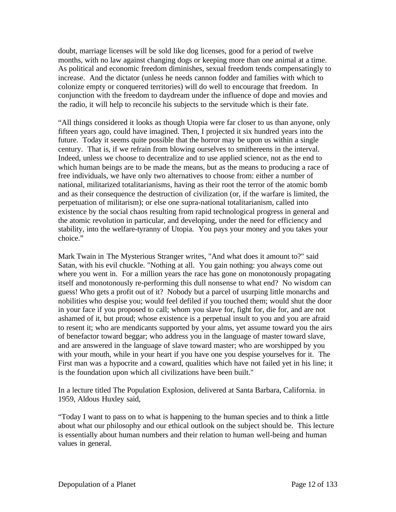doubt, marriage licenses will be sold like dog licenses, good for a period of twelve months, with no law against changing dogs or keeping more than one animal at a time. As political and economic freedom diminishes, sexual freedom tends compensatingly to increase. And the dictator (unless he needs cannon fodder and families with which to colonize empty or conquered territories) will do well to encourage that freedom. In conjunction with the freedom to daydream under the influence of dope and movies and the radio, it will help to reconcile his subjects to the servitude which is their fate.

"All things considered it looks as though Utopia were far closer to us than anyone, only fifteen years ago, could have imagined. Then, I projected it six hundred years into the future. Today it seems quite possible that the horror may be upon us within a single century. That is, if we refrain from blowing ourselves to smithereens in the interval. Indeed, unless we choose to decentralize and to use applied science, not as the end to which human beings are to be made the means, but as the means to producing a race of free individuals, we have only two alternatives to choose from: either a number of national, militarized totalitarianisms, having as their root the terror of the atomic bomb and as their consequence the destruction of civilization (or, if the warfare is limited, the perpetuation of militarism); or else one supra-national totalitarianism, called into existence by the social chaos resulting from rapid technological progress in general and the atomic revolution in particular, and developing, under the need for efficiency and stability, into the welfare-tyranny of Utopia. You pays your money and you takes your choice."

Mark Twain in The Mysterious Stranger writes, "And what does it amount to?" said Satan, with his evil chuckle. "Nothing at all. You gain nothing: you always come out where you went in. For a million years the race has gone on monotonously propagating itself and monotonously re-performing this dull nonsense to what end? No wisdom can guess! Who gets a profit out of it? Nobody but a parcel of usurping little monarchs and nobilities who despise you; would feel defiled if you touched them; would shut the door in your face if you proposed to call; whom you slave for, fight for, die for, and are not ashamed of it, but proud; whose existence is a perpetual insult to you and you are afraid to resent it; who are mendicants supported by your alms, yet assume toward you the airs of benefactor toward beggar; who address you in the language of master toward slave, and are answered in the language of slave toward master; who are worshipped by you with your mouth, while in your heart if you have one you despise yourselves for it. The First man was a hypocrite and a coward, qualities which have not failed yet in his line; it is the foundation upon which all civilizations have been built."

In a lecture titled The Population Explosion, delivered at Santa Barbara, California. in 1959, Aldous Huxley said,

"Today I want to pass on to what is happening to the human species and to think a little about what our philosophy and our ethical outlook on the subject should be. This lecture is essentially about human numbers and their relation to human well-being and human values in general.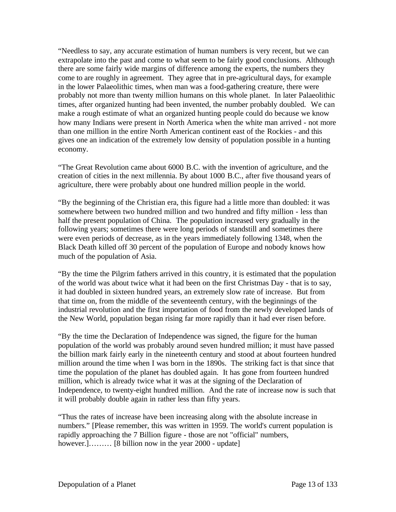"Needless to say, any accurate estimation of human numbers is very recent, but we can extrapolate into the past and come to what seem to be fairly good conclusions. Although there are some fairly wide margins of difference among the experts, the numbers they come to are roughly in agreement. They agree that in pre-agricultural days, for example in the lower Palaeolithic times, when man was a food-gathering creature, there were probably not more than twenty million humans on this whole planet. In later Palaeolithic times, after organized hunting had been invented, the number probably doubled. We can make a rough estimate of what an organized hunting people could do because we know how many Indians were present in North America when the white man arrived - not more than one million in the entire North American continent east of the Rockies - and this gives one an indication of the extremely low density of population possible in a hunting economy.

"The Great Revolution came about 6000 B.C. with the invention of agriculture, and the creation of cities in the next millennia. By about 1000 B.C., after five thousand years of agriculture, there were probably about one hundred million people in the world.

"By the beginning of the Christian era, this figure had a little more than doubled: it was somewhere between two hundred million and two hundred and fifty million - less than half the present population of China. The population increased very gradually in the following years; sometimes there were long periods of standstill and sometimes there were even periods of decrease, as in the years immediately following 1348, when the Black Death killed off 30 percent of the population of Europe and nobody knows how much of the population of Asia.

"By the time the Pilgrim fathers arrived in this country, it is estimated that the population of the world was about twice what it had been on the first Christmas Day - that is to say, it had doubled in sixteen hundred years, an extremely slow rate of increase. But from that time on, from the middle of the seventeenth century, with the beginnings of the industrial revolution and the first importation of food from the newly developed lands of the New World, population began rising far more rapidly than it had ever risen before.

"By the time the Declaration of Independence was signed, the figure for the human population of the world was probably around seven hundred million; it must have passed the billion mark fairly early in the nineteenth century and stood at about fourteen hundred million around the time when I was born in the 1890s. The striking fact is that since that time the population of the planet has doubled again. It has gone from fourteen hundred million, which is already twice what it was at the signing of the Declaration of Independence, to twenty-eight hundred million. And the rate of increase now is such that it will probably double again in rather less than fifty years.

"Thus the rates of increase have been increasing along with the absolute increase in numbers." [Please remember, this was written in 1959. The world's current population is rapidly approaching the 7 Billion figure - those are not "official" numbers, however.]……… [8 billion now in the year 2000 - update]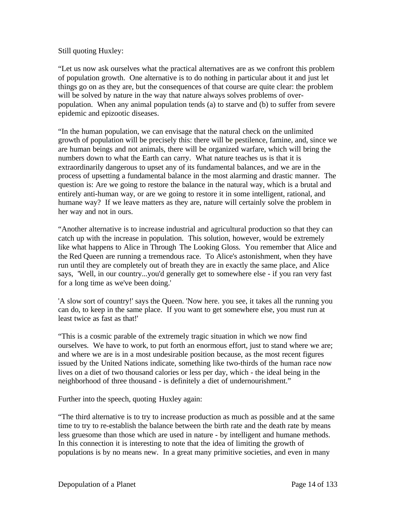Still quoting Huxley:

"Let us now ask ourselves what the practical alternatives are as we confront this problem of population growth. One alternative is to do nothing in particular about it and just let things go on as they are, but the consequences of that course are quite clear: the problem will be solved by nature in the way that nature always solves problems of overpopulation. When any animal population tends (a) to starve and (b) to suffer from severe epidemic and epizootic diseases.

"In the human population, we can envisage that the natural check on the unlimited growth of population will be precisely this: there will be pestilence, famine, and, since we are human beings and not animals, there will be organized warfare, which will bring the numbers down to what the Earth can carry. What nature teaches us is that it is extraordinarily dangerous to upset any of its fundamental balances, and we are in the process of upsetting a fundamental balance in the most alarming and drastic manner. The question is: Are we going to restore the balance in the natural way, which is a brutal and entirely anti-human way, or are we going to restore it in some intelligent, rational, and humane way? If we leave matters as they are, nature will certainly solve the problem in her way and not in ours.

"Another alternative is to increase industrial and agricultural production so that they can catch up with the increase in population. This solution, however, would be extremely like what happens to Alice in Through The Looking Gloss. You remember that Alice and the Red Queen are running a tremendous race. To Alice's astonishment, when they have run until they are completely out of breath they are in exactly the same place, and Alice says, 'Well, in our country...you'd generally get to somewhere else - if you ran very fast for a long time as we've been doing.'

'A slow sort of country!' says the Queen. 'Now here. you see, it takes all the running you can do, to keep in the same place. If you want to get somewhere else, you must run at least twice as fast as that!'

"This is a cosmic parable of the extremely tragic situation in which we now find ourselves. We have to work, to put forth an enormous effort, just to stand where we are; and where we are is in a most undesirable position because, as the most recent figures issued by the United Nations indicate, something like two-thirds of the human race now lives on a diet of two thousand calories or less per day, which - the ideal being in the neighborhood of three thousand - is definitely a diet of undernourishment."

Further into the speech, quoting Huxley again:

"The third alternative is to try to increase production as much as possible and at the same time to try to re-establish the balance between the birth rate and the death rate by means less gruesome than those which are used in nature - by intelligent and humane methods. In this connection it is interesting to note that the idea of limiting the growth of populations is by no means new. In a great many primitive societies, and even in many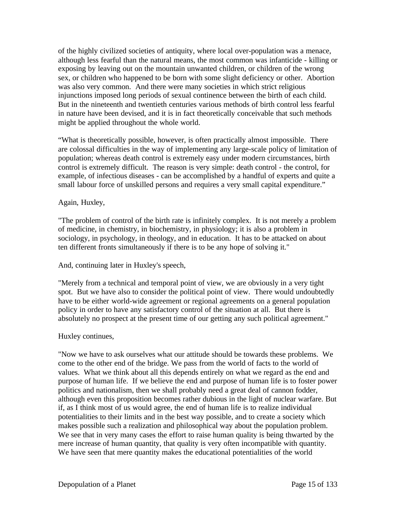of the highly civilized societies of antiquity, where local over-population was a menace, although less fearful than the natural means, the most common was infanticide - killing or exposing by leaving out on the mountain unwanted children, or children of the wrong sex, or children who happened to be born with some slight deficiency or other. Abortion was also very common. And there were many societies in which strict religious injunctions imposed long periods of sexual continence between the birth of each child. But in the nineteenth and twentieth centuries various methods of birth control less fearful in nature have been devised, and it is in fact theoretically conceivable that such methods might be applied throughout the whole world.

"What is theoretically possible, however, is often practically almost impossible. There are colossal difficulties in the way of implementing any large-scale policy of limitation of population; whereas death control is extremely easy under modern circumstances, birth control is extremely difficult. The reason is very simple: death control - the control, for example, of infectious diseases - can be accomplished by a handful of experts and quite a small labour force of unskilled persons and requires a very small capital expenditure."

#### Again, Huxley,

"The problem of control of the birth rate is infinitely complex. It is not merely a problem of medicine, in chemistry, in biochemistry, in physiology; it is also a problem in sociology, in psychology, in theology, and in education. It has to be attacked on about ten different fronts simultaneously if there is to be any hope of solving it."

#### And, continuing later in Huxley's speech,

"Merely from a technical and temporal point of view, we are obviously in a very tight spot. But we have also to consider the political point of view. There would undoubtedly have to be either world-wide agreement or regional agreements on a general population policy in order to have any satisfactory control of the situation at all. But there is absolutely no prospect at the present time of our getting any such political agreement."

#### Huxley continues,

"Now we have to ask ourselves what our attitude should be towards these problems. We come to the other end of the bridge. We pass from the world of facts to the world of values. What we think about all this depends entirely on what we regard as the end and purpose of human life. If we believe the end and purpose of human life is to foster power politics and nationalism, then we shall probably need a great deal of cannon fodder, although even this proposition becomes rather dubious in the light of nuclear warfare. But if, as I think most of us would agree, the end of human life is to realize individual potentialities to their limits and in the best way possible, and to create a society which makes possible such a realization and philosophical way about the population problem. We see that in very many cases the effort to raise human quality is being thwarted by the mere increase of human quantity, that quality is very often incompatible with quantity. We have seen that mere quantity makes the educational potentialities of the world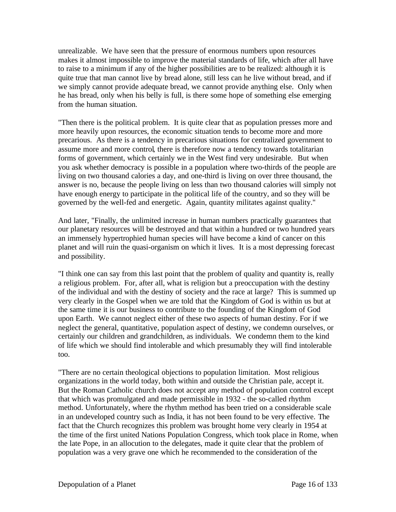unrealizable. We have seen that the pressure of enormous numbers upon resources makes it almost impossible to improve the material standards of life, which after all have to raise to a minimum if any of the higher possibilities are to be realized: although it is quite true that man cannot live by bread alone, still less can he live without bread, and if we simply cannot provide adequate bread, we cannot provide anything else. Only when he has bread, only when his belly is full, is there some hope of something else emerging from the human situation.

"Then there is the political problem. It is quite clear that as population presses more and more heavily upon resources, the economic situation tends to become more and more precarious. As there is a tendency in precarious situations for centralized government to assume more and more control, there is therefore now a tendency towards totalitarian forms of government, which certainly we in the West find very undesirable. But when you ask whether democracy is possible in a population where two-thirds of the people are living on two thousand calories a day, and one-third is living on over three thousand, the answer is no, because the people living on less than two thousand calories will simply not have enough energy to participate in the political life of the country, and so they will be governed by the well-fed and energetic. Again, quantity militates against quality."

And later, "Finally, the unlimited increase in human numbers practically guarantees that our planetary resources will be destroyed and that within a hundred or two hundred years an immensely hypertrophied human species will have become a kind of cancer on this planet and will ruin the quasi-organism on which it lives. It is a most depressing forecast and possibility.

"I think one can say from this last point that the problem of quality and quantity is, really a religious problem. For, after all, what is religion but a preoccupation with the destiny of the individual and with the destiny of society and the race at large? This is summed up very clearly in the Gospel when we are told that the Kingdom of God is within us but at the same time it is our business to contribute to the founding of the Kingdom of God upon Earth. We cannot neglect either of these two aspects of human destiny. For if we neglect the general, quantitative, population aspect of destiny, we condemn ourselves, or certainly our children and grandchildren, as individuals. We condemn them to the kind of life which we should find intolerable and which presumably they will find intolerable too.

"There are no certain theological objections to population limitation. Most religious organizations in the world today, both within and outside the Christian pale, accept it. But the Roman Catholic church does not accept any method of population control except that which was promulgated and made permissible in 1932 - the so-called rhythm method. Unfortunately, where the rhythm method has been tried on a considerable scale in an undeveloped country such as India, it has not been found to be very effective. The fact that the Church recognizes this problem was brought home very clearly in 1954 at the time of the first united Nations Population Congress, which took place in Rome, when the late Pope, in an allocution to the delegates, made it quite clear that the problem of population was a very grave one which he recommended to the consideration of the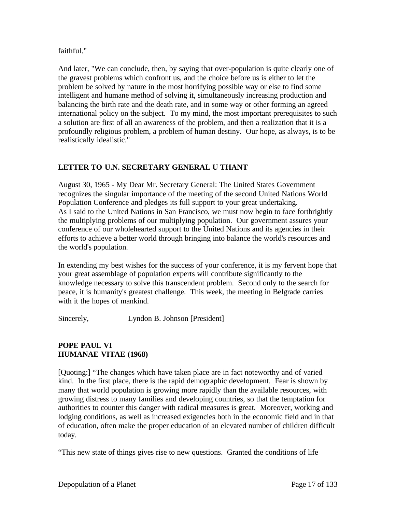faithful."

And later, "We can conclude, then, by saying that over-population is quite clearly one of the gravest problems which confront us, and the choice before us is either to let the problem be solved by nature in the most horrifying possible way or else to find some intelligent and humane method of solving it, simultaneously increasing production and balancing the birth rate and the death rate, and in some way or other forming an agreed international policy on the subject. To my mind, the most important prerequisites to such a solution are first of all an awareness of the problem, and then a realization that it is a profoundly religious problem, a problem of human destiny. Our hope, as always, is to be realistically idealistic."

# **LETTER TO U.N. SECRETARY GENERAL U THANT**

August 30, 1965 - My Dear Mr. Secretary General: The United States Government recognizes the singular importance of the meeting of the second United Nations World Population Conference and pledges its full support to your great undertaking. As I said to the United Nations in San Francisco, we must now begin to face forthrightly the multiplying problems of our multiplying population. Our government assures your conference of our wholehearted support to the United Nations and its agencies in their efforts to achieve a better world through bringing into balance the world's resources and the world's population.

In extending my best wishes for the success of your conference, it is my fervent hope that your great assemblage of population experts will contribute significantly to the knowledge necessary to solve this transcendent problem. Second only to the search for peace, it is humanity's greatest challenge. This week, the meeting in Belgrade carries with it the hopes of mankind.

Sincerely, Lyndon B. Johnson [President]

# **POPE PAUL VI HUMANAE VITAE (1968)**

[Quoting:] "The changes which have taken place are in fact noteworthy and of varied kind. In the first place, there is the rapid demographic development. Fear is shown by many that world population is growing more rapidly than the available resources, with growing distress to many families and developing countries, so that the temptation for authorities to counter this danger with radical measures is great. Moreover, working and lodging conditions, as well as increased exigencies both in the economic field and in that of education, often make the proper education of an elevated number of children difficult today.

"This new state of things gives rise to new questions. Granted the conditions of life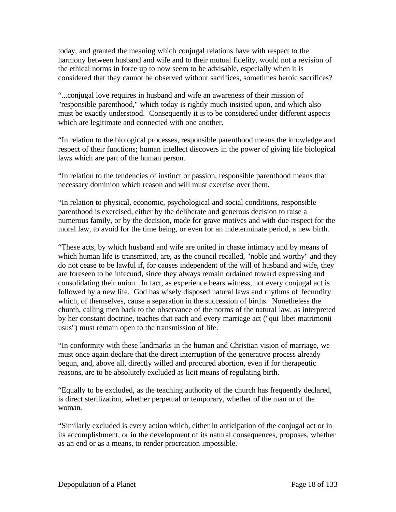today, and granted the meaning which conjugal relations have with respect to the harmony between husband and wife and to their mutual fidelity, would not a revision of the ethical norms in force up to now seem to be advisable, especially when it is considered that they cannot be observed without sacrifices, sometimes heroic sacrifices?

"...conjugal love requires in husband and wife an awareness of their mission of "responsible parenthood," which today is rightly much insisted upon, and which also must be exactly understood. Consequently it is to be considered under different aspects which are legitimate and connected with one another.

"In relation to the biological processes, responsible parenthood means the knowledge and respect of their functions; human intellect discovers in the power of giving life biological laws which are part of the human person.

"In relation to the tendencies of instinct or passion, responsible parenthood means that necessary dominion which reason and will must exercise over them.

"In relation to physical, economic, psychological and social conditions, responsible parenthood is exercised, either by the deliberate and generous decision to raise a numerous family, or by the decision, made for grave motives and with due respect for the moral law, to avoid for the time being, or even for an indeterminate period, a new birth.

"These acts, by which husband and wife are united in chaste intimacy and by means of which human life is transmitted, are, as the council recalled, "noble and worthy" and they do not cease to be lawful if, for causes independent of the will of husband and wife, they are foreseen to be infecund, since they always remain ordained toward expressing and consolidating their union. In fact, as experience bears witness, not every conjugal act is followed by a new life. God has wisely disposed natural laws and rhythms of fecundity which, of themselves, cause a separation in the succession of births. Nonetheless the church, calling men back to the observance of the norms of the natural law, as interpreted by her constant doctrine, teaches that each and every marriage act ("qui libet matrimonii usus") must remain open to the transmission of life.

"In conformity with these landmarks in the human and Christian vision of marriage, we must once again declare that the direct interruption of the generative process already begun, and, above all, directly willed and procured abortion, even if for therapeutic reasons, are to be absolutely excluded as licit means of regulating birth.

"Equally to be excluded, as the teaching authority of the church has frequently declared, is direct sterilization, whether perpetual or temporary, whether of the man or of the woman.

"Similarly excluded is every action which, either in anticipation of the conjugal act or in its accomplishment, or in the development of its natural consequences, proposes, whether as an end or as a means, to render procreation impossible.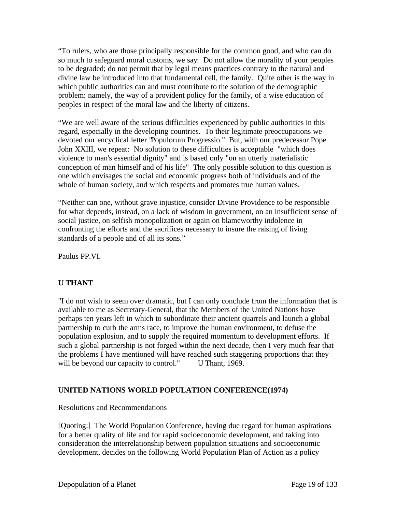"To rulers, who are those principally responsible for the common good, and who can do so much to safeguard moral customs, we say: Do not allow the morality of your peoples to be degraded; do not permit that by legal means practices contrary to the natural and divine law be introduced into that fundamental cell, the family. Quite other is the way in which public authorities can and must contribute to the solution of the demographic problem: namely, the way of a provident policy for the family, of a wise education of peoples in respect of the moral law and the liberty of citizens.

"We are well aware of the serious difficulties experienced by public authorities in this regard, especially in the developing countries. To their legitimate preoccupations we devoted our encyclical letter "Populorum Progressio." But, with our predecessor Pope John XXIII, we repeat: No solution to these difficulties is acceptable "which does violence to man's essential dignity" and is based only "on an utterly materialistic conception of man himself and of his life" The only possible solution to this question is one which envisages the social and economic progress both of individuals and of the whole of human society, and which respects and promotes true human values.

"Neither can one, without grave injustice, consider Divine Providence to be responsible for what depends, instead, on a lack of wisdom in government, on an insufficient sense of social justice, on selfish monopolization or again on blameworthy indolence in confronting the efforts and the sacrifices necessary to insure the raising of living standards of a people and of all its sons."

Paulus PP.VI.

## **U THANT**

"I do not wish to seem over dramatic, but I can only conclude from the information that is available to me as Secretary-General, that the Members of the United Nations have perhaps ten years left in which to subordinate their ancient quarrels and launch a global partnership to curb the arms race, to improve the human environment, to defuse the population explosion, and to supply the required momentum to development efforts. If such a global partnership is not forged within the next decade, then I very much fear that the problems I have mentioned will have reached such staggering proportions that they will be beyond our capacity to control." U Thant, 1969.

## **UNITED NATIONS WORLD POPULATION CONFERENCE(1974)**

Resolutions and Recommendations

[Quoting:] The World Population Conference, having due regard for human aspirations for a better quality of life and for rapid socioeconomic development, and taking into consideration the interrelationship between population situations and socioeconomic development, decides on the following World Population Plan of Action as a policy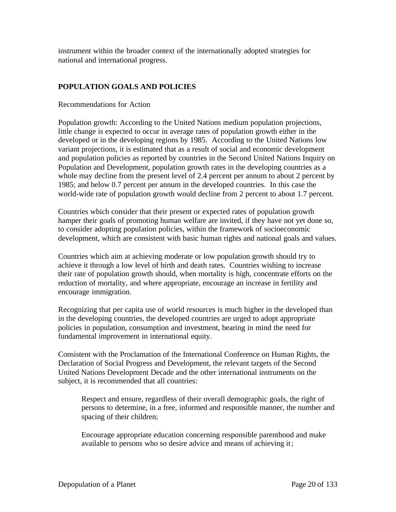instrument within the broader context of the internationally adopted strategies for national and international progress.

# **POPULATION GOALS AND POLICIES**

Recommendations for Action

Population growth: According to the United Nations medium population projections, little change is expected to occur in average rates of population growth either in the developed or in the developing regions by 1985. According to the United Nations low variant projections, it is estimated that as a result of social and economic development and population policies as reported by countries in the Second United Nations Inquiry on Population and Development, population growth rates in the developing countries as a whole may decline from the present level of 2.4 percent per annum to about 2 percent by 1985; and below 0.7 percent per annum in the developed countries. In this case the world-wide rate of population growth would decline from 2 percent to about 1.7 percent.

Countries which consider that their present or expected rates of population growth hamper their goals of promoting human welfare are invited, if they have not yet done so, to consider adopting population policies, within the framework of socioeconomic development, which are consistent with basic human rights and national goals and values.

Countries which aim at achieving moderate or low population growth should try to achieve it through a low level of birth and death rates. Countries wishing to increase their rate of population growth should, when mortality is high, concentrate efforts on the reduction of mortality, and where appropriate, encourage an increase in fertility and encourage immigration.

Recognizing that per capita use of world resources is much higher in the developed than in the developing countries, the developed countries are urged to adopt appropriate policies in population, consumption and investment, bearing in mind the need for fundamental improvement in international equity.

Consistent with the Proclamation of the International Conference on Human Rights, the Declaration of Social Progress and Development, the relevant targets of the Second United Nations Development Decade and the other international instruments on the subject, it is recommended that all countries:

Respect and ensure, regardless of their overall demographic goals, the right of persons to determine, in a free, informed and responsible manner, the number and spacing of their children;

Encourage appropriate education concerning responsible parenthood and make available to persons who so desire advice and means of achieving it;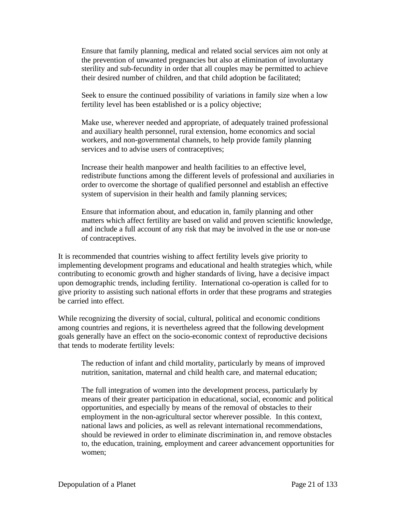Ensure that family planning, medical and related social services aim not only at the prevention of unwanted pregnancies but also at elimination of involuntary sterility and sub-fecundity in order that all couples may be permitted to achieve their desired number of children, and that child adoption be facilitated;

Seek to ensure the continued possibility of variations in family size when a low fertility level has been established or is a policy objective;

Make use, wherever needed and appropriate, of adequately trained professional and auxiliary health personnel, rural extension, home economics and social workers, and non-governmental channels, to help provide family planning services and to advise users of contraceptives;

Increase their health manpower and health facilities to an effective level, redistribute functions among the different levels of professional and auxiliaries in order to overcome the shortage of qualified personnel and establish an effective system of supervision in their health and family planning services;

Ensure that information about, and education in, family planning and other matters which affect fertility are based on valid and proven scientific knowledge, and include a full account of any risk that may be involved in the use or non-use of contraceptives.

It is recommended that countries wishing to affect fertility levels give priority to implementing development programs and educational and health strategies which, while contributing to economic growth and higher standards of living, have a decisive impact upon demographic trends, including fertility. International co-operation is called for to give priority to assisting such national efforts in order that these programs and strategies be carried into effect.

While recognizing the diversity of social, cultural, political and economic conditions among countries and regions, it is nevertheless agreed that the following development goals generally have an effect on the socio-economic context of reproductive decisions that tends to moderate fertility levels:

The reduction of infant and child mortality, particularly by means of improved nutrition, sanitation, maternal and child health care, and maternal education;

The full integration of women into the development process, particularly by means of their greater participation in educational, social, economic and political opportunities, and especially by means of the removal of obstacles to their employment in the non-agricultural sector wherever possible. In this context, national laws and policies, as well as relevant international recommendations, should be reviewed in order to eliminate discrimination in, and remove obstacles to, the education, training, employment and career advancement opportunities for women;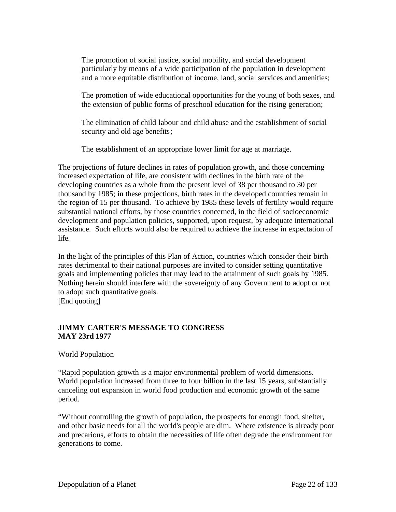The promotion of social justice, social mobility, and social development particularly by means of a wide participation of the population in development and a more equitable distribution of income, land, social services and amenities;

The promotion of wide educational opportunities for the young of both sexes, and the extension of public forms of preschool education for the rising generation;

The elimination of child labour and child abuse and the establishment of social security and old age benefits;

The establishment of an appropriate lower limit for age at marriage.

The projections of future declines in rates of population growth, and those concerning increased expectation of life, are consistent with declines in the birth rate of the developing countries as a whole from the present level of 38 per thousand to 30 per thousand by 1985; in these projections, birth rates in the developed countries remain in the region of 15 per thousand. To achieve by 1985 these levels of fertility would require substantial national efforts, by those countries concerned, in the field of socioeconomic development and population policies, supported, upon request, by adequate international assistance. Such efforts would also be required to achieve the increase in expectation of life.

In the light of the principles of this Plan of Action, countries which consider their birth rates detrimental to their national purposes are invited to consider setting quantitative goals and implementing policies that may lead to the attainment of such goals by 1985. Nothing herein should interfere with the sovereignty of any Government to adopt or not to adopt such quantitative goals.

[End quoting]

## **JIMMY CARTER'S MESSAGE TO CONGRESS MAY 23rd 1977**

World Population

"Rapid population growth is a major environmental problem of world dimensions. World population increased from three to four billion in the last 15 years, substantially canceling out expansion in world food production and economic growth of the same period.

"Without controlling the growth of population, the prospects for enough food, shelter, and other basic needs for all the world's people are dim. Where existence is already poor and precarious, efforts to obtain the necessities of life often degrade the environment for generations to come.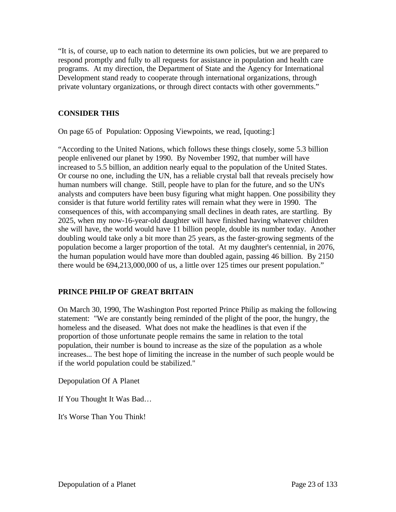"It is, of course, up to each nation to determine its own policies, but we are prepared to respond promptly and fully to all requests for assistance in population and health care programs. At my direction, the Department of State and the Agency for International Development stand ready to cooperate through international organizations, through private voluntary organizations, or through direct contacts with other governments."

# **CONSIDER THIS**

On page 65 of Population: Opposing Viewpoints, we read, [quoting:]

"According to the United Nations, which follows these things closely, some 5.3 billion people enlivened our planet by 1990. By November 1992, that number will have increased to 5.5 billion, an addition nearly equal to the population of the United States. Or course no one, including the UN, has a reliable crystal ball that reveals precisely how human numbers will change. Still, people have to plan for the future, and so the UN's analysts and computers have been busy figuring what might happen. One possibility they consider is that future world fertility rates will remain what they were in 1990. The consequences of this, with accompanying small declines in death rates, are startling. By 2025, when my now-16-year-old daughter will have finished having whatever children she will have, the world would have 11 billion people, double its number today. Another doubling would take only a bit more than 25 years, as the faster-growing segments of the population become a larger proportion of the total. At my daughter's centennial, in 2076, the human population would have more than doubled again, passing 46 billion. By 2150 there would be 694,213,000,000 of us, a little over 125 times our present population."

# **PRINCE PHILIP OF GREAT BRITAIN**

On March 30, 1990, The Washington Post reported Prince Philip as making the following statement: "We are constantly being reminded of the plight of the poor, the hungry, the homeless and the diseased. What does not make the headlines is that even if the proportion of those unfortunate people remains the same in relation to the total population, their number is bound to increase as the size of the population as a whole increases... The best hope of limiting the increase in the number of such people would be if the world population could be stabilized."

Depopulation Of A Planet

If You Thought It Was Bad…

It's Worse Than You Think!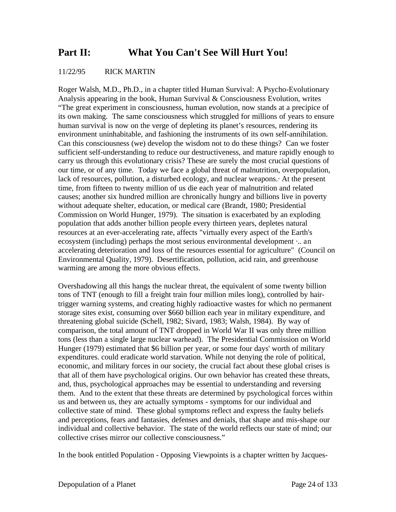# **Part II: What You Can't See Will Hurt You!**

## 11/22/95 RICK MARTIN

Roger Walsh, M.D., Ph.D., in a chapter titled Human Survival: A Psycho-Evolutionary Analysis appearing in the book, Human Survival & Consciousness Evolution, writes "The great experiment in consciousness, human evolution, now stands at a precipice of its own making. The same consciousness which struggled for millions of years to ensure human survival is now on the verge of depleting its planet's resources, rendering its environment uninhabitable, and fashioning the instruments of its own self-annihilation. Can this consciousness (we) develop the wisdom not to do these things? Can we foster sufficient self-understanding to reduce our destructiveness, and mature rapidly enough to carry us through this evolutionary crisis? These are surely the most crucial questions of our time, or of any time. Today we face a global threat of malnutrition, overpopulation, lack of resources, pollution, a disturbed ecology, and nuclear weapons.· At the present time, from fifteen to twenty million of us die each year of malnutrition and related causes; another six hundred million are chronically hungry and billions live in poverty without adequate shelter, education, or medical care (Brandt, 1980; Presidential Commission on World Hunger, 1979). The situation is exacerbated by an exploding population that adds another billion people every thirteen years, depletes natural resources at an ever-accelerating rate, affects "virtually every aspect of the Earth's ecosystem (including) perhaps the most serious environmental development  $\ldots$  an accelerating deterioration and loss of the resources essential for agriculture" (Council on Environmental Quality, 1979). Desertification, pollution, acid rain, and greenhouse warming are among the more obvious effects.

Overshadowing all this hangs the nuclear threat, the equivalent of some twenty billion tons of TNT (enough to fill a freight train four million miles long), controlled by hairtrigger warning systems, and creating highly radioactive wastes for which no permanent storage sites exist, consuming over \$660 billion each year in military expenditure, and threatening global suicide (Schell, 1982; Sivard, 1983; Walsh, 1984). By way of comparison, the total amount of TNT dropped in World War II was only three million tons (less than a single large nuclear warhead). The Presidential Commission on World Hunger (1979) estimated that \$6 billion per year, or some four days' worth of military expenditures. could eradicate world starvation. While not denying the role of political, economic, and military forces in our society, the crucial fact about these global crises is that all of them have psychological origins. Our own behavior has created these threats, and, thus, psychological approaches may be essential to understanding and reversing them. And to the extent that these threats are determined by psychological forces within us and between us, they are actually symptoms - symptoms for our individual and collective state of mind. These global symptoms reflect and express the faulty beliefs and perceptions, fears and fantasies, defenses and denials, that shape and mis-shape our individual and collective behavior. The state of the world reflects our state of mind; our collective crises mirror our collective consciousness."

In the book entitled Population - Opposing Viewpoints is a chapter written by Jacques-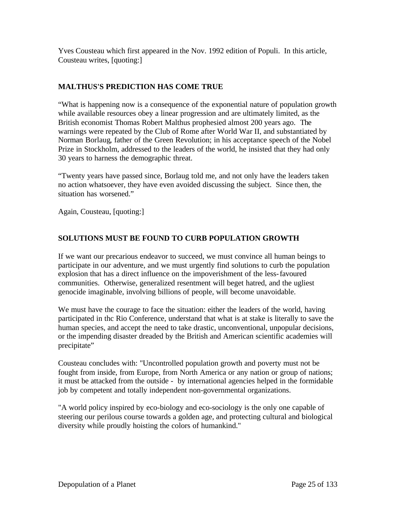Yves Cousteau which first appeared in the Nov. 1992 edition of Populi. In this article, Cousteau writes, [quoting:]

# **MALTHUS'S PREDICTION HAS COME TRUE**

"What is happening now is a consequence of the exponential nature of population growth while available resources obey a linear progression and are ultimately limited, as the British economist Thomas Robert Malthus prophesied almost 200 years ago. The warnings were repeated by the Club of Rome after World War II, and substantiated by Norman Borlaug, father of the Green Revolution; in his acceptance speech of the Nobel Prize in Stockholm, addressed to the leaders of the world, he insisted that they had only 30 years to harness the demographic threat.

"Twenty years have passed since, Borlaug told me, and not only have the leaders taken no action whatsoever, they have even avoided discussing the subject. Since then, the situation has worsened."

Again, Cousteau, [quoting:]

# **SOLUTIONS MUST BE FOUND TO CURB POPULATION GROWTH**

If we want our precarious endeavor to succeed, we must convince all human beings to participate in our adventure, and we must urgently find solutions to curb the population explosion that has a direct influence on the impoverishment of the less-favoured communities. Otherwise, generalized resentment will beget hatred, and the ugliest genocide imaginable, involving billions of people, will become unavoidable.

We must have the courage to face the situation: either the leaders of the world, having participated in thc Rio Conference, understand that what is at stake is literally to save the human species, and accept the need to take drastic, unconventional, unpopular decisions, or the impending disaster dreaded by the British and American scientific academies will precipitate"

Cousteau concludes with: "Uncontrolled population growth and poverty must not be fought from inside, from Europe, from North America or any nation or group of nations; it must be attacked from the outside - by international agencies helped in the formidable job by competent and totally independent non-governmental organizations.

"A world policy inspired by eco-biology and eco-sociology is the only one capable of steering our perilous course towards a golden age, and protecting cultural and biological diversity while proudly hoisting the colors of humankind."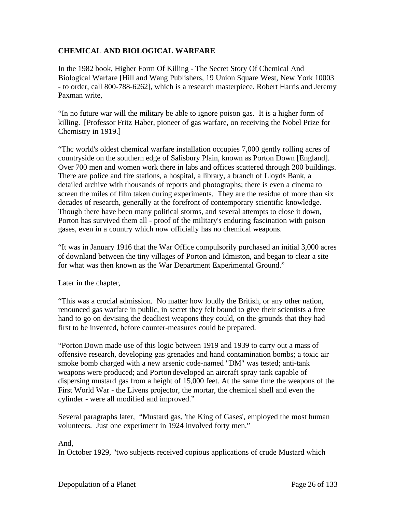## **CHEMICAL AND BIOLOGICAL WARFARE**

In the 1982 book, Higher Form Of Killing - The Secret Story Of Chemical And Biological Warfare [Hill and Wang Publishers, 19 Union Square West, New York 10003 - to order, call 800-788-6262], which is a research masterpiece. Robert Harris and Jeremy Paxman write,

"In no future war will the military be able to ignore poison gas. It is a higher form of killing. [Professor Fritz Haber, pioneer of gas warfare, on receiving the Nobel Prize for Chemistry in 1919.]

"Thc world's oldest chemical warfare installation occupies 7,000 gently rolling acres of countryside on the southern edge of Salisbury Plain, known as Porton Down [England]. Over 700 men and women work there in labs and offices scattered through 200 buildings. There are police and fire stations, a hospital, a library, a branch of Lloyds Bank, a detailed archive with thousands of reports and photographs; there is even a cinema to screen the miles of film taken during experiments. They are the residue of more than six decades of research, generally at the forefront of contemporary scientific knowledge. Though there have been many political storms, and several attempts to close it down, Porton has survived them all - proof of the military's enduring fascination with poison gases, even in a country which now officially has no chemical weapons.

"It was in January 1916 that the War Office compulsorily purchased an initial 3,000 acres of downland between the tiny villages of Porton and Idmiston, and began to clear a site for what was then known as the War Department Experimental Ground."

Later in the chapter,

"This was a crucial admission. No matter how loudly the British, or any other nation, renounced gas warfare in public, in secret they felt bound to give their scientists a free hand to go on devising the deadliest weapons they could, on the grounds that they had first to be invented, before counter-measures could be prepared.

"Porton Down made use of this logic between 1919 and 1939 to carry out a mass of offensive research, developing gas grenades and hand contamination bombs; a toxic air smoke bomb charged with a new arsenic code-named "DM" was tested; anti-tank weapons were produced; and Porton developed an aircraft spray tank capable of dispersing mustard gas from a height of 15,000 feet. At the same time the weapons of the First World War - the Livens projector, the mortar, the chemical shell and even the cylinder - were all modified and improved."

Several paragraphs later, "Mustard gas, 'the King of Gases', employed the most human volunteers. Just one experiment in 1924 involved forty men."

#### And,

In October 1929, "two subjects received copious applications of crude Mustard which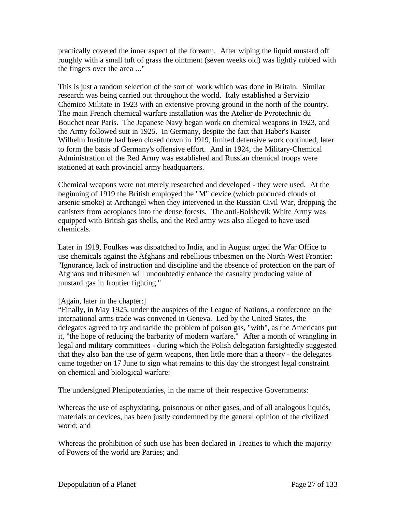practically covered the inner aspect of the forearm. After wiping the liquid mustard off roughly with a small tuft of grass the ointment (seven weeks old) was lightly rubbed with the fingers over the area ..."

This is just a random selection of the sort of work which was done in Britain. Similar research was being carried out throughout the world. Italy established a Servizio Chemico Militate in 1923 with an extensive proving ground in the north of the country. The main French chemical warfare installation was the Atelier de Pyrotechnic du Bouchet near Paris. The Japanese Navy began work on chemical weapons in 1923, and the Army followed suit in 1925. In Germany, despite the fact that Haber's Kaiser Wilhelm Institute had been closed down in 1919, limited defensive work continued, later to form the basis of Germany's offensive effort. And in 1924, the Military-Chemical Administration of the Red Army was established and Russian chemical troops were stationed at each provincial army headquarters.

Chemical weapons were not merely researched and developed - they were used. At the beginning of 1919 the British employed the "M" device (which produced clouds of arsenic smoke) at Archangel when they intervened in the Russian Civil War, dropping the canisters from aeroplanes into the dense forests. The anti-Bolshevik White Army was equipped with British gas shells, and the Red army was also alleged to have used chemicals.

Later in 1919, Foulkes was dispatched to India, and in August urged the War Office to use chemicals against the Afghans and rebellious tribesmen on the North-West Frontier: "Ignorance, lack of instruction and discipline and the absence of protection on the part of Afghans and tribesmen will undoubtedly enhance the casualty producing value of mustard gas in frontier fighting."

## [Again, later in the chapter:]

"Finally, in May 1925, under the auspices of the League of Nations, a conference on the international arms trade was convened in Geneva. Led by the United States, the delegates agreed to try and tackle the problem of poison gas, "with", as the Americans put it, "the hope of reducing the barbarity of modern warfare." After a month of wrangling in legal and military committees - during which the Polish delegation farsightedly suggested that they also ban the use of germ weapons, then little more than a theory - the delegates came together on 17 June to sign what remains to this day the strongest legal constraint on chemical and biological warfare:

The undersigned Plenipotentiaries, in the name of their respective Governments:

Whereas the use of asphyxiating, poisonous or other gases, and of all analogous liquids, materials or devices, has been justly condemned by the general opinion of the civilized world; and

Whereas the prohibition of such use has been declared in Treaties to which the majority of Powers of the world are Parties; and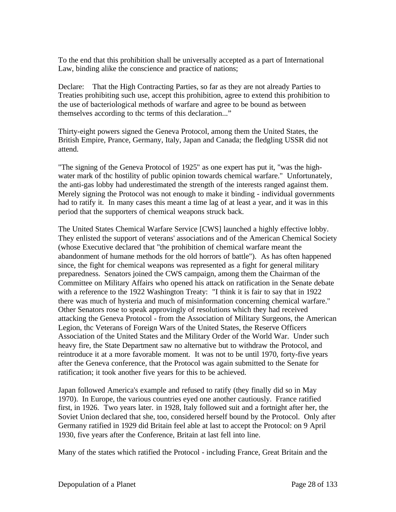To the end that this prohibition shall be universally accepted as a part of International Law, binding alike the conscience and practice of nations;

Declare: That the High Contracting Parties, so far as they are not already Parties to Treaties prohibiting such use, accept this prohibition, agree to extend this prohibition to the use of bacteriological methods of warfare and agree to be bound as between themselves according to thc terms of this declaration..."

Thirty-eight powers signed the Geneva Protocol, among them the United States, the British Empire, Prance, Germany, Italy, Japan and Canada; the fledgling USSR did not attend.

"The signing of the Geneva Protocol of 1925" as one expert has put it, "was the highwater mark of thc hostility of public opinion towards chemical warfare." Unfortunately, the anti-gas lobby had underestimated the strength of the interests ranged against them. Merely signing the Protocol was not enough to make it binding - individual governments had to ratify it. In many cases this meant a time lag of at least a year, and it was in this period that the supporters of chemical weapons struck back.

The United States Chemical Warfare Service [CWS] launched a highly effective lobby. They enlisted the support of veterans' associations and of the American Chemical Society (whose Executive declared that "the prohibition of chemical warfare meant the abandonment of humane methods for the old horrors of battle"). As has often happened since, the fight for chemical weapons was represented as a fight for general military preparedness. Senators joined the CWS campaign, among them the Chairman of the Committee on Military Affairs who opened his attack on ratification in the Senate debate with a reference to the 1922 Washington Treaty: "I think it is fair to say that in 1922 there was much of hysteria and much of misinformation concerning chemical warfare." Other Senators rose to speak approvingly of resolutions which they had received attacking the Geneva Protocol - from the Association of Military Surgeons, the American Legion, thc Veterans of Foreign Wars of the United States, the Reserve Officers Association of the United States and the Military Order of the World War. Under such heavy fire, the State Department saw no alternative but to withdraw the Protocol, and reintroduce it at a more favorable moment. It was not to be until 1970, forty-five years after the Geneva conference, that the Protocol was again submitted to the Senate for ratification; it took another five years for this to be achieved.

Japan followed America's example and refused to ratify (they finally did so in May 1970). In Europe, the various countries eyed one another cautiously. France ratified first, in 1926. Two years later. in 1928, Italy followed suit and a fortnight after her, the Soviet Union declared that she, too, considered herself bound by the Protocol. Only after Germany ratified in 1929 did Britain feel able at last to accept the Protocol: on 9 April 1930, five years after the Conference, Britain at last fell into line.

Many of the states which ratified the Protocol - including France, Great Britain and the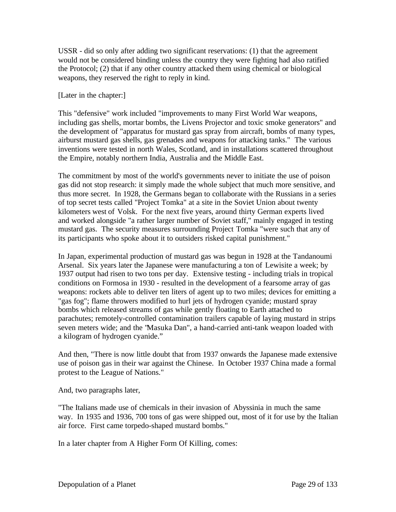USSR - did so only after adding two significant reservations: (1) that the agreement would not be considered binding unless the country they were fighting had also ratified the Protocol; (2) that if any other country attacked them using chemical or biological weapons, they reserved the right to reply in kind.

#### [Later in the chapter:]

This "defensive" work included "improvements to many First World War weapons, including gas shells, mortar bombs, the Livens Projector and toxic smoke generators" and the development of "apparatus for mustard gas spray from aircraft, bombs of many types, airburst mustard gas shells, gas grenades and weapons for attacking tanks." The various inventions were tested in north Wales, Scotland, and in installations scattered throughout the Empire, notably northern India, Australia and the Middle East.

The commitment by most of the world's governments never to initiate the use of poison gas did not stop research: it simply made the whole subject that much more sensitive, and thus more secret. In 1928, the Germans began to collaborate with the Russians in a series of top secret tests called "Project Tomka" at a site in the Soviet Union about twenty kilometers west of Volsk. For the next five years, around thirty German experts lived and worked alongside "a rather larger number of Soviet staff," mainly engaged in testing mustard gas. The security measures surrounding Project Tomka "were such that any of its participants who spoke about it to outsiders risked capital punishment."

In Japan, experimental production of mustard gas was begun in 1928 at the Tandanoumi Arsenal. Six years later the Japanese were manufacturing a ton of Lewisite a week; by 1937 output had risen to two tons per day. Extensive testing - including trials in tropical conditions on Formosa in 1930 - resulted in the development of a fearsome array of gas weapons: rockets able to deliver ten liters of agent up to two miles; devices for emitting a "gas fog"; flame throwers modified to hurl jets of hydrogen cyanide; mustard spray bombs which released streams of gas while gently floating to Earth attached to parachutes; remotely-controlled contamination trailers capable of laying mustard in strips seven meters wide; and the "Masuka Dan", a hand-carried anti-tank weapon loaded with a kilogram of hydrogen cyanide."

And then, "There is now little doubt that from 1937 onwards the Japanese made extensive use of poison gas in their war against the Chinese. In October 1937 China made a formal protest to the League of Nations."

And, two paragraphs later,

"The Italians made use of chemicals in their invasion of Abyssinia in much the same way. In 1935 and 1936, 700 tons of gas were shipped out, most of it for use by the Italian air force. First came torpedo-shaped mustard bombs."

In a later chapter from A Higher Form Of Killing, comes: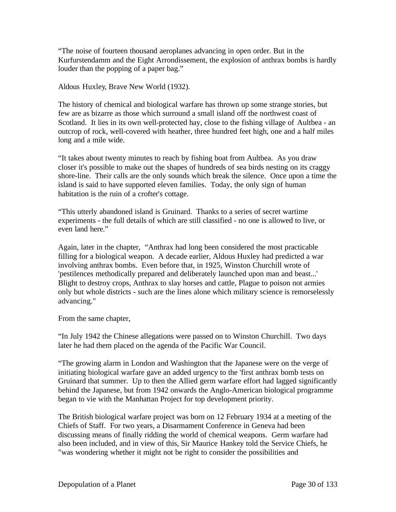"The noise of fourteen thousand aeroplanes advancing in open order. But in the Kurfurstendamm and the Eight Arrondissement, the explosion of anthrax bombs is hardly louder than the popping of a paper bag."

Aldous Huxley, Brave New World (1932).

The history of chemical and biological warfare has thrown up some strange stories, but few are as bizarre as those which surround a small island off the northwest coast of Scotland. It lies in its own well-protected hay, close to the fishing village of Aultbea - an outcrop of rock, well-covered with heather, three hundred feet high, one and a half miles long and a mile wide.

"It takes about twenty minutes to reach by fishing boat from Aultbea. As you draw closer it's possible to make out the shapes of hundreds of sea birds nesting on its craggy shore-line. Their calls are the only sounds which break the silence. Once upon a time the island is said to have supported eleven families. Today, the only sign of human habitation is the ruin of a crofter's cottage.

"This utterly abandoned island is Gruinard. Thanks to a series of secret wartime experiments - the full details of which are still classified - no one is allowed to live, or even land here."

Again, later in the chapter, "Anthrax had long been considered the most practicable filling for a biological weapon. A decade earlier, Aldous Huxley had predicted a war involving anthrax bombs. Even before that, in 1925, Winston Churchill wrote of 'pestilences methodically prepared and deliberately launched upon man and beast...' Blight to destroy crops, Anthrax to slay horses and cattle, Plague to poison not armies only but whole districts - such are the lines alone which military science is remorselessly advancing."

From the same chapter,

"In July 1942 the Chinese allegations were passed on to Winston Churchill. Two days later he had them placed on the agenda of the Pacific War Council.

"The growing alarm in London and Washington that the Japanese were on the verge of initiating biological warfare gave an added urgency to the 'first anthrax bomb tests on Gruinard that summer. Up to then the Allied germ warfare effort had lagged significantly behind the Japanese, but from 1942 onwards the Anglo-American biological programme began to vie with the Manhattan Project for top development priority.

The British biological warfare project was born on 12 February 1934 at a meeting of the Chiefs of Staff. For two years, a Disarmament Conference in Geneva had been discussing means of finally ridding the world of chemical weapons. Germ warfare had also been included, and in view of this, Sir Maurice Hankey told the Service Chiefs, he "was wondering whether it might not be right to consider the possibilities and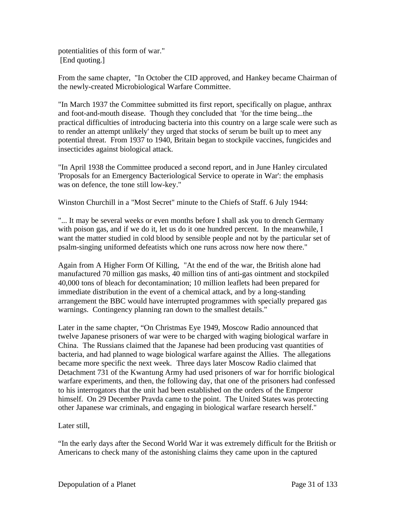potentialities of this form of war." [End quoting.]

From the same chapter, "In October the CID approved, and Hankey became Chairman of the newly-created Microbiological Warfare Committee.

"In March 1937 the Committee submitted its first report, specifically on plague, anthrax and foot-and-mouth disease. Though they concluded that 'for the time being...the practical difficulties of introducing bacteria into this country on a large scale were such as to render an attempt unlikely' they urged that stocks of serum be built up to meet any potential threat. From 1937 to 1940, Britain began to stockpile vaccines, fungicides and insecticides against biological attack.

"In April 1938 the Committee produced a second report, and in June Hanley circulated 'Proposals for an Emergency Bacteriological Service to operate in War': the emphasis was on defence, the tone still low-key."

Winston Churchill in a "Most Secret" minute to the Chiefs of Staff. 6 July 1944:

"... It may be several weeks or even months before I shall ask you to drench Germany with poison gas, and if we do it, let us do it one hundred percent. In the meanwhile, I want the matter studied in cold blood by sensible people and not by the particular set of psalm-singing uniformed defeatists which one runs across now here now there."

Again from A Higher Form Of Killing, "At the end of the war, the British alone had manufactured 70 million gas masks, 40 million tins of anti-gas ointment and stockpiled 40,000 tons of bleach for decontamination; 10 million leaflets had been prepared for immediate distribution in the event of a chemical attack, and by a long-standing arrangement the BBC would have interrupted programmes with specially prepared gas warnings. Contingency planning ran down to the smallest details."

Later in the same chapter, "On Christmas Eye 1949, Moscow Radio announced that twelve Japanese prisoners of war were to be charged with waging biological warfare in China. The Russians claimed that the Japanese had been producing vast quantities of bacteria, and had planned to wage biological warfare against the Allies. The allegations became more specific the next week. Three days later Moscow Radio claimed that Detachment 731 of the Kwantung Army had used prisoners of war for horrific biological warfare experiments, and then, the following day, that one of the prisoners had confessed to his interrogators that the unit had been established on the orders of the Emperor himself. On 29 December Pravda came to the point. The United States was protecting other Japanese war criminals, and engaging in biological warfare research herself."

## Later still,

"In the early days after the Second World War it was extremely difficult for the British or Americans to check many of the astonishing claims they came upon in the captured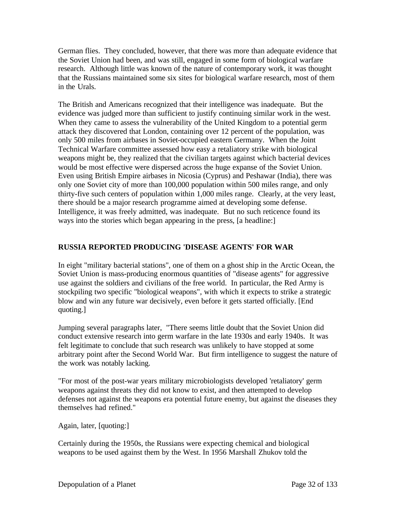German flies. They concluded, however, that there was more than adequate evidence that the Soviet Union had been, and was still, engaged in some form of biological warfare research. Although little was known of the nature of contemporary work, it was thought that the Russians maintained some six sites for biological warfare research, most of them in the Urals.

The British and Americans recognized that their intelligence was inadequate. But the evidence was judged more than sufficient to justify continuing similar work in the west. When they came to assess the vulnerability of the United Kingdom to a potential germ attack they discovered that London, containing over 12 percent of the population, was only 500 miles from airbases in Soviet-occupied eastern Germany. When the Joint Technical Warfare committee assessed how easy a retaliatory strike with biological weapons might be, they realized that the civilian targets against which bacterial devices would be most effective were dispersed across the huge expanse of the Soviet Union. Even using British Empire airbases in Nicosia (Cyprus) and Peshawar (India), there was only one Soviet city of more than 100,000 population within 500 miles range, and only thirty-five such centers of population within 1,000 miles range. Clearly, at the very least, there should be a major research programme aimed at developing some defense. Intelligence, it was freely admitted, was inadequate. But no such reticence found its ways into the stories which began appearing in the press, [a headline:]

# **RUSSIA REPORTED PRODUCING 'DISEASE AGENTS' FOR WAR**

In eight "military bacterial stations", one of them on a ghost ship in the Arctic Ocean, the Soviet Union is mass-producing enormous quantities of "disease agents" for aggressive use against the soldiers and civilians of the free world. In particular, the Red Army is stockpiling two specific "biological weapons", with which it expects to strike a strategic blow and win any future war decisively, even before it gets started officially. [End quoting.]

Jumping several paragraphs later, "There seems little doubt that the Soviet Union did conduct extensive research into germ warfare in the late 1930s and early 1940s. It was felt legitimate to conclude that such research was unlikely to have stopped at some arbitrary point after the Second World War. But firm intelligence to suggest the nature of the work was notably lacking.

"For most of the post-war years military microbiologists developed 'retaliatory' germ weapons against threats they did not know to exist, and then attempted to develop defenses not against the weapons era potential future enemy, but against the diseases they themselves had refined."

Again, later, [quoting:]

Certainly during the 1950s, the Russians were expecting chemical and biological weapons to be used against them by the West. In 1956 Marshall Zhukov told the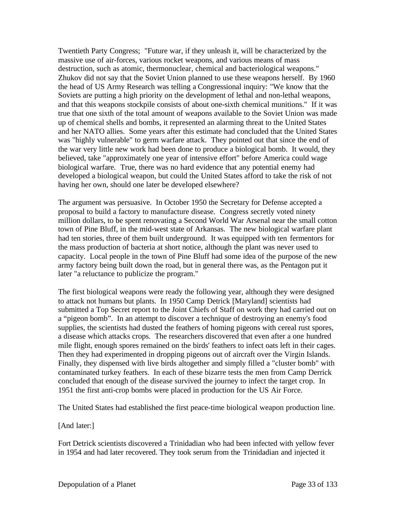Twentieth Party Congress; "Future war, if they unleash it, will be characterized by the massive use of air-forces, various rocket weapons, and various means of mass destruction, such as atomic, thermonuclear, chemical and bacteriological weapons." Zhukov did not say that the Soviet Union planned to use these weapons herself. By 1960 the head of US Army Research was telling a Congressional inquiry: "We know that the Soviets are putting a high priority on the development of lethal and non-lethal weapons, and that this weapons stockpile consists of about one-sixth chemical munitions." If it was true that one sixth of the total amount of weapons available to the Soviet Union was made up of chemical shells and bombs, it represented an alarming threat to the United States and her NATO allies. Some years after this estimate had concluded that the United States was "highly vulnerable" to germ warfare attack. They pointed out that since the end of the war very little new work had been done to produce a biological bomb. It would, they believed, take "approximately one year of intensive effort" before America could wage biological warfare. True, there was no hard evidence that any potential enemy had developed a biological weapon, but could the United States afford to take the risk of not having her own, should one later be developed elsewhere?

The argument was persuasive. In October 1950 the Secretary for Defense accepted a proposal to build a factory to manufacture disease. Congress secretly voted ninety million dollars, to be spent renovating a Second World War Arsenal near the small cotton town of Pine Bluff, in the mid-west state of Arkansas. The new biological warfare plant had ten stories, three of them built underground. It was equipped with ten fermentors for the mass production of bacteria at short notice, although the plant was never used to capacity. Local people in the town of Pine Bluff had some idea of the purpose of the new army factory being built down the road, but in general there was, as the Pentagon put it later "a reluctance to publicize the program."

The first biological weapons were ready the following year, although they were designed to attack not humans but plants. In 1950 Camp Detrick [Maryland] scientists had submitted a Top Secret report to the Joint Chiefs of Staff on work they had carried out on a "pigeon bomb". In an attempt to discover a technique of destroying an enemy's food supplies, the scientists had dusted the feathers of homing pigeons with cereal rust spores, a disease which attacks crops. The researchers discovered that even after a one hundred mile flight, enough spores remained on the birds' feathers to infect oats left in their cages. Then they had experimented in dropping pigeons out of aircraft over the Virgin Islands. Finally, they dispensed with live birds altogether and simply filled a "cluster bomb" with contaminated turkey feathers. In each of these bizarre tests the men from Camp Derrick concluded that enough of the disease survived the journey to infect the target crop. In 1951 the first anti-crop bombs were placed in production for the US Air Force.

The United States had established the first peace-time biological weapon production line.

[And later:]

Fort Detrick scientists discovered a Trinidadian who had been infected with yellow fever in 1954 and had later recovered. They took serum from the Trinidadian and injected it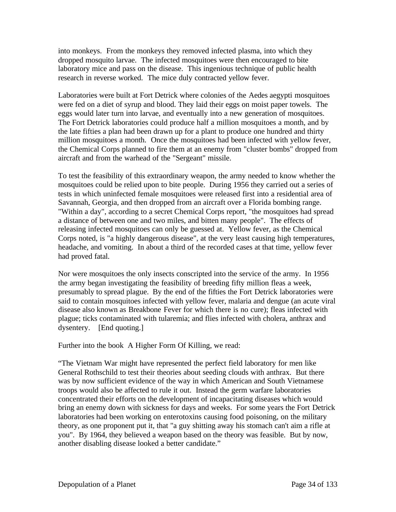into monkeys. From the monkeys they removed infected plasma, into which they dropped mosquito larvae. The infected mosquitoes were then encouraged to bite laboratory mice and pass on the disease. This ingenious technique of public health research in reverse worked. The mice duly contracted yellow fever.

Laboratories were built at Fort Detrick where colonies of the Aedes aegypti mosquitoes were fed on a diet of syrup and blood. They laid their eggs on moist paper towels. The eggs would later turn into larvae, and eventually into a new generation of mosquitoes. The Fort Detrick laboratories could produce half a million mosquitoes a month, and by the late fifties a plan had been drawn up for a plant to produce one hundred and thirty million mosquitoes a month. Once the mosquitoes had been infected with yellow fever, the Chemical Corps planned to fire them at an enemy from "cluster bombs" dropped from aircraft and from the warhead of the "Sergeant" missile.

To test the feasibility of this extraordinary weapon, the army needed to know whether the mosquitoes could be relied upon to bite people. During 1956 they carried out a series of tests in which uninfected female mosquitoes were released first into a residential area of Savannah, Georgia, and then dropped from an aircraft over a Florida bombing range. "Within a day", according to a secret Chemical Corps report, "the mosquitoes had spread a distance of between one and two miles, and bitten many people". The effects of releasing infected mosquitoes can only be guessed at. Yellow fever, as the Chemical Corps noted, is "a highly dangerous disease", at the very least causing high temperatures, headache, and vomiting. In about a third of the recorded cases at that time, yellow fever had proved fatal.

Nor were mosquitoes the only insects conscripted into the service of the army. In 1956 the army began investigating the feasibility of breeding fifty million fleas a week, presumably to spread plague. By the end of the fifties the Fort Detrick laboratories were said to contain mosquitoes infected with yellow fever, malaria and dengue (an acute viral disease also known as Breakbone Fever for which there is no cure); fleas infected with plague; ticks contaminated with tularemia; and flies infected with cholera, anthrax and dysentery. [End quoting.]

Further into the book A Higher Form Of Killing, we read:

"The Vietnam War might have represented the perfect field laboratory for men like General Rothschild to test their theories about seeding clouds with anthrax. But there was by now sufficient evidence of the way in which American and South Vietnamese troops would also be affected to rule it out. Instead the germ warfare laboratories concentrated their efforts on the development of incapacitating diseases which would bring an enemy down with sickness for days and weeks. For some years the Fort Detrick laboratories had been working on enterotoxins causing food poisoning, on the military theory, as one proponent put it, that "a guy shitting away his stomach can't aim a rifle at you". By 1964, they believed a weapon based on the theory was feasible. But by now, another disabling disease looked a better candidate."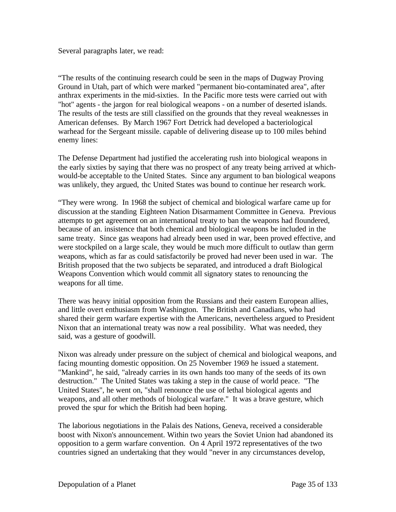Several paragraphs later, we read:

"The results of the continuing research could be seen in the maps of Dugway Proving Ground in Utah, part of which were marked "permanent bio-contaminated area", after anthrax experiments in the mid-sixties. In the Pacific more tests were carried out with "hot" agents - the jargon for real biological weapons - on a number of deserted islands. The results of the tests are still classified on the grounds that they reveal weaknesses in American defenses. By March 1967 Fort Detrick had developed a bacteriological warhead for the Sergeant missile. capable of delivering disease up to 100 miles behind enemy lines:

The Defense Department had justified the accelerating rush into biological weapons in the early sixties by saying that there was no prospect of any treaty being arrived at whichwould-be acceptable to the United States. Since any argument to ban biological weapons was unlikely, they argued, thc United States was bound to continue her research work.

"They were wrong. In 1968 the subject of chemical and biological warfare came up for discussion at the standing Eighteen Nation Disarmament Committee in Geneva. Previous attempts to get agreement on an international treaty to ban the weapons had floundered, because of an. insistence that both chemical and biological weapons be included in the same treaty. Since gas weapons had already been used in war, been proved effective, and were stockpiled on a large scale, they would be much more difficult to outlaw than germ weapons, which as far as could satisfactorily be proved had never been used in war. The British proposed that the two subjects be separated, and introduced a draft Biological Weapons Convention which would commit all signatory states to renouncing the weapons for all time.

There was heavy initial opposition from the Russians and their eastern European allies, and little overt enthusiasm from Washington. The British and Canadians, who had shared their germ warfare expertise with the Americans, nevertheless argued to President Nixon that an international treaty was now a real possibility. What was needed, they said, was a gesture of goodwill.

Nixon was already under pressure on the subject of chemical and biological weapons, and facing mounting domestic opposition. On 25 November 1969 he issued a statement. "Mankind", he said, "already carries in its own hands too many of the seeds of its own destruction." The United States was taking a step in the cause of world peace. "The United States", he went on, "shall renounce the use of lethal biological agents and weapons, and all other methods of biological warfare." It was a brave gesture, which proved the spur for which the British had been hoping.

The laborious negotiations in the Palais des Nations, Geneva, received a considerable boost with Nixon's announcement. Within two years the Soviet Union had abandoned its opposition to a germ warfare convention. On 4 April 1972 representatives of the two countries signed an undertaking that they would "never in any circumstances develop,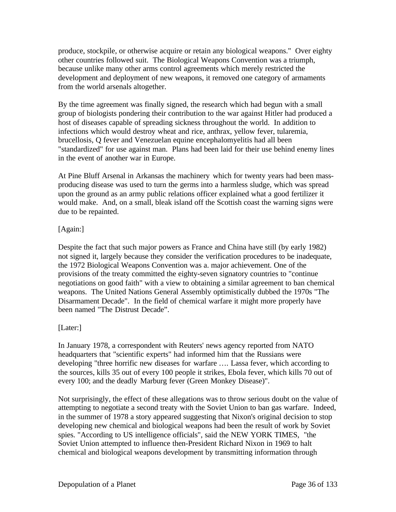produce, stockpile, or otherwise acquire or retain any biological weapons." Over eighty other countries followed suit. The Biological Weapons Convention was a triumph, because unlike many other arms control agreements which merely restricted the development and deployment of new weapons, it removed one category of armaments from the world arsenals altogether.

By the time agreement was finally signed, the research which had begun with a small group of biologists pondering their contribution to the war against Hitler had produced a host of diseases capable of spreading sickness throughout the world. In addition to infections which would destroy wheat and rice, anthrax, yellow fever, tularemia, brucellosis, Q fever and Venezuelan equine encephalomyelitis had all been "standardized" for use against man. Plans had been laid for their use behind enemy lines in the event of another war in Europe.

At Pine Bluff Arsenal in Arkansas the machinery which for twenty years had been massproducing disease was used to turn the germs into a harmless sludge, which was spread upon the ground as an army public relations officer explained what a good fertilizer it would make. And, on a small, bleak island off the Scottish coast the warning signs were due to be repainted.

# [Again:]

Despite the fact that such major powers as France and China have still (by early 1982) not signed it, largely because they consider the verification procedures to be inadequate, the 1972 Biological Weapons Convention was a. major achievement. One of the provisions of the treaty committed the eighty-seven signatory countries to "continue negotiations on good faith" with a view to obtaining a similar agreement to ban chemical weapons. The United Nations General Assembly optimistically dubbed the 1970s "The Disarmament Decade". In the field of chemical warfare it might more properly have been named "The Distrust Decade".

## [Later:]

In January 1978, a correspondent with Reuters' news agency reported from NATO headquarters that "scientific experts" had informed him that the Russians were developing "three horrific new diseases for warfare …. Lassa fever, which according to the sources, kills 35 out of every 100 people it strikes, Ebola fever, which kills 70 out of every 100; and the deadly Marburg fever (Green Monkey Disease)".

Not surprisingly, the effect of these allegations was to throw serious doubt on the value of attempting to negotiate a second treaty with the Soviet Union to ban gas warfare. Indeed, in the summer of 1978 a story appeared suggesting that Nixon's original decision to stop developing new chemical and biological weapons had been the result of work by Soviet spies. "According to US intelligence officials", said the NEW YORK TIMES, "the Soviet Union attempted to influence then-President Richard Nixon in 1969 to halt chemical and biological weapons development by transmitting information through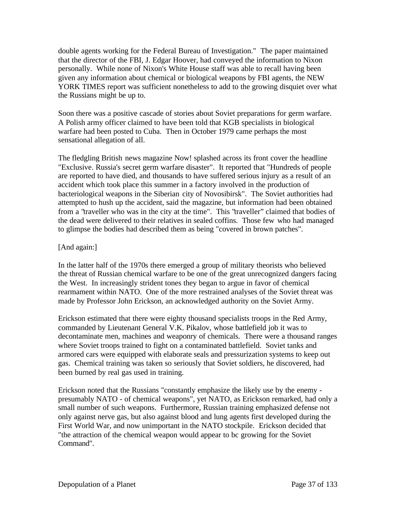double agents working for the Federal Bureau of Investigation." The paper maintained that the director of the FBI, J. Edgar Hoover, had conveyed the information to Nixon personally. While none of Nixon's White House staff was able to recall having been given any information about chemical or biological weapons by FBI agents, the NEW YORK TIMES report was sufficient nonetheless to add to the growing disquiet over what the Russians might be up to.

Soon there was a positive cascade of stories about Soviet preparations for germ warfare. A Polish army officer claimed to have been told that KGB specialists in biological warfare had been posted to Cuba. Then in October 1979 came perhaps the most sensational allegation of all.

The fledgling British news magazine Now! splashed across its front cover the headline "Exclusive. Russia's secret germ warfare disaster". It reported that "Hundreds of people are reported to have died, and thousands to have suffered serious injury as a result of an accident which took place this summer in a factory involved in the production of bacteriological weapons in the Siberian city of Novosibirsk". The Soviet authorities had attempted to hush up the accident, said the magazine, but information had been obtained from a "traveller who was in the city at the time". This "traveller" claimed that bodies of the dead were delivered to their relatives in sealed coffins. Those few who had managed to glimpse the bodies had described them as being "covered in brown patches".

#### [And again:]

In the latter half of the 1970s there emerged a group of military theorists who believed the threat of Russian chemical warfare to be one of the great unrecognized dangers facing the West. In increasingly strident tones they began to argue in favor of chemical rearmament within NATO. One of the more restrained analyses of the Soviet threat was made by Professor John Erickson, an acknowledged authority on the Soviet Army.

Erickson estimated that there were eighty thousand specialists troops in the Red Army, commanded by Lieutenant General V.K. Pikalov, whose battlefield job it was to decontaminate men, machines and weaponry of chemicals. There were a thousand ranges where Soviet troops trained to fight on a contaminated battlefield. Soviet tanks and armored cars were equipped with elaborate seals and pressurization systems to keep out gas. Chemical training was taken so seriously that Soviet soldiers, he discovered, had been burned by real gas used in training.

Erickson noted that the Russians "constantly emphasize the likely use by the enemy presumably NATO - of chemical weapons", yet NATO, as Erickson remarked, had only a small number of such weapons. Furthermore, Russian training emphasized defense not only against nerve gas, but also against blood and lung agents first developed during the First World War, and now unimportant in the NATO stockpile. Erickson decided that "the attraction of the chemical weapon would appear to bc growing for the Soviet Command".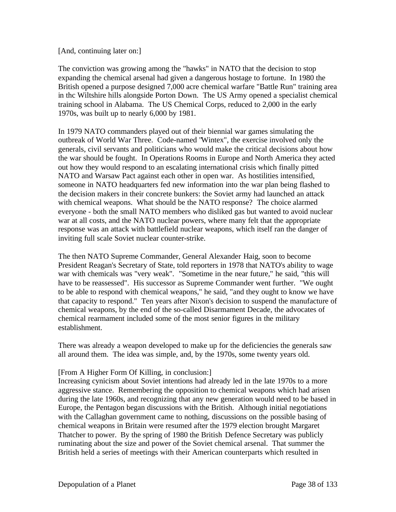#### [And, continuing later on:]

The conviction was growing among the "hawks" in NATO that the decision to stop expanding the chemical arsenal had given a dangerous hostage to fortune. In 1980 the British opened a purpose designed 7,000 acre chemical warfare "Battle Run" training area in thc Wiltshire hills alongside Porton Down. The US Army opened a specialist chemical training school in Alabama. The US Chemical Corps, reduced to 2,000 in the early 1970s, was built up to nearly 6,000 by 1981.

In 1979 NATO commanders played out of their biennial war games simulating the outbreak of World War Three. Code-named "Wintex", the exercise involved only the generals, civil servants and politicians who would make the critical decisions about how the war should be fought. In Operations Rooms in Europe and North America they acted out how they would respond to an escalating international crisis which finally pitted NATO and Warsaw Pact against each other in open war. As hostilities intensified, someone in NATO headquarters fed new information into the war plan being flashed to the decision makers in their concrete bunkers: the Soviet army had launched an attack with chemical weapons. What should be the NATO response? The choice alarmed everyone - both the small NATO members who disliked gas but wanted to avoid nuclear war at all costs, and the NATO nuclear powers, where many felt that the appropriate response was an attack with battlefield nuclear weapons, which itself ran the danger of inviting full scale Soviet nuclear counter-strike.

The then NATO Supreme Commander, General Alexander Haig, soon to become President Reagan's Secretary of State, told reporters in 1978 that NATO's ability to wage war with chemicals was "very weak". "Sometime in the near future," he said, "this will have to be reassessed". His successor as Supreme Commander went further. "We ought to be able to respond with chemical weapons," he said, "and they ought to know we have that capacity to respond." Ten years after Nixon's decision to suspend the manufacture of chemical weapons, by the end of the so-called Disarmament Decade, the advocates of chemical rearmament included some of the most senior figures in the military establishment.

There was already a weapon developed to make up for the deficiencies the generals saw all around them. The idea was simple, and, by the 1970s, some twenty years old.

#### [From A Higher Form Of Killing, in conclusion:]

Increasing cynicism about Soviet intentions had already led in the late 1970s to a more aggressive stance. Remembering the opposition to chemical weapons which had arisen during the late 1960s, and recognizing that any new generation would need to be based in Europe, the Pentagon began discussions with the British. Although initial negotiations with the Callaghan government came to nothing, discussions on the possible basing of chemical weapons in Britain were resumed after the 1979 election brought Margaret Thatcher to power. By the spring of 1980 the British Defence Secretary was publicly ruminating about the size and power of the Soviet chemical arsenal. That summer the British held a series of meetings with their American counterparts which resulted in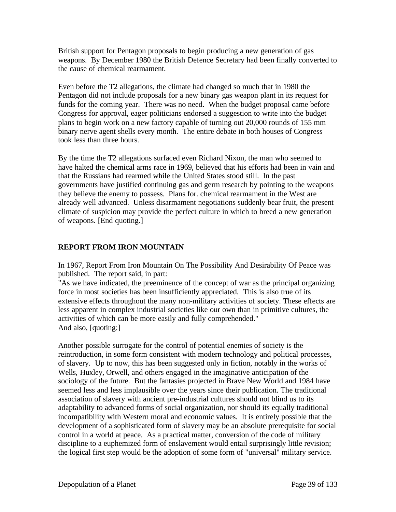British support for Pentagon proposals to begin producing a new generation of gas weapons. By December 1980 the British Defence Secretary had been finally converted to the cause of chemical rearmament.

Even before the T2 allegations, the climate had changed so much that in 1980 the Pentagon did not include proposals for a new binary gas weapon plant in its request for funds for the coming year. There was no need. When the budget proposal came before Congress for approval, eager politicians endorsed a suggestion to write into the budget plans to begin work on a new factory capable of turning out 20,000 rounds of 155 mm binary nerve agent shells every month. The entire debate in both houses of Congress took less than three hours.

By the time the T2 allegations surfaced even Richard Nixon, the man who seemed to have halted the chemical arms race in 1969, believed that his efforts had been in vain and that the Russians had rearmed while the United States stood still. In the past governments have justified continuing gas and germ research by pointing to the weapons they believe the enemy to possess. Plans for. chemical rearmament in the West are already well advanced. Unless disarmament negotiations suddenly bear fruit, the present climate of suspicion may provide the perfect culture in which to breed a new generation of weapons. [End quoting.]

# **REPORT FROM IRON MOUNTAIN**

In 1967, Report From Iron Mountain On The Possibility And Desirability Of Peace was published. The report said, in part:

"As we have indicated, the preeminence of the concept of war as the principal organizing force in most societies has been insufficiently appreciated. This is also true of its extensive effects throughout the many non-military activities of society. These effects are less apparent in complex industrial societies like our own than in primitive cultures, the activities of which can be more easily and fully comprehended." And also, [quoting:]

Another possible surrogate for the control of potential enemies of society is the reintroduction, in some form consistent with modern technology and political processes, of slavery. Up to now, this has been suggested only in fiction, notably in the works of Wells, Huxley, Orwell, and others engaged in the imaginative anticipation of the sociology of the future. But the fantasies projected in Brave New World and 1984 have seemed less and less implausible over the years since their publication. The traditional association of slavery with ancient pre-industrial cultures should not blind us to its adaptability to advanced forms of social organization, nor should its equally traditional incompatibility with Western moral and economic values. It is entirely possible that the development of a sophisticated form of slavery may be an absolute prerequisite for social control in a world at peace. As a practical matter, conversion of the code of military discipline to a euphemized form of enslavement would entail surprisingly little revision; the logical first step would be the adoption of some form of "universal" military service.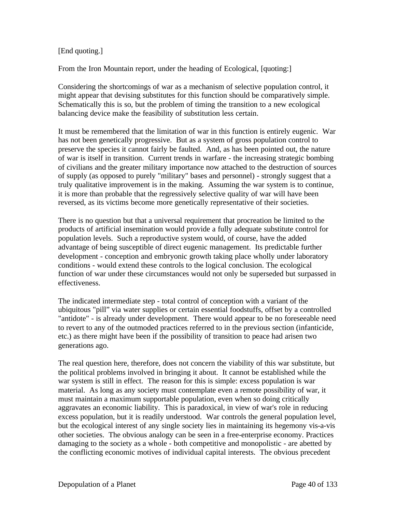#### [End quoting.]

From the Iron Mountain report, under the heading of Ecological, [quoting:]

Considering the shortcomings of war as a mechanism of selective population control, it might appear that devising substitutes for this function should be comparatively simple. Schematically this is so, but the problem of timing the transition to a new ecological balancing device make the feasibility of substitution less certain.

It must be remembered that the limitation of war in this function is entirely eugenic. War has not been genetically progressive. But as a system of gross population control to preserve the species it cannot fairly be faulted. And, as has been pointed out, the nature of war is itself in transition. Current trends in warfare - the increasing strategic bombing of civilians and the greater military importance now attached to the destruction of sources of supply (as opposed to purely "military" bases and personnel) - strongly suggest that a truly qualitative improvement is in the making. Assuming the war system is to continue, it is more than probable that the regressively selective quality of war will have been reversed, as its victims become more genetically representative of their societies.

There is no question but that a universal requirement that procreation be limited to the products of artificial insemination would provide a fully adequate substitute control for population levels. Such a reproductive system would, of course, have the added advantage of being susceptible of direct eugenic management. Its predictable further development - conception and embryonic growth taking place wholly under laboratory conditions - would extend these controls to the logical conclusion. The ecological function of war under these circumstances would not only be superseded but surpassed in effectiveness.

The indicated intermediate step - total control of conception with a variant of the ubiquitous "pill" via water supplies or certain essential foodstuffs, offset by a controlled "antidote" - is already under development. There would appear to be no foreseeable need to revert to any of the outmoded practices referred to in the previous section (infanticide, etc.) as there might have been if the possibility of transition to peace had arisen two generations ago.

The real question here, therefore, does not concern the viability of this war substitute, but the political problems involved in bringing it about. It cannot be established while the war system is still in effect. The reason for this is simple: excess population is war material. As long as any society must contemplate even a remote possibility of war, it must maintain a maximum supportable population, even when so doing critically aggravates an economic liability. This is paradoxical, in view of war's role in reducing excess population, but it is readily understood. War controls the general population level, but the ecological interest of any single society lies in maintaining its hegemony vis-a-vis other societies. The obvious analogy can be seen in a free-enterprise economy. Practices damaging to the society as a whole - both competitive and monopolistic - are abetted by the conflicting economic motives of individual capital interests. The obvious precedent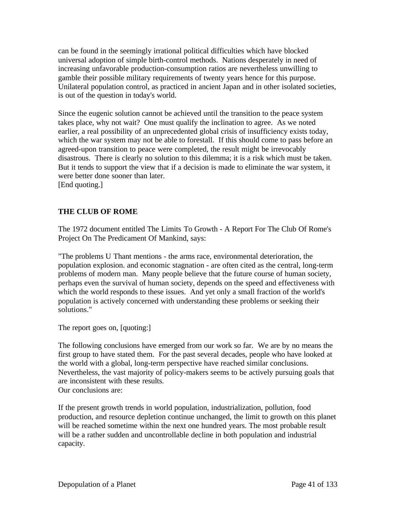can be found in the seemingly irrational political difficulties which have blocked universal adoption of simple birth-control methods. Nations desperately in need of increasing unfavorable production-consumption ratios are nevertheless unwilling to gamble their possible military requirements of twenty years hence for this purpose. Unilateral population control, as practiced in ancient Japan and in other isolated societies, is out of the question in today's world.

Since the eugenic solution cannot be achieved until the transition to the peace system takes place, why not wait? One must qualify the inclination to agree. As we noted earlier, a real possibility of an unprecedented global crisis of insufficiency exists today, which the war system may not be able to forestall. If this should come to pass before an agreed-upon transition to peace were completed, the result might be irrevocably disastrous. There is clearly no solution to this dilemma; it is a risk which must be taken. But it tends to support the view that if a decision is made to eliminate the war system, it were better done sooner than later.

[End quoting.]

## **THE CLUB OF ROME**

The 1972 document entitled The Limits To Growth - A Report For The Club Of Rome's Project On The Predicament Of Mankind, says:

"The problems U Thant mentions - the arms race, environmental deterioration, the population explosion. and economic stagnation - are often cited as the central, long-term problems of modern man. Many people believe that the future course of human society, perhaps even the survival of human society, depends on the speed and effectiveness with which the world responds to these issues. And yet only a small fraction of the world's population is actively concerned with understanding these problems or seeking their solutions."

The report goes on, [quoting:]

The following conclusions have emerged from our work so far. We are by no means the first group to have stated them. For the past several decades, people who have looked at the world with a global, long-term perspective have reached similar conclusions. Nevertheless, the vast majority of policy-makers seems to be actively pursuing goals that are inconsistent with these results. Our conclusions are:

If the present growth trends in world population, industrialization, pollution, food production, and resource depletion continue unchanged, the limit to growth on this planet will be reached sometime within the next one hundred years. The most probable result will be a rather sudden and uncontrollable decline in both population and industrial capacity.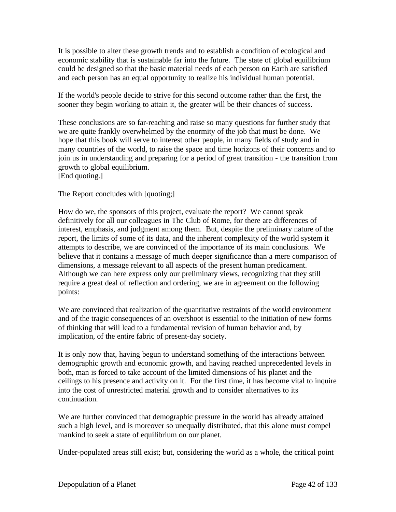It is possible to alter these growth trends and to establish a condition of ecological and economic stability that is sustainable far into the future. The state of global equilibrium could be designed so that the basic material needs of each person on Earth are satisfied and each person has an equal opportunity to realize his individual human potential.

If the world's people decide to strive for this second outcome rather than the first, the sooner they begin working to attain it, the greater will be their chances of success.

These conclusions are so far-reaching and raise so many questions for further study that we are quite frankly overwhelmed by the enormity of the job that must be done. We hope that this book will serve to interest other people, in many fields of study and in many countries of the world, to raise the space and time horizons of their concerns and to join us in understanding and preparing for a period of great transition - the transition from growth to global equilibrium.

[End quoting.]

The Report concludes with [quoting;]

How do we, the sponsors of this project, evaluate the report? We cannot speak definitively for all our colleagues in The Club of Rome, for there are differences of interest, emphasis, and judgment among them. But, despite the preliminary nature of the report, the limits of some of its data, and the inherent complexity of the world system it attempts to describe, we are convinced of the importance of its main conclusions. We believe that it contains a message of much deeper significance than a mere comparison of dimensions, a message relevant to all aspects of the present human predicament. Although we can here express only our preliminary views, recognizing that they still require a great deal of reflection and ordering, we are in agreement on the following points:

We are convinced that realization of the quantitative restraints of the world environment and of the tragic consequences of an overshoot is essential to the initiation of new forms of thinking that will lead to a fundamental revision of human behavior and, by implication, of the entire fabric of present-day society.

It is only now that, having begun to understand something of the interactions between demographic growth and economic growth, and having reached unprecedented levels in both, man is forced to take account of the limited dimensions of his planet and the ceilings to his presence and activity on it. For the first time, it has become vital to inquire into the cost of unrestricted material growth and to consider alternatives to its continuation.

We are further convinced that demographic pressure in the world has already attained such a high level, and is moreover so unequally distributed, that this alone must compel mankind to seek a state of equilibrium on our planet.

Under-populated areas still exist; but, considering the world as a whole, the critical point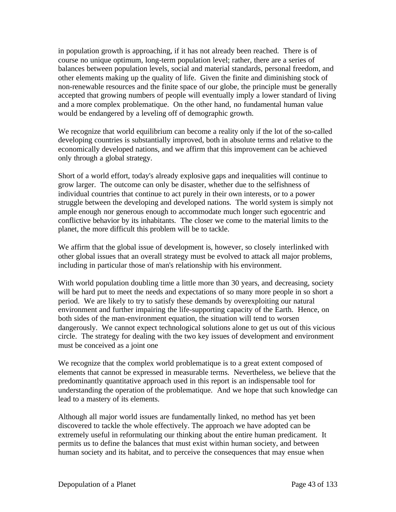in population growth is approaching, if it has not already been reached. There is of course no unique optimum, long-term population level; rather, there are a series of balances between population levels, social and material standards, personal freedom, and other elements making up the quality of life. Given the finite and diminishing stock of non-renewable resources and the finite space of our globe, the principle must be generally accepted that growing numbers of people will eventually imply a lower standard of living and a more complex problematique. On the other hand, no fundamental human value would be endangered by a leveling off of demographic growth.

We recognize that world equilibrium can become a reality only if the lot of the so-called developing countries is substantially improved, both in absolute terms and relative to the economically developed nations, and we affirm that this improvement can be achieved only through a global strategy.

Short of a world effort, today's already explosive gaps and inequalities will continue to grow larger. The outcome can only be disaster, whether due to the selfishness of individual countries that continue to act purely in their own interests, or to a power struggle between the developing and developed nations. The world system is simply not ample enough nor generous enough to accommodate much longer such egocentric and conflictive behavior by its inhabitants. The closer we come to the material limits to the planet, the more difficult this problem will be to tackle.

We affirm that the global issue of development is, however, so closely interlinked with other global issues that an overall strategy must be evolved to attack all major problems, including in particular those of man's relationship with his environment.

With world population doubling time a little more than 30 years, and decreasing, society will be hard put to meet the needs and expectations of so many more people in so short a period. We are likely to try to satisfy these demands by overexploiting our natural environment and further impairing the life-supporting capacity of the Earth. Hence, on both sides of the man-environment equation, the situation will tend to worsen dangerously. We cannot expect technological solutions alone to get us out of this vicious circle. The strategy for dealing with the two key issues of development and environment must be conceived as a joint one

We recognize that the complex world problematique is to a great extent composed of elements that cannot be expressed in measurable terms. Nevertheless, we believe that the predominantly quantitative approach used in this report is an indispensable tool for understanding the operation of the problematique. And we hope that such knowledge can lead to a mastery of its elements.

Although all major world issues are fundamentally linked, no method has yet been discovered to tackle the whole effectively. The approach we have adopted can be extremely useful in reformulating our thinking about the entire human predicament. It permits us to define the balances that must exist within human society, and between human society and its habitat, and to perceive the consequences that may ensue when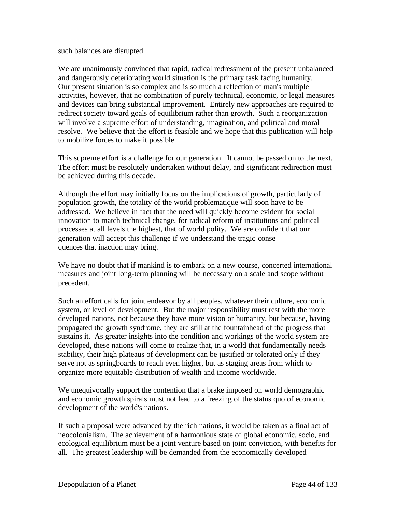such balances are disrupted.

We are unanimously convinced that rapid, radical redressment of the present unbalanced and dangerously deteriorating world situation is the primary task facing humanity. Our present situation is so complex and is so much a reflection of man's multiple activities, however, that no combination of purely technical, economic, or legal measures and devices can bring substantial improvement. Entirely new approaches are required to redirect society toward goals of equilibrium rather than growth. Such a reorganization will involve a supreme effort of understanding, imagination, and political and moral resolve. We believe that the effort is feasible and we hope that this publication will help to mobilize forces to make it possible.

This supreme effort is a challenge for our generation. It cannot be passed on to the next. The effort must be resolutely undertaken without delay, and significant redirection must be achieved during this decade.

Although the effort may initially focus on the implications of growth, particularly of population growth, the totality of the world problematique will soon have to be addressed. We believe in fact that the need will quickly become evident for social innovation to match technical change, for radical reform of institutions and political processes at all levels the highest, that of world polity. We are confident that our generation will accept this challenge if we understand the tragic conse quences that inaction may bring.

We have no doubt that if mankind is to embark on a new course, concerted international measures and joint long-term planning will be necessary on a scale and scope without precedent.

Such an effort calls for joint endeavor by all peoples, whatever their culture, economic system, or level of development. But the major responsibility must rest with the more developed nations, not because they have more vision or humanity, but because, having propagated the growth syndrome, they are still at the fountainhead of the progress that sustains it. As greater insights into the condition and workings of the world system are developed, these nations will come to realize that, in a world that fundamentally needs stability, their high plateaus of development can be justified or tolerated only if they serve not as springboards to reach even higher, but as staging areas from which to organize more equitable distribution of wealth and income worldwide.

We unequivocally support the contention that a brake imposed on world demographic and economic growth spirals must not lead to a freezing of the status quo of economic development of the world's nations.

If such a proposal were advanced by the rich nations, it would be taken as a final act of neocolonialism. The achievement of a harmonious state of global economic, socio, and ecological equilibrium must be a joint venture based on joint conviction, with benefits for all. The greatest leadership will be demanded from the economically developed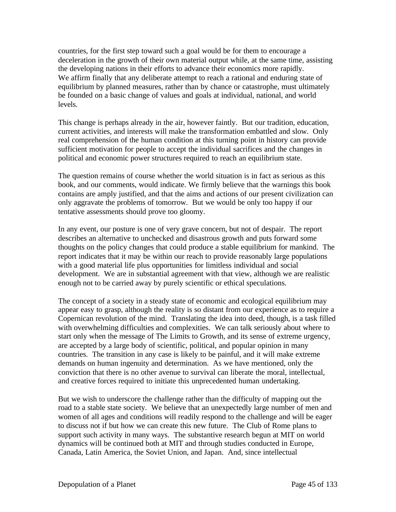countries, for the first step toward such a goal would be for them to encourage a deceleration in the growth of their own material output while, at the same time, assisting the developing nations in their efforts to advance their economics more rapidly. We affirm finally that any deliberate attempt to reach a rational and enduring state of equilibrium by planned measures, rather than by chance or catastrophe, must ultimately be founded on a basic change of values and goals at individual, national, and world levels.

This change is perhaps already in the air, however faintly. But our tradition, education, current activities, and interests will make the transformation embattled and slow. Only real comprehension of the human condition at this turning point in history can provide sufficient motivation for people to accept the individual sacrifices and the changes in political and economic power structures required to reach an equilibrium state.

The question remains of course whether the world situation is in fact as serious as this book, and our comments, would indicate. We firmly believe that the warnings this book contains are amply justified, and that the aims and actions of our present civilization can only aggravate the problems of tomorrow. But we would be only too happy if our tentative assessments should prove too gloomy.

In any event, our posture is one of very grave concern, but not of despair. The report describes an alternative to unchecked and disastrous growth and puts forward some thoughts on the policy changes that could produce a stable equilibrium for mankind. The report indicates that it may be within our reach to provide reasonably large populations with a good material life plus opportunities for limitless individual and social development. We are in substantial agreement with that view, although we are realistic enough not to be carried away by purely scientific or ethical speculations.

The concept of a society in a steady state of economic and ecological equilibrium may appear easy to grasp, although the reality is so distant from our experience as to require a Copernican revolution of the mind. Translating the idea into deed, though, is a task filled with overwhelming difficulties and complexities. We can talk seriously about where to start only when the message of The Limits to Growth, and its sense of extreme urgency, are accepted by a large body of scientific, political, and popular opinion in many countries. The transition in any case is likely to be painful, and it will make extreme demands on human ingenuity and determination. As we have mentioned, only the conviction that there is no other avenue to survival can liberate the moral, intellectual, and creative forces required to initiate this unprecedented human undertaking.

But we wish to underscore the challenge rather than the difficulty of mapping out the road to a stable state society. We believe that an unexpectedly large number of men and women of all ages and conditions will readily respond to the challenge and will be eager to discuss not if but how we can create this new future. The Club of Rome plans to support such activity in many ways. The substantive research begun at MIT on world dynamics will be continued both at MIT and through studies conducted in Europe, Canada, Latin America, the Soviet Union, and Japan. And, since intellectual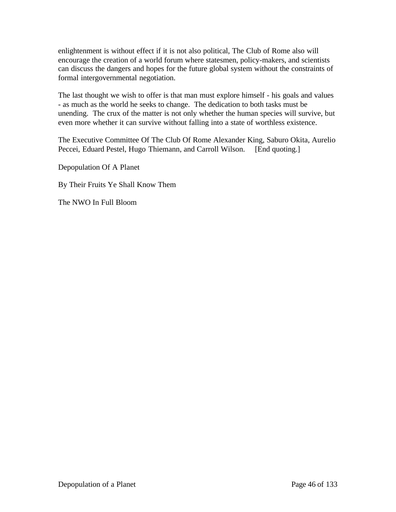enlightenment is without effect if it is not also political, The Club of Rome also will encourage the creation of a world forum where statesmen, policy-makers, and scientists can discuss the dangers and hopes for the future global system without the constraints of formal intergovernmental negotiation.

The last thought we wish to offer is that man must explore himself - his goals and values - as much as the world he seeks to change. The dedication to both tasks must be unending. The crux of the matter is not only whether the human species will survive, but even more whether it can survive without falling into a state of worthless existence.

The Executive Committee Of The Club Of Rome Alexander King, Saburo Okita, Aurelio Peccei, Eduard Pestel, Hugo Thiemann, and Carroll Wilson. [End quoting.]

Depopulation Of A Planet

By Their Fruits Ye Shall Know Them

The NWO In Full Bloom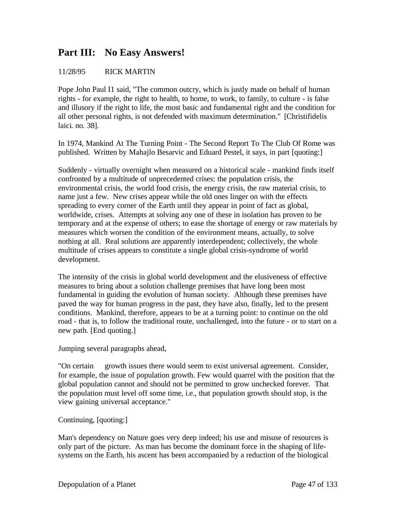# **Part III: No Easy Answers!**

#### 11/28/95 RICK MARTIN

Pope John Paul I1 said, "The common outcry, which is justly made on behalf of human rights - for example, the right to health, to home, to work, to family, to culture - is false and illusory if the right to life, the most basic and fundamental right and the condition for all other personal rights, is not defended with maximum determination." [Christifidelis laici. no. 38].

In 1974, Mankind At The Turning Point - The Second Report To The Club Of Rome was published. Written by Mahajlo Besarvic and Eduard Pestel, it says, in part [quoting:]

Suddenly - virtually overnight when measured on a historical scale - mankind finds itself confronted by a multitude of unprecedented crises: the population crisis, the environmental crisis, the world food crisis, the energy crisis, the raw material crisis, to name just a few. New crises appear while the old ones linger on with the effects spreading to every corner of the Earth until they appear in point of fact as global, worldwide, crises. Attempts at solving any one of these in isolation has proven to be temporary and at the expense of others; to ease the shortage of energy or raw materials by measures which worsen the condition of the environment means, actually, to solve nothing at all. Real solutions are apparently interdependent; collectively, the whole multitude of crises appears to constitute a single global crisis-syndrome of world development.

The intensity of the crisis in global world development and the elusiveness of effective measures to bring about a solution challenge premises that have long been most fundamental in guiding the evolution of human society. Although these premises have paved the way for human progress in the past, they have also, finally, led to the present conditions. Mankind, therefore, appears to be at a turning point: to continue on the old road - that is, to follow the traditional route, unchallenged, into the future - or to start on a new path. [End quoting.]

Jumping several paragraphs ahead,

"On certain growth issues there would seem to exist universal agreement. Consider, for example, the issue of population growth. Few would quarrel with the position that the global population cannot and should not be permitted to grow unchecked forever. That the population must level off some time, i.e., that population growth should stop, is the view gaining universal acceptance."

#### Continuing, [quoting:]

Man's dependency on Nature goes very deep indeed; his use and misuse of resources is only part of the picture. As man has become the dominant force in the shaping of lifesystems on the Earth, his ascent has been accompanied by a reduction of the biological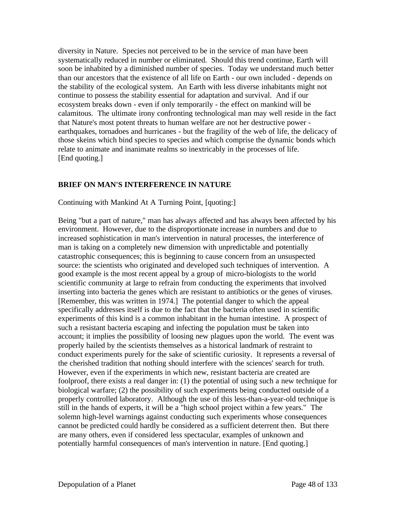diversity in Nature. Species not perceived to be in the service of man have been systematically reduced in number or eliminated. Should this trend continue, Earth will soon be inhabited by a diminished number of species. Today we understand much better than our ancestors that the existence of all life on Earth - our own included - depends on the stability of the ecological system. An Earth with less diverse inhabitants might not continue to possess the stability essential for adaptation and survival. And if our ecosystem breaks down - even if only temporarily - the effect on mankind will be calamitous. The ultimate irony confronting technological man may well reside in the fact that Nature's most potent threats to human welfare are not her destructive power earthquakes, tornadoes and hurricanes - but the fragility of the web of life, the delicacy of those skeins which bind species to species and which comprise the dynamic bonds which relate to animate and inanimate realms so inextricably in the processes of life. [End quoting.]

#### **BRIEF ON MAN'S INTERFERENCE IN NATURE**

Continuing with Mankind At A Turning Point, [quoting:]

Being "but a part of nature," man has always affected and has always been affected by his environment. However, due to the disproportionate increase in numbers and due to increased sophistication in man's intervention in natural processes, the interference of man is taking on a completely new dimension with unpredictable and potentially catastrophic consequences; this is beginning to cause concern from an unsuspected source: the scientists who originated and developed such techniques of intervention. A good example is the most recent appeal by a group of micro-biologists to the world scientific community at large to refrain from conducting the experiments that involved inserting into bacteria the genes which are resistant to antibiotics or the genes of viruses. [Remember, this was written in 1974.] The potential danger to which the appeal specifically addresses itself is due to the fact that the bacteria often used in scientific experiments of this kind is a common inhabitant in the human intestine. A prospect of such a resistant bacteria escaping and infecting the population must be taken into account; it implies the possibility of loosing new plagues upon the world. The event was properly hailed by the scientists themselves as a historical landmark of restraint to conduct experiments purely for the sake of scientific curiosity. It represents a reversal of the cherished tradition that nothing should interfere with the sciences' search for truth. However, even if the experiments in which new, resistant bacteria are created are foolproof, there exists a real danger in: (1) the potential of using such a new technique for biological warfare; (2) the possibility of such experiments being conducted outside of a properly controlled laboratory. Although the use of this less-than-a-year-old technique is still in the hands of experts, it will be a "high school project within a few years." The solemn high-level warnings against conducting such experiments whose consequences cannot be predicted could hardly be considered as a sufficient deterrent then. But there are many others, even if considered less spectacular, examples of unknown and potentially harmful consequences of man's intervention in nature. [End quoting.]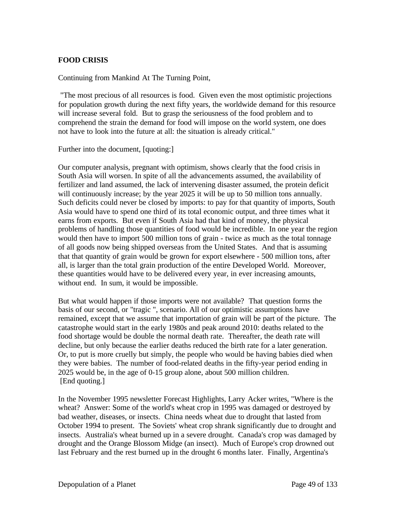### **FOOD CRISIS**

Continuing from Mankind At The Turning Point,

 "The most precious of all resources is food. Given even the most optimistic projections for population growth during the next fifty years, the worldwide demand for this resource will increase several fold. But to grasp the seriousness of the food problem and to comprehend the strain the demand for food will impose on the world system, one does not have to look into the future at all: the situation is already critical."

Further into the document, [quoting:]

Our computer analysis, pregnant with optimism, shows clearly that the food crisis in South Asia will worsen. In spite of all the advancements assumed, the availability of fertilizer and land assumed, the lack of intervening disaster assumed, the protein deficit will continuously increase; by the year 2025 it will be up to 50 million tons annually. Such deficits could never be closed by imports: to pay for that quantity of imports, South Asia would have to spend one third of its total economic output, and three times what it earns from exports. But even if South Asia had that kind of money, the physical problems of handling those quantities of food would be incredible. In one year the region would then have to import 500 million tons of grain - twice as much as the total tonnage of all goods now being shipped overseas from the United States. And that is assuming that that quantity of grain would be grown for export elsewhere - 500 million tons, after all, is larger than the total grain production of the entire Developed World. Moreover, these quantities would have to be delivered every year, in ever increasing amounts, without end. In sum, it would be impossible.

But what would happen if those imports were not available? That question forms the basis of our second, or "tragic ", scenario. All of our optimistic assumptions have remained, except that we assume that importation of grain will be part of the picture. The catastrophe would start in the early 1980s and peak around 2010: deaths related to the food shortage would be double the normal death rate. Thereafter, the death rate will decline, but only because the earlier deaths reduced the birth rate for a later generation. Or, to put is more cruelly but simply, the people who would be having babies died when they were babies. The number of food-related deaths in the fifty-year period ending in 2025 would be, in the age of 0-15 group alone, about 500 million children. [End quoting.]

In the November 1995 newsletter Forecast Highlights, Larry Acker writes, "Where is the wheat? Answer: Some of the world's wheat crop in 1995 was damaged or destroyed by bad weather, diseases, or insects. China needs wheat due to drought that lasted from October 1994 to present. The Soviets' wheat crop shrank significantly due to drought and insects. Australia's wheat burned up in a severe drought. Canada's crop was damaged by drought and the Orange Blossom Midge (an insect). Much of Europe's crop drowned out last February and the rest burned up in the drought 6 months later. Finally, Argentina's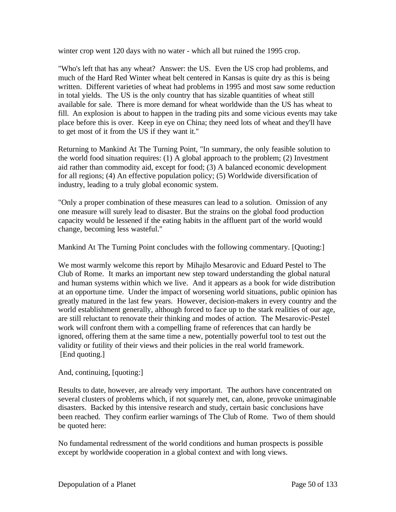winter crop went 120 days with no water - which all but ruined the 1995 crop.

"Who's left that has any wheat? Answer: the US. Even the US crop had problems, and much of the Hard Red Winter wheat belt centered in Kansas is quite dry as this is being written. Different varieties of wheat had problems in 1995 and most saw some reduction in total yields. The US is the only country that has sizable quantities of wheat still available for sale. There is more demand for wheat worldwide than the US has wheat to fill. An explosion is about to happen in the trading pits and some vicious events may take place before this is over. Keep in eye on China; they need lots of wheat and they'll have to get most of it from the US if they want it."

Returning to Mankind At The Turning Point, "In summary, the only feasible solution to the world food situation requires: (1) A global approach to the problem; (2) Investment aid rather than commodity aid, except for food; (3) A balanced economic development for all regions; (4) An effective population policy; (5) Worldwide diversification of industry, leading to a truly global economic system.

"Only a proper combination of these measures can lead to a solution. Omission of any one measure will surely lead to disaster. But the strains on the global food production capacity would be lessened if the eating habits in the affluent part of the world would change, becoming less wasteful."

Mankind At The Turning Point concludes with the following commentary. [Quoting:]

We most warmly welcome this report by Mihajlo Mesarovic and Eduard Pestel to The Club of Rome. It marks an important new step toward understanding the global natural and human systems within which we live. And it appears as a book for wide distribution at an opportune time. Under the impact of worsening world situations, public opinion has greatly matured in the last few years. However, decision-makers in every country and the world establishment generally, although forced to face up to the stark realities of our age, are still reluctant to renovate their thinking and modes of action. The Mesarovic-Pestel work will confront them with a compelling frame of references that can hardly be ignored, offering them at the same time a new, potentially powerful tool to test out the validity or futility of their views and their policies in the real world framework. [End quoting.]

And, continuing, [quoting:]

Results to date, however, are already very important. The authors have concentrated on several clusters of problems which, if not squarely met, can, alone, provoke unimaginable disasters. Backed by this intensive research and study, certain basic conclusions have been reached. They confirm earlier warnings of The Club of Rome. Two of them should be quoted here:

No fundamental redressment of the world conditions and human prospects is possible except by worldwide cooperation in a global context and with long views.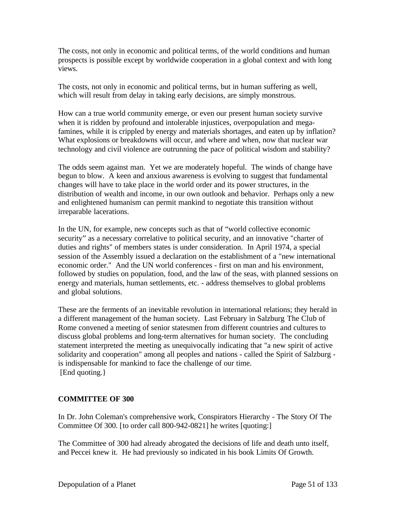The costs, not only in economic and political terms, of the world conditions and human prospects is possible except by worldwide cooperation in a global context and with long views.

The costs, not only in economic and political terms, but in human suffering as well, which will result from delay in taking early decisions, are simply monstrous.

How can a true world community emerge, or even our present human society survive when it is ridden by profound and intolerable injustices, overpopulation and megafamines, while it is crippled by energy and materials shortages, and eaten up by inflation? What explosions or breakdowns will occur, and where and when, now that nuclear war technology and civil violence are outrunning the pace of political wisdom and stability?

The odds seem against man. Yet we are moderately hopeful. The winds of change have begun to blow. A keen and anxious awareness is evolving to suggest that fundamental changes will have to take place in the world order and its power structures, in the distribution of wealth and income, in our own outlook and behavior. Perhaps only a new and enlightened humanism can permit mankind to negotiate this transition without irreparable lacerations.

In the UN, for example, new concepts such as that of "world collective economic security" as a necessary correlative to political security, and an innovative "charter of duties and rights" of members states is under consideration. In April 1974, a special session of the Assembly issued a declaration on the establishment of a "new international economic order." And the UN world conferences - first on man and his environment, followed by studies on population, food, and the law of the seas, with planned sessions on energy and materials, human settlements, etc. - address themselves to global problems and global solutions.

These are the ferments of an inevitable revolution in international relations; they herald in a different management of the human society. Last February in Salzburg The Club of Rome convened a meeting of senior statesmen from different countries and cultures to discuss global problems and long-term alternatives for human society. The concluding statement interpreted the meeting as unequivocally indicating that "a new spirit of active solidarity and cooperation" among all peoples and nations - called the Spirit of Salzburg is indispensable for mankind to face the challenge of our time. [End quoting.]

#### **COMMITTEE OF 300**

In Dr. John Coleman's comprehensive work, Conspirators Hierarchy - The Story Of The Committee Of 300. [to order call 800-942-0821] he writes [quoting:]

The Committee of 300 had already abrogated the decisions of life and death unto itself, and Peccei knew it. He had previously so indicated in his book Limits Of Growth.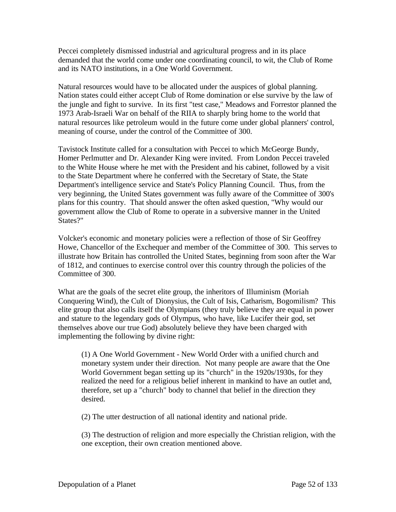Peccei completely dismissed industrial and agricultural progress and in its place demanded that the world come under one coordinating council, to wit, the Club of Rome and its NATO institutions, in a One World Government.

Natural resources would have to be allocated under the auspices of global planning. Nation states could either accept Club of Rome domination or else survive by the law of the jungle and fight to survive. In its first "test case," Meadows and Forrestor planned the 1973 Arab-Israeli War on behalf of the RIIA to sharply bring home to the world that natural resources like petroleum would in the future come under global planners' control, meaning of course, under the control of the Committee of 300.

Tavistock Institute called for a consultation with Peccei to which McGeorge Bundy, Homer Perlmutter and Dr. Alexander King were invited. From London Peccei traveled to the White House where he met with the President and his cabinet, followed by a visit to the State Department where he conferred with the Secretary of State, the State Department's intelligence service and State's Policy Planning Council. Thus, from the very beginning, the United States government was fully aware of the Committee of 300's plans for this country. That should answer the often asked question, "Why would our government allow the Club of Rome to operate in a subversive manner in the United States?"

Volcker's economic and monetary policies were a reflection of those of Sir Geoffrey Howe, Chancellor of the Exchequer and member of the Committee of 300. This serves to illustrate how Britain has controlled the United States, beginning from soon after the War of 1812, and continues to exercise control over this country through the policies of the Committee of 300.

What are the goals of the secret elite group, the inheritors of Illuminism (Moriah Conquering Wind), the Cult of Dionysius, the Cult of Isis, Catharism, Bogomilism? This elite group that also calls itself the Olympians (they truly believe they are equal in power and stature to the legendary gods of Olympus, who have, like Lucifer their god, set themselves above our true God) absolutely believe they have been charged with implementing the following by divine right:

(1) A One World Government - New World Order with a unified church and monetary system under their direction. Not many people are aware that the One World Government began setting up its "church" in the 1920s/1930s, for they realized the need for a religious belief inherent in mankind to have an outlet and, therefore, set up a "church" body to channel that belief in the direction they desired.

(2) The utter destruction of all national identity and national pride.

(3) The destruction of religion and more especially the Christian religion, with the one exception, their own creation mentioned above.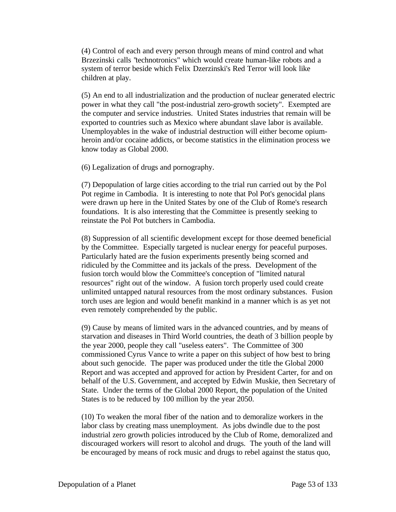(4) Control of each and every person through means of mind control and what Brzezinski calls "technotronics" which would create human-like robots and a system of terror beside which Felix Dzerzinski's Red Terror will look like children at play.

(5) An end to all industrialization and the production of nuclear generated electric power in what they call "the post-industrial zero-growth society". Exempted are the computer and service industries. United States industries that remain will be exported to countries such as Mexico where abundant slave labor is available. Unemployables in the wake of industrial destruction will either become opiumheroin and/or cocaine addicts, or become statistics in the elimination process we know today as Global 2000.

(6) Legalization of drugs and pornography.

(7) Depopulation of large cities according to the trial run carried out by the Pol Pot regime in Cambodia. It is interesting to note that Pol Pot's genocidal plans were drawn up here in the United States by one of the Club of Rome's research foundations. It is also interesting that the Committee is presently seeking to reinstate the Pol Pot butchers in Cambodia.

(8) Suppression of all scientific development except for those deemed beneficial by the Committee. Especially targeted is nuclear energy for peaceful purposes. Particularly hated are the fusion experiments presently being scorned and ridiculed by the Committee and its jackals of the press. Development of the fusion torch would blow the Committee's conception of "limited natural resources" right out of the window. A fusion torch properly used could create unlimited untapped natural resources from the most ordinary substances. Fusion torch uses are legion and would benefit mankind in a manner which is as yet not even remotely comprehended by the public.

(9) Cause by means of limited wars in the advanced countries, and by means of starvation and diseases in Third World countries, the death of 3 billion people by the year 2000, people they call "useless eaters". The Committee of 300 commissioned Cyrus Vance to write a paper on this subject of how best to bring about such genocide. The paper was produced under the title the Global 2000 Report and was accepted and approved for action by President Carter, for and on behalf of the U.S. Government, and accepted by Edwin Muskie, then Secretary of State. Under the terms of the Global 2000 Report, the population of the United States is to be reduced by 100 million by the year 2050.

(10) To weaken the moral fiber of the nation and to demoralize workers in the labor class by creating mass unemployment. As jobs dwindle due to the post industrial zero growth policies introduced by the Club of Rome, demoralized and discouraged workers will resort to alcohol and drugs. The youth of the land will be encouraged by means of rock music and drugs to rebel against the status quo,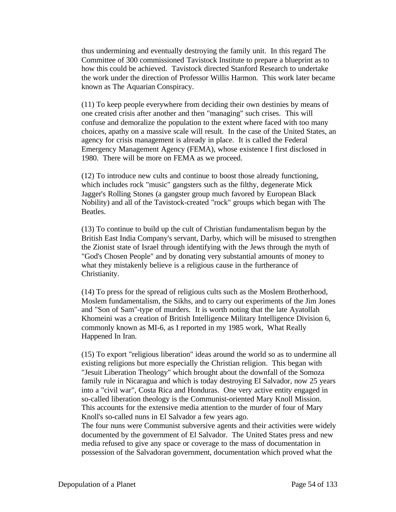thus undermining and eventually destroying the family unit. In this regard The Committee of 300 commissioned Tavistock Institute to prepare a blueprint as to how this could be achieved. Tavistock directed Stanford Research to undertake the work under the direction of Professor Willis Harmon. This work later became known as The Aquarian Conspiracy.

(11) To keep people everywhere from deciding their own destinies by means of one created crisis after another and then "managing" such crises. This will confuse and demoralize the population to the extent where faced with too many choices, apathy on a massive scale will result. In the case of the United States, an agency for crisis management is already in place. It is called the Federal Emergency Management Agency (FEMA), whose existence I first disclosed in 1980. There will be more on FEMA as we proceed.

(12) To introduce new cults and continue to boost those already functioning, which includes rock "music" gangsters such as the filthy, degenerate Mick Jagger's Rolling Stones (a gangster group much favored by European Black Nobility) and all of the Tavistock-created "rock" groups which began with The Beatles.

(13) To continue to build up the cult of Christian fundamentalism begun by the British East India Company's servant, Darby, which will be misused to strengthen the Zionist state of Israel through identifying with the Jews through the myth of "God's Chosen People" and by donating very substantial amounts of money to what they mistakenly believe is a religious cause in the furtherance of Christianity.

(14) To press for the spread of religious cults such as the Moslem Brotherhood, Moslem fundamentalism, the Sikhs, and to carry out experiments of the Jim Jones and "Son of Sam"-type of murders. It is worth noting that the late Ayatollah Khomeini was a creation of British Intelligence Military Intelligence Division 6, commonly known as MI-6, as I reported in my 1985 work, What Really Happened In Iran.

(15) To export "religious liberation" ideas around the world so as to undermine all existing religions but more especially the Christian religion. This began with "Jesuit Liberation Theology" which brought about the downfall of the Somoza family rule in Nicaragua and which is today destroying El Salvador, now 25 years into a "civil war", Costa Rica and Honduras. One very active entity engaged in so-called liberation theology is the Communist-oriented Mary Knoll Mission. This accounts for the extensive media attention to the murder of four of Mary Knoll's so-called nuns in El Salvador a few years ago.

The four nuns were Communist subversive agents and their activities were widely documented by the government of El Salvador. The United States press and new media refused to give any space or coverage to the mass of documentation in possession of the Salvadoran government, documentation which proved what the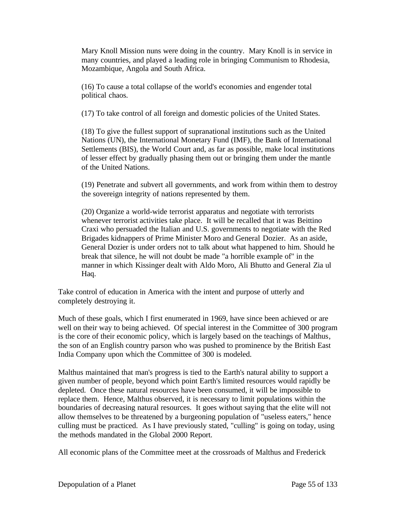Mary Knoll Mission nuns were doing in the country. Mary Knoll is in service in many countries, and played a leading role in bringing Communism to Rhodesia, Mozambique, Angola and South Africa.

(16) To cause a total collapse of the world's economies and engender total political chaos.

(17) To take control of all foreign and domestic policies of the United States.

(18) To give the fullest support of supranational institutions such as the United Nations (UN), the International Monetary Fund (IMF), the Bank of International Settlements (BIS), the World Court and, as far as possible, make local institutions of lesser effect by gradually phasing them out or bringing them under the mantle of the United Nations.

(19) Penetrate and subvert all governments, and work from within them to destroy the sovereign integrity of nations represented by them.

(20) Organize a world-wide terrorist apparatus and negotiate with terrorists whenever terrorist activities take place. It will be recalled that it was Beittino Craxi who persuaded the Italian and U.S. governments to negotiate with the Red Brigades kidnappers of Prime Minister Moro and General Dozier. As an aside, General Dozier is under orders not to talk about what happened to him. Should he break that silence, he will not doubt be made "a horrible example of" in the manner in which Kissinger dealt with Aldo Moro, Ali Bhutto and General Zia ul Haq.

Take control of education in America with the intent and purpose of utterly and completely destroying it.

Much of these goals, which I first enumerated in 1969, have since been achieved or are well on their way to being achieved. Of special interest in the Committee of 300 program is the core of their economic policy, which is largely based on the teachings of Malthus, the son of an English country parson who was pushed to prominence by the British East India Company upon which the Committee of 300 is modeled.

Malthus maintained that man's progress is tied to the Earth's natural ability to support a given number of people, beyond which point Earth's limited resources would rapidly be depleted. Once these natural resources have been consumed, it will be impossible to replace them. Hence, Malthus observed, it is necessary to limit populations within the boundaries of decreasing natural resources. It goes without saying that the elite will not allow themselves to be threatened by a burgeoning population of "useless eaters," hence culling must be practiced. As I have previously stated, "culling" is going on today, using the methods mandated in the Global 2000 Report.

All economic plans of the Committee meet at the crossroads of Malthus and Frederick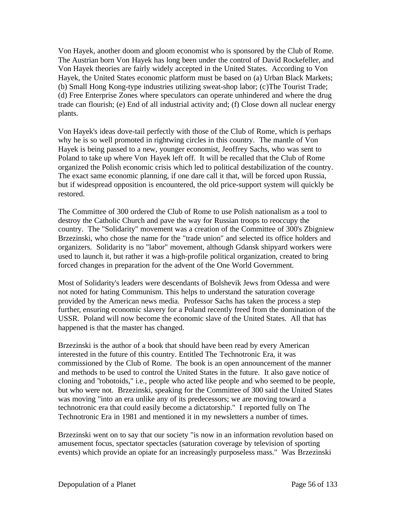Von Hayek, another doom and gloom economist who is sponsored by the Club of Rome. The Austrian born Von Hayek has long been under the control of David Rockefeller, and Von Hayek theories are fairly widely accepted in the United States. According to Von Hayek, the United States economic platform must be based on (a) Urban Black Markets; (b) Small Hong Kong-type industries utilizing sweat-shop labor; (c)The Tourist Trade; (d) Free Enterprise Zones where speculators can operate unhindered and where the drug trade can flourish; (e) End of all industrial activity and; (f) Close down all nuclear energy plants.

Von Hayek's ideas dove-tail perfectly with those of the Club of Rome, which is perhaps why he is so well promoted in rightwing circles in this country. The mantle of Von Hayek is being passed to a new, younger economist, Jeoffrey Sachs, who was sent to Poland to take up where Von Hayek left off. It will be recalled that the Club of Rome organized the Polish economic crisis which led to political destabilization of the country. The exact same economic planning, if one dare call it that, will be forced upon Russia, but if widespread opposition is encountered, the old price-support system will quickly be restored.

The Committee of 300 ordered the Club of Rome to use Polish nationalism as a tool to destroy the Catholic Church and pave the way for Russian troops to reoccupy the country. The "Solidarity" movement was a creation of the Committee of 300's Zbigniew Brzezinski, who chose the name for the "trade union" and selected its office holders and organizers. Solidarity is no "labor" movement, although Gdansk shipyard workers were used to launch it, but rather it was a high-profile political organization, created to bring forced changes in preparation for the advent of the One World Government.

Most of Solidarity's leaders were descendants of Bolshevik Jews from Odessa and were not noted for hating Communism. This helps to understand the saturation coverage provided by the American news media. Professor Sachs has taken the process a step further, ensuring economic slavery for a Poland recently freed from the domination of the USSR. Poland will now become the economic slave of the United States. All that has happened is that the master has changed.

Brzezinski is the author of a book that should have been read by every American interested in the future of this country. Entitled The Technotronic Era, it was commissioned by the Club of Rome. The book is an open announcement of the manner and methods to be used to control the United States in the future. It also gave notice of cloning and "robotoids," i.e., people who acted like people and who seemed to be people, but who were not. Brzezinski, speaking for the Committee of 300 said the United States was moving "into an era unlike any of its predecessors; we are moving toward a technotronic era that could easily become a dictatorship." I reported fully on The Technotronic Era in 1981 and mentioned it in my newsletters a number of times.

Brzezinski went on to say that our society "is now in an information revolution based on amusement focus, spectator spectacles (saturation coverage by television of sporting events) which provide an opiate for an increasingly purposeless mass." Was Brzezinski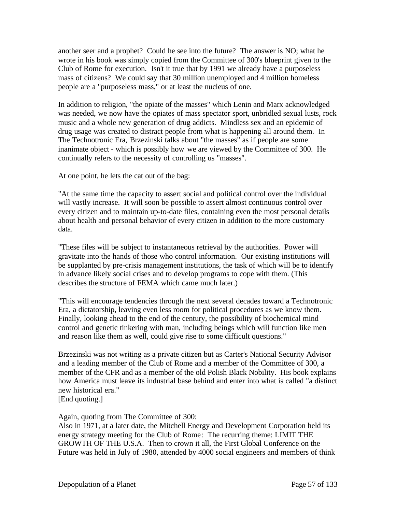another seer and a prophet? Could he see into the future? The answer is NO; what he wrote in his book was simply copied from the Committee of 300's blueprint given to the Club of Rome for execution. Isn't it true that by 1991 we already have a purposeless mass of citizens? We could say that 30 million unemployed and 4 million homeless people are a "purposeless mass," or at least the nucleus of one.

In addition to religion, "the opiate of the masses" which Lenin and Marx acknowledged was needed, we now have the opiates of mass spectator sport, unbridled sexual lusts, rock music and a whole new generation of drug addicts. Mindless sex and an epidemic of drug usage was created to distract people from what is happening all around them. In The Technotronic Era, Brzezinski talks about "the masses" as if people are some inanimate object - which is possibly how we are viewed by the Committee of 300. He continually refers to the necessity of controlling us "masses".

At one point, he lets the cat out of the bag:

"At the same time the capacity to assert social and political control over the individual will vastly increase. It will soon be possible to assert almost continuous control over every citizen and to maintain up-to-date files, containing even the most personal details about health and personal behavior of every citizen in addition to the more customary data.

"These files will be subject to instantaneous retrieval by the authorities. Power will gravitate into the hands of those who control information. Our existing institutions will be supplanted by pre-crisis management institutions, the task of which will be to identify in advance likely social crises and to develop programs to cope with them. (This describes the structure of FEMA which came much later.)

"This will encourage tendencies through the next several decades toward a Technotronic Era, a dictatorship, leaving even less room for political procedures as we know them. Finally, looking ahead to the end of the century, the possibility of biochemical mind control and genetic tinkering with man, including beings which will function like men and reason like them as well, could give rise to some difficult questions."

Brzezinski was not writing as a private citizen but as Carter's National Security Advisor and a leading member of the Club of Rome and a member of the Committee of 300, a member of the CFR and as a member of the old Polish Black Nobility. His book explains how America must leave its industrial base behind and enter into what is called "a distinct new historical era."

[End quoting.]

Again, quoting from The Committee of 300:

Also in 1971, at a later date, the Mitchell Energy and Development Corporation held its energy strategy meeting for the Club of Rome: The recurring theme: LIMIT THE GROWTH OF THE U.S.A. Then to crown it all, the First Global Conference on the Future was held in July of 1980, attended by 4000 social engineers and members of think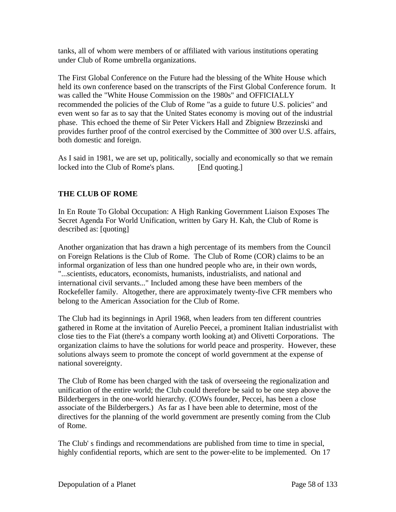tanks, all of whom were members of or affiliated with various institutions operating under Club of Rome umbrella organizations.

The First Global Conference on the Future had the blessing of the White House which held its own conference based on the transcripts of the First Global Conference forum. It was called the "White House Commission on the 1980s" and OFFICIALLY recommended the policies of the Club of Rome "as a guide to future U.S. policies" and even went so far as to say that the United States economy is moving out of the industrial phase. This echoed the theme of Sir Peter Vickers Hall and Zbigniew Brzezinski and provides further proof of the control exercised by the Committee of 300 over U.S. affairs, both domestic and foreign.

As I said in 1981, we are set up, politically, socially and economically so that we remain locked into the Club of Rome's plans. [End quoting.]

# **THE CLUB OF ROME**

In En Route To Global Occupation: A High Ranking Government Liaison Exposes The Secret Agenda For World Unification, written by Gary H. Kah, the Club of Rome is described as: [quoting]

Another organization that has drawn a high percentage of its members from the Council on Foreign Relations is the Club of Rome. The Club of Rome (COR) claims to be an informal organization of less than one hundred people who are, in their own words, "...scientists, educators, economists, humanists, industrialists, and national and international civil servants..." Included among these have been members of the Rockefeller family. Altogether, there are approximately twenty-five CFR members who belong to the American Association for the Club of Rome.

The Club had its beginnings in April 1968, when leaders from ten different countries gathered in Rome at the invitation of Aurelio Peecei, a prominent Italian industrialist with close ties to the Fiat (there's a company worth looking at) and Olivetti Corporations. The organization claims to have the solutions for world peace and prosperity. However, these solutions always seem to promote the concept of world government at the expense of national sovereignty.

The Club of Rome has been charged with the task of overseeing the regionalization and unification of the entire world; the Club could therefore be said to be one step above the Bilderbergers in the one-world hierarchy. (COWs founder, Peccei, has been a close associate of the Bilderbergers.) As far as I have been able to determine, most of the directives for the planning of the world government are presently coming from the Club of Rome.

The Club' s findings and recommendations are published from time to time in special, highly confidential reports, which are sent to the power-elite to be implemented. On 17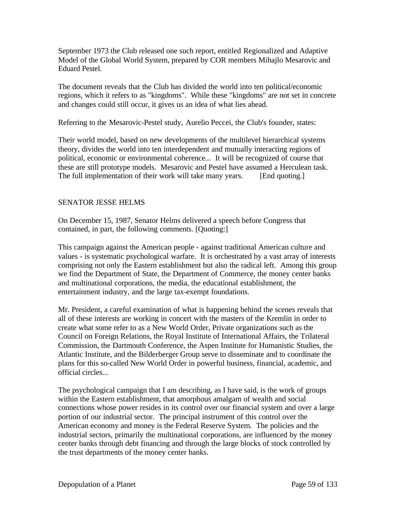September 1973 the Club released one such report, entitled Regionalized and Adaptive Model of the Global World System, prepared by COR members Mihajlo Mesarovic and Eduard Pestel.

The document reveals that the Club has divided the world into ten political/economic regions, which it refers to as "kingdoms". While these "kingdoms" are not set in concrete and changes could still occur, it gives us an idea of what lies ahead.

Referring to the Mesarovic-Pestel study, Aurelio Peccei, the Club's founder, states:

Their world model, based on new developments of the multilevel hierarchical systems theory, divides the world into ten interdependent and mutually interacting regions of political, economic or environmental coherence... It will be recognized of course that these are still prototype models. Mesarovic and Pestel have assumed a Herculean task. The full implementation of their work will take many years. [End quoting.]

#### SENATOR JESSE HELMS

On December 15, 1987, Senator Helms delivered a speech before Congress that contained, in part, the following comments. [Quoting:]

This campaign against the American people - against traditional American culture and values - is systematic psychological warfare. It is orchestrated by a vast array of interests comprising not only the Eastern establishment but also the radical left. Among this group we find the Department of State, the Department of Commerce, the money center banks and multinational corporations, the media, the educational establishment, the entertainment industry, and the large tax-exempt foundations.

Mr. President, a careful examination of what is happening behind the scenes reveals that all of these interests are working in concert with the masters of the Kremlin in order to create what some refer to as a New World Order, Private organizations such as the Council on Foreign Relations, the Royal Institute of International Affairs, the Trilateral Commission, the Dartmouth Conference, the Aspen Institute for Humanistic Studies, the Atlantic Institute, and the Bilderberger Group serve to disseminate and to coordinate the plans for this so-called New World Order in powerful business, financial, academic, and official circles...

The psychological campaign that I am describing, as I have said, is the work of groups within the Eastern establishment, that amorphous amalgam of wealth and social connections whose power resides in its control over our financial system and over a large portion of our industrial sector. The principal instrument of this control over the American economy and money is the Federal Reserve System. The policies and the industrial sectors, primarily the multinational corporations, are influenced by the money center banks through debt financing and through the large blocks of stock controlled by the trust departments of the money center banks.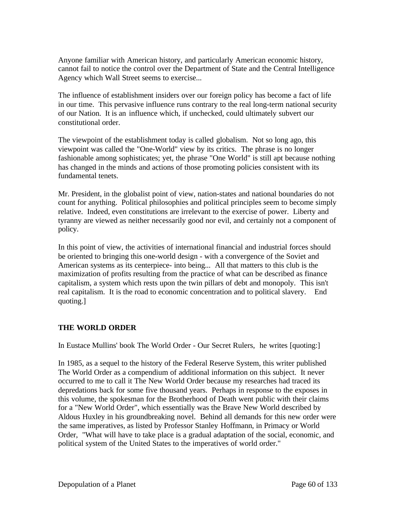Anyone familiar with American history, and particularly American economic history, cannot fail to notice the control over the Department of State and the Central Intelligence Agency which Wall Street seems to exercise...

The influence of establishment insiders over our foreign policy has become a fact of life in our time. This pervasive influence runs contrary to the real long-term national security of our Nation. It is an influence which, if unchecked, could ultimately subvert our constitutional order.

The viewpoint of the establishment today is called globalism. Not so long ago, this viewpoint was called the "One-World" view by its critics. The phrase is no longer fashionable among sophisticates; yet, the phrase "One World" is still apt because nothing has changed in the minds and actions of those promoting policies consistent with its fundamental tenets.

Mr. President, in the globalist point of view, nation-states and national boundaries do not count for anything. Political philosophies and political principles seem to become simply relative. Indeed, even constitutions are irrelevant to the exercise of power. Liberty and tyranny are viewed as neither necessarily good nor evil, and certainly not a component of policy.

In this point of view, the activities of international financial and industrial forces should be oriented to bringing this one-world design - with a convergence of the Soviet and American systems as its centerpiece- into being... All that matters to this club is the maximization of profits resulting from the practice of what can be described as finance capitalism, a system which rests upon the twin pillars of debt and monopoly. This isn't real capitalism. It is the road to economic concentration and to political slavery. End quoting.]

#### **THE WORLD ORDER**

In Eustace Mullins' book The World Order - Our Secret Rulers, he writes [quoting:]

In 1985, as a sequel to the history of the Federal Reserve System, this writer published The World Order as a compendium of additional information on this subject. It never occurred to me to call it The New World Order because my researches had traced its depredations back for some five thousand years. Perhaps in response to the exposes in this volume, the spokesman for the Brotherhood of Death went public with their claims for a "New World Order", which essentially was the Brave New World described by Aldous Huxley in his groundbreaking novel. Behind all demands for this new order were the same imperatives, as listed by Professor Stanley Hoffmann, in Primacy or World Order, "What will have to take place is a gradual adaptation of the social, economic, and political system of the United States to the imperatives of world order."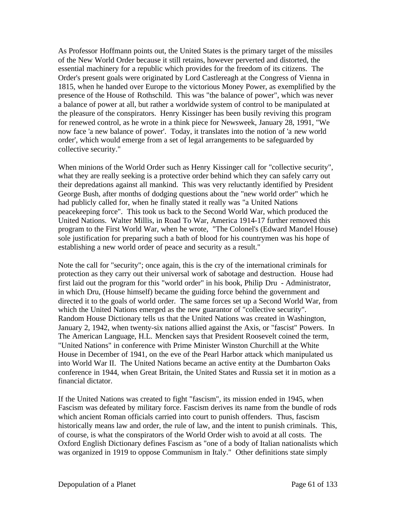As Professor Hoffmann points out, the United States is the primary target of the missiles of the New World Order because it still retains, however perverted and distorted, the essential machinery for a republic which provides for the freedom of its citizens. The Order's present goals were originated by Lord Castlereagh at the Congress of Vienna in 1815, when he handed over Europe to the victorious Money Power, as exemplified by the presence of the House of Rothschild. This was "the balance of power", which was never a balance of power at all, but rather a worldwide system of control to be manipulated at the pleasure of the conspirators. Henry Kissinger has been busily reviving this program for renewed control, as he wrote in a think piece for Newsweek, January 28, 1991, "We now face 'a new balance of power'. Today, it translates into the notion of 'a new world order', which would emerge from a set of legal arrangements to be safeguarded by collective security."

When minions of the World Order such as Henry Kissinger call for "collective security", what they are really seeking is a protective order behind which they can safely carry out their depredations against all mankind. This was very reluctantly identified by President George Bush, after months of dodging questions about the "new world order" which he had publicly called for, when he finally stated it really was "a United Nations peacekeeping force". This took us back to the Second World War, which produced the United Nations. Walter Millis, in Road To War, America 1914-17 further removed this program to the First World War, when he wrote, "The Colonel's (Edward Mandel House) sole justification for preparing such a bath of blood for his countrymen was his hope of establishing a new world order of peace and security as a result."

Note the call for "security"; once again, this is the cry of the international criminals for protection as they carry out their universal work of sabotage and destruction. House had first laid out the program for this "world order" in his book, Philip Dru - Administrator, in which Dru, (House himself) became the guiding force behind the government and directed it to the goals of world order. The same forces set up a Second World War, from which the United Nations emerged as the new guarantor of "collective security". Random House Dictionary tells us that the United Nations was created in Washington, January 2, 1942, when twenty-six nations allied against the Axis, or "fascist" Powers. In The American Language, H.L. Mencken says that President Roosevelt coined the term, "United Nations" in conference with Prime Minister Winston Churchill at the White House in December of 1941, on the eve of the Pearl Harbor attack which manipulated us into World War II. The United Nations became an active entity at the Dumbarton Oaks conference in 1944, when Great Britain, the United States and Russia set it in motion as a financial dictator.

If the United Nations was created to fight "fascism", its mission ended in 1945, when Fascism was defeated by military force. Fascism derives its name from the bundle of rods which ancient Roman officials carried into court to punish offenders. Thus, fascism historically means law and order, the rule of law, and the intent to punish criminals. This, of course, is what the conspirators of the World Order wish to avoid at all costs. The Oxford English Dictionary defines Fascism as "one of a body of Italian nationalists which was organized in 1919 to oppose Communism in Italy." Other definitions state simply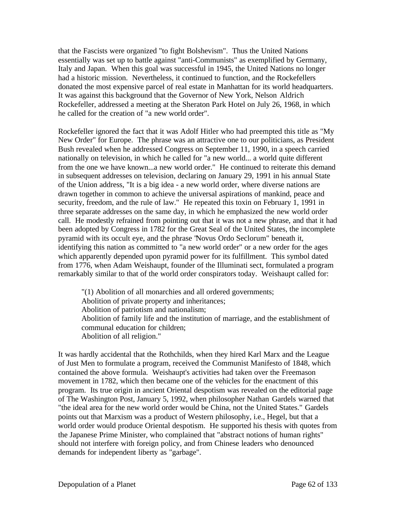that the Fascists were organized "to fight Bolshevism". Thus the United Nations essentially was set up to battle against "anti-Communists" as exemplified by Germany, Italy and Japan. When this goal was successful in 1945, the United Nations no longer had a historic mission. Nevertheless, it continued to function, and the Rockefellers donated the most expensive parcel of real estate in Manhattan for its world headquarters. It was against this background that the Governor of New York, Nelson Aldrich Rockefeller, addressed a meeting at the Sheraton Park Hotel on July 26, 1968, in which he called for the creation of "a new world order".

Rockefeller ignored the fact that it was Adolf Hitler who had preempted this title as "My New Order" for Europe. The phrase was an attractive one to our politicians, as President Bush revealed when he addressed Congress on September 11, 1990, in a speech carried nationally on television, in which he called for "a new world... a world quite different from the one we have known...a new world order." He continued to reiterate this demand in subsequent addresses on television, declaring on January 29, 1991 in his annual State of the Union address, "It is a big idea - a new world order, where diverse nations are drawn together in common to achieve the universal aspirations of mankind, peace and security, freedom, and the rule of law." He repeated this toxin on February 1, 1991 in three separate addresses on the same day, in which he emphasized the new world order call. He modestly refrained from pointing out that it was not a new phrase, and that it had been adopted by Congress in 1782 for the Great Seal of the United States, the incomplete pyramid with its occult eye, and the phrase "Novus Ordo Seclorum" beneath it, identifying this nation as committed to "a new world order" or a new order for the ages which apparently depended upon pyramid power for its fulfillment. This symbol dated from 1776, when Adam Weishaupt, founder of the Illuminati sect, formulated a program remarkably similar to that of the world order conspirators today. Weishaupt called for:

"(1) Abolition of all monarchies and all ordered governments; Abolition of private property and inheritances; Abolition of patriotism and nationalism; Abolition of family life and the institution of marriage, and the establishment of communal education for children; Abolition of all religion."

It was hardly accidental that the Rothchilds, when they hired Karl Marx and the League of Just Men to formulate a program, received the Communist Manifesto of 1848, which contained the above formula. Weishaupt's activities had taken over the Freemason movement in 1782, which then became one of the vehicles for the enactment of this program. Its true origin in ancient Oriental despotism was revealed on the editorial page of The Washington Post, January 5, 1992, when philosopher Nathan Gardels warned that "the ideal area for the new world order would be China, not the United States." Gardels points out that Marxism was a product of Western philosophy, i.e., Hegel, but that a world order would produce Oriental despotism. He supported his thesis with quotes from the Japanese Prime Minister, who complained that "abstract notions of human rights" should not interfere with foreign policy, and from Chinese leaders who denounced demands for independent liberty as "garbage".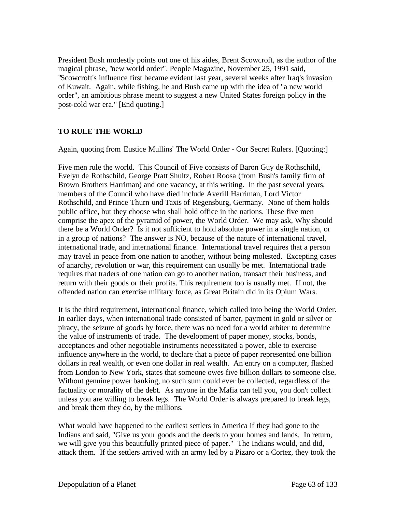President Bush modestly points out one of his aides, Brent Scowcroft, as the author of the magical phrase, "new world order". People Magazine, November 25, 1991 said, "Scowcroft's influence first became evident last year, several weeks after Iraq's invasion of Kuwait. Again, while fishing, he and Bush came up with the idea of "a new world order", an ambitious phrase meant to suggest a new United States foreign policy in the post-cold war era." [End quoting.]

#### **TO RULE THE WORLD**

Again, quoting from Eustice Mullins' The World Order - Our Secret Rulers. [Quoting:]

Five men rule the world. This Council of Five consists of Baron Guy de Rothschild, Evelyn de Rothschild, George Pratt Shultz, Robert Roosa (from Bush's family firm of Brown Brothers Harriman) and one vacancy, at this writing. In the past several years, members of the Council who have died include Averill Harriman, Lord Victor Rothschild, and Prince Thurn und Taxis of Regensburg, Germany. None of them holds public office, but they choose who shall hold office in the nations. These five men comprise the apex of the pyramid of power, the World Order. We may ask, Why should there be a World Order? Is it not sufficient to hold absolute power in a single nation, or in a group of nations? The answer is NO, because of the nature of international travel, international trade, and international finance. International travel requires that a person may travel in peace from one nation to another, without being molested. Excepting cases of anarchy, revolution or war, this requirement can usually be met. International trade requires that traders of one nation can go to another nation, transact their business, and return with their goods or their profits. This requirement too is usually met. If not, the offended nation can exercise military force, as Great Britain did in its Opium Wars.

It is the third requirement, international finance, which called into being the World Order. In earlier days, when international trade consisted of barter, payment in gold or silver or piracy, the seizure of goods by force, there was no need for a world arbiter to determine the value of instruments of trade. The development of paper money, stocks, bonds, acceptances and other negotiable instruments necessitated a power, able to exercise influence anywhere in the world, to declare that a piece of paper represented one billion dollars in real wealth, or even one dollar in real wealth. An entry on a computer, flashed from London to New York, states that someone owes five billion dollars to someone else. Without genuine power banking, no such sum could ever be collected, regardless of the factuality or morality of the debt. As anyone in the Mafia can tell you, you don't collect unless you are willing to break legs. The World Order is always prepared to break legs, and break them they do, by the millions.

What would have happened to the earliest settlers in America if they had gone to the Indians and said, "Give us your goods and the deeds to your homes and lands. In return, we will give you this beautifully printed piece of paper." The Indians would, and did, attack them. If the settlers arrived with an army led by a Pizaro or a Cortez, they took the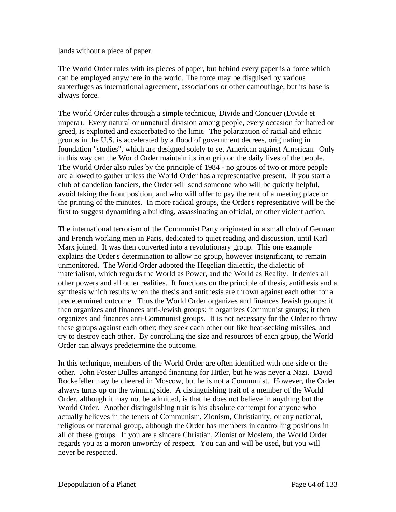lands without a piece of paper.

The World Order rules with its pieces of paper, but behind every paper is a force which can be employed anywhere in the world. The force may be disguised by various subterfuges as international agreement, associations or other camouflage, but its base is always force.

The World Order rules through a simple technique, Divide and Conquer (Divide et impera). Every natural or unnatural division among people, every occasion for hatred or greed, is exploited and exacerbated to the limit. The polarization of racial and ethnic groups in the U.S. is accelerated by a flood of government decrees, originating in foundation "studies", which are designed solely to set American against American. Only in this way can the World Order maintain its iron grip on the daily lives of the people. The World Order also rules by the principle of 1984 - no groups of two or more people are allowed to gather unless the World Order has a representative present. If you start a club of dandelion fanciers, the Order will send someone who will bc quietly helpful, avoid taking the front position, and who will offer to pay the rent of a meeting place or the printing of the minutes. In more radical groups, the Order's representative will be the first to suggest dynamiting a building, assassinating an official, or other violent action.

The international terrorism of the Communist Party originated in a small club of German and French working men in Paris, dedicated to quiet reading and discussion, until Karl Marx joined. It was then converted into a revolutionary group. This one example explains the Order's determination to allow no group, however insignificant, to remain unmonitored. The World Order adopted the Hegelian dialectic, the dialectic of materialism, which regards the World as Power, and the World as Reality. It denies all other powers and all other realities. It functions on the principle of thesis, antithesis and a synthesis which results when the thesis and antithesis are thrown against each other for a predetermined outcome. Thus the World Order organizes and finances Jewish groups; it then organizes and finances anti-Jewish groups; it organizes Communist groups; it then organizes and finances anti-Communist groups. It is not necessary for the Order to throw these groups against each other; they seek each other out like heat-seeking missiles, and try to destroy each other. By controlling the size and resources of each group, the World Order can always predetermine the outcome.

In this technique, members of the World Order are often identified with one side or the other. John Foster Dulles arranged financing for Hitler, but he was never a Nazi. David Rockefeller may be cheered in Moscow, but he is not a Communist. However, the Order always turns up on the winning side. A distinguishing trait of a member of the World Order, although it may not be admitted, is that he does not believe in anything but the World Order. Another distinguishing trait is his absolute contempt for anyone who actually believes in the tenets of Communism, Zionism, Christianity, or any national, religious or fraternal group, although the Order has members in controlling positions in all of these groups. If you are a sincere Christian, Zionist or Moslem, the World Order regards you as a moron unworthy of respect. You can and will be used, but you will never be respected.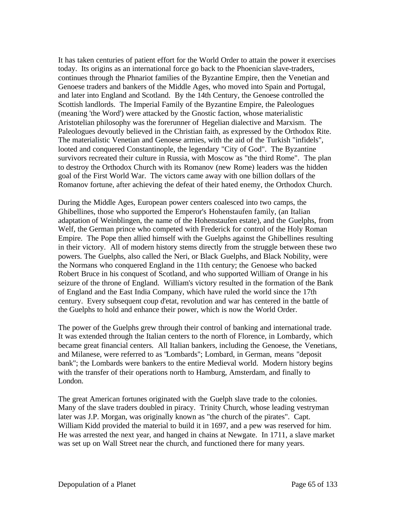It has taken centuries of patient effort for the World Order to attain the power it exercises today. Its origins as an international force go back to the Phoenician slave-traders, continues through the Phnariot families of the Byzantine Empire, then the Venetian and Genoese traders and bankers of the Middle Ages, who moved into Spain and Portugal, and later into England and Scotland. By the 14th Century, the Genoese controlled the Scottish landlords. The Imperial Family of the Byzantine Empire, the Paleologues (meaning 'the Word') were attacked by the Gnostic faction, whose materialistic Aristotelian philosophy was the forerunner of Hegelian dialective and Marxism. The Paleologues devoutly believed in the Christian faith, as expressed by the Orthodox Rite. The materialistic Venetian and Genoese armies, with the aid of the Turkish "infidels", looted and conquered Constantinople, the legendary "City of God". The Byzantine survivors recreated their culture in Russia, with Moscow as "the third Rome". The plan to destroy the Orthodox Church with its Romanov (new Rome) leaders was the hidden goal of the First World War. The victors came away with one billion dollars of the Romanov fortune, after achieving the defeat of their hated enemy, the Orthodox Church.

During the Middle Ages, European power centers coalesced into two camps, the Ghibellines, those who supported the Emperor's Hohenstaufen family, (an Italian adaptation of Weinblingen, the name of the Hohenstaufen estate), and the Guelphs, from Welf, the German prince who competed with Frederick for control of the Holy Roman Empire. The Pope then allied himself with the Guelphs against the Ghibellines resulting in their victory. All of modern history stems directly from the struggle between these two powers. The Guelphs, also called the Neri, or Black Guelphs, and Black Nobility, were the Normans who conquered England in the 11th century; the Genoese who backed Robert Bruce in his conquest of Scotland, and who supported William of Orange in his seizure of the throne of England. William's victory resulted in the formation of the Bank of England and the East India Company, which have ruled the world since the 17th century. Every subsequent coup d'etat, revolution and war has centered in the battle of the Guelphs to hold and enhance their power, which is now the World Order.

The power of the Guelphs grew through their control of banking and international trade. It was extended through the Italian centers to the north of Florence, in Lombardy, which became great financial centers. All Italian bankers, including the Genoese, the Venetians, and Milanese, were referred to as "Lombards"; Lombard, in German, means "deposit bank"; the Lombards were bankers to the entire Medieval world. Modern history begins with the transfer of their operations north to Hamburg, Amsterdam, and finally to London.

The great American fortunes originated with the Guelph slave trade to the colonies. Many of the slave traders doubled in piracy. Trinity Church, whose leading vestryman later was J.P. Morgan, was originally known as "the church of the pirates". Capt. William Kidd provided the material to build it in 1697, and a pew was reserved for him. He was arrested the next year, and hanged in chains at Newgate. In 1711, a slave market was set up on Wall Street near the church, and functioned there for many years.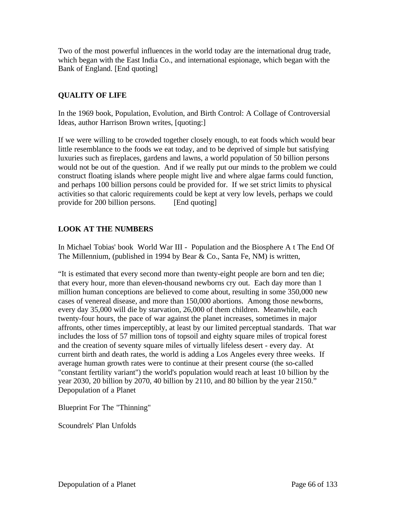Two of the most powerful influences in the world today are the international drug trade, which began with the East India Co., and international espionage, which began with the Bank of England. [End quoting]

## **QUALITY OF LIFE**

In the 1969 book, Population, Evolution, and Birth Control: A Collage of Controversial Ideas, author Harrison Brown writes, [quoting:]

If we were willing to be crowded together closely enough, to eat foods which would bear little resemblance to the foods we eat today, and to be deprived of simple but satisfying luxuries such as fireplaces, gardens and lawns, a world population of 50 billion persons would not be out of the question. And if we really put our minds to the problem we could construct floating islands where people might live and where algae farms could function, and perhaps 100 billion persons could be provided for. If we set strict limits to physical activities so that caloric requirements could be kept at very low levels, perhaps we could provide for 200 billion persons. [End quoting]

## **LOOK AT THE NUMBERS**

In Michael Tobias' book World War III - Population and the Biosphere A t The End Of The Millennium, (published in 1994 by Bear & Co., Santa Fe, NM) is written,

"It is estimated that every second more than twenty-eight people are born and ten die; that every hour, more than eleven-thousand newborns cry out. Each day more than 1 million human conceptions are believed to come about, resulting in some 350,000 new cases of venereal disease, and more than 150,000 abortions. Among those newborns, every day 35,000 will die by starvation, 26,000 of them children. Meanwhile, each twenty-four hours, the pace of war against the planet increases, sometimes in major affronts, other times imperceptibly, at least by our limited perceptual standards. That war includes the loss of 57 million tons of topsoil and eighty square miles of tropical forest and the creation of seventy square miles of virtually lifeless desert - every day. At current birth and death rates, the world is adding a Los Angeles every three weeks. If average human growth rates were to continue at their present course (the so-called "constant fertility variant") the world's population would reach at least 10 billion by the year 2030, 20 billion by 2070, 40 billion by 2110, and 80 billion by the year 2150." Depopulation of a Planet

Blueprint For The "Thinning"

Scoundrels' Plan Unfolds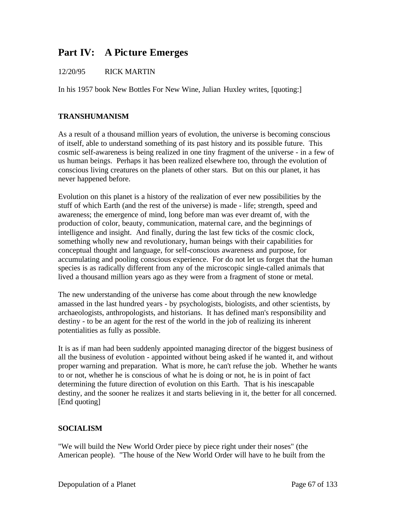# **Part IV: A Picture Emerges**

#### 12/20/95 RICK MARTIN

In his 1957 book New Bottles For New Wine, Julian Huxley writes, [quoting:]

#### **TRANSHUMANISM**

As a result of a thousand million years of evolution, the universe is becoming conscious of itself, able to understand something of its past history and its possible future. This cosmic self-awareness is being realized in one tiny fragment of the universe - in a few of us human beings. Perhaps it has been realized elsewhere too, through the evolution of conscious living creatures on the planets of other stars. But on this our planet, it has never happened before.

Evolution on this planet is a history of the realization of ever new possibilities by the stuff of which Earth (and the rest of the universe) is made - life; strength, speed and awareness; the emergence of mind, long before man was ever dreamt of, with the production of color, beauty, communication, maternal care, and the beginnings of intelligence and insight. And finally, during the last few ticks of the cosmic clock, something wholly new and revolutionary, human beings with their capabilities for conceptual thought and language, for self-conscious awareness and purpose, for accumulating and pooling conscious experience. For do not let us forget that the human species is as radically different from any of the microscopic single-called animals that lived a thousand million years ago as they were from a fragment of stone or metal.

The new understanding of the universe has come about through the new knowledge amassed in the last hundred years - by psychologists, biologists, and other scientists, by archaeologists, anthropologists, and historians. It has defined man's responsibility and destiny - to be an agent for the rest of the world in the job of realizing its inherent potentialities as fully as possible.

It is as if man had been suddenly appointed managing director of the biggest business of all the business of evolution - appointed without being asked if he wanted it, and without proper warning and preparation. What is more, he can't refuse the job. Whether he wants to or not, whether he is conscious of what he is doing or not, he is in point of fact determining the future direction of evolution on this Earth. That is his inescapable destiny, and the sooner he realizes it and starts believing in it, the better for all concerned. [End quoting]

#### **SOCIALISM**

"We will build the New World Order piece by piece right under their noses" (the American people). "The house of the New World Order will have to he built from the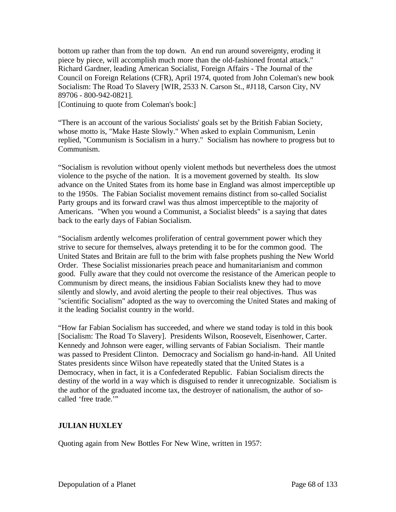bottom up rather than from the top down. An end run around sovereignty, eroding it piece by piece, will accomplish much more than the old-fashioned frontal attack." Richard Gardner, leading American Socialist, Foreign Affairs - The Journal of the Council on Foreign Relations (CFR), April 1974, quoted from John Coleman's new book Socialism: The Road To Slavery [WIR, 2533 N. Carson St., #J118, Carson City, NV 89706 - 800-942-0821].

[Continuing to quote from Coleman's book:]

"There is an account of the various Socialists' goals set by the British Fabian Society, whose motto is, "Make Haste Slowly." When asked to explain Communism, Lenin replied, "Communism is Socialism in a hurry." Socialism has nowhere to progress but to Communism.

"Socialism is revolution without openly violent methods but nevertheless does the utmost violence to the psyche of the nation. It is a movement governed by stealth. Its slow advance on the United States from its home base in England was almost imperceptible up to the 1950s. The Fabian Socialist movement remains distinct from so-called Socialist Party groups and its forward crawl was thus almost imperceptible to the majority of Americans. "When you wound a Communist, a Socialist bleeds" is a saying that dates back to the early days of Fabian Socialism.

"Socialism ardently welcomes proliferation of central government power which they strive to secure for themselves, always pretending it to be for the common good. The United States and Britain are full to the brim with false prophets pushing the New World Order. These Socialist missionaries preach peace and humanitarianism and common good. Fully aware that they could not overcome the resistance of the American people to Communism by direct means, the insidious Fabian Socialists knew they had to move silently and slowly, and avoid alerting the people to their real objectives. Thus was "scientific Socialism" adopted as the way to overcoming the United States and making of it the leading Socialist country in the world.

"How far Fabian Socialism has succeeded, and where we stand today is told in this book [Socialism: The Road To Slavery]. Presidents Wilson, Roosevelt, Eisenhower, Carter. Kennedy and Johnson were eager, willing servants of Fabian Socialism. Their mantle was passed to President Clinton. Democracy and Socialism go hand-in-hand. All United States presidents since Wilson have repeatedly stated that the United States is a Democracy, when in fact, it is a Confederated Republic. Fabian Socialism directs the destiny of the world in a way which is disguised to render it unrecognizable. Socialism is the author of the graduated income tax, the destroyer of nationalism, the author of socalled 'free trade."

#### **JULIAN HUXLEY**

Quoting again from New Bottles For New Wine, written in 1957: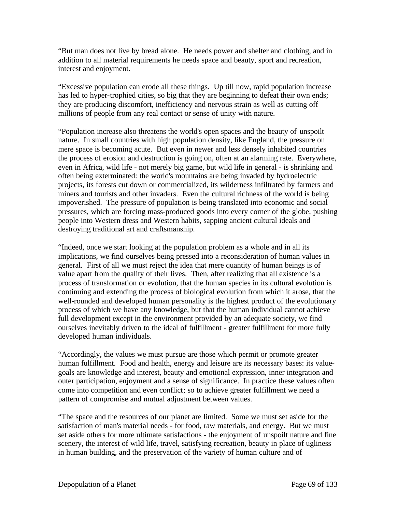"But man does not live by bread alone. He needs power and shelter and clothing, and in addition to all material requirements he needs space and beauty, sport and recreation, interest and enjoyment.

"Excessive population can erode all these things. Up till now, rapid population increase has led to hyper-trophied cities, so big that they are beginning to defeat their own ends; they are producing discomfort, inefficiency and nervous strain as well as cutting off millions of people from any real contact or sense of unity with nature.

"Population increase also threatens the world's open spaces and the beauty of unspoilt nature. In small countries with high population density, like England, the pressure on mere space is becoming acute. But even in newer and less densely inhabited countries the process of erosion and destruction is going on, often at an alarming rate. Everywhere, even in Africa, wild life - not merely big game, but wild life in general - is shrinking and often being exterminated: the world's mountains are being invaded by hydroelectric projects, its forests cut down or commercialized, its wilderness infiltrated by farmers and miners and tourists and other invaders. Even the cultural richness of the world is being impoverished. The pressure of population is being translated into economic and social pressures, which are forcing mass-produced goods into every corner of the globe, pushing people into Western dress and Western habits, sapping ancient cultural ideals and destroying traditional art and craftsmanship.

"Indeed, once we start looking at the population problem as a whole and in all its implications, we find ourselves being pressed into a reconsideration of human values in general. First of all we must reject the idea that mere quantity of human beings is of value apart from the quality of their lives. Then, after realizing that all existence is a process of transformation or evolution, that the human species in its cultural evolution is continuing and extending the process of biological evolution from which it arose, that the well-rounded and developed human personality is the highest product of the evolutionary process of which we have any knowledge, but that the human individual cannot achieve full development except in the environment provided by an adequate society, we find ourselves inevitably driven to the ideal of fulfillment - greater fulfillment for more fully developed human individuals.

"Accordingly, the values we must pursue are those which permit or promote greater human fulfillment. Food and health, energy and leisure are its necessary bases: its valuegoals are knowledge and interest, beauty and emotional expression, inner integration and outer participation, enjoyment and a sense of significance. In practice these values often come into competition and even conflict; so to achieve greater fulfillment we need a pattern of compromise and mutual adjustment between values.

"The space and the resources of our planet are limited. Some we must set aside for the satisfaction of man's material needs - for food, raw materials, and energy. But we must set aside others for more ultimate satisfactions - the enjoyment of unspoilt nature and fine scenery, the interest of wild life, travel, satisfying recreation, beauty in place of ugliness in human building, and the preservation of the variety of human culture and of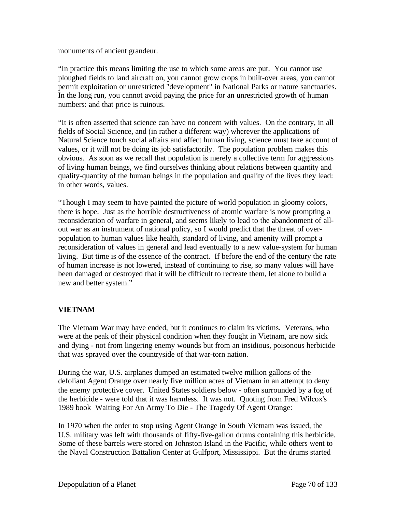monuments of ancient grandeur.

"In practice this means limiting the use to which some areas are put. You cannot use ploughed fields to land aircraft on, you cannot grow crops in built-over areas, you cannot permit exploitation or unrestricted "development" in National Parks or nature sanctuaries. In the long run, you cannot avoid paying the price for an unrestricted growth of human numbers: and that price is ruinous.

"It is often asserted that science can have no concern with values. On the contrary, in all fields of Social Science, and (in rather a different way) wherever the applications of Natural Science touch social affairs and affect human living, science must take account of values, or it will not be doing its job satisfactorily. The population problem makes this obvious. As soon as we recall that population is merely a collective term for aggressions of living human beings, we find ourselves thinking about relations between quantity and quality-quantity of the human beings in the population and quality of the lives they lead: in other words, values.

"Though I may seem to have painted the picture of world population in gloomy colors, there is hope. Just as the horrible destructiveness of atomic warfare is now prompting a reconsideration of warfare in general, and seems likely to lead to the abandonment of allout war as an instrument of national policy, so I would predict that the threat of overpopulation to human values like health, standard of living, and amenity will prompt a reconsideration of values in general and lead eventually to a new value-system for human living. But time is of the essence of the contract. If before the end of the century the rate of human increase is not lowered, instead of continuing to rise, so many values will have been damaged or destroyed that it will be difficult to recreate them, let alone to build a new and better system."

#### **VIETNAM**

The Vietnam War may have ended, but it continues to claim its victims. Veterans, who were at the peak of their physical condition when they fought in Vietnam, are now sick and dying - not from lingering enemy wounds but from an insidious, poisonous herbicide that was sprayed over the countryside of that war-torn nation.

During the war, U.S. airplanes dumped an estimated twelve million gallons of the defoliant Agent Orange over nearly five million acres of Vietnam in an attempt to deny the enemy protective cover. United States soldiers below - often surrounded by a fog of the herbicide - were told that it was harmless. It was not. Quoting from Fred Wilcox's 1989 book Waiting For An Army To Die - The Tragedy Of Agent Orange:

In 1970 when the order to stop using Agent Orange in South Vietnam was issued, the U.S. military was left with thousands of fifty-five-gallon drums containing this herbicide. Some of these barrels were stored on Johnston Island in the Pacific, while others went to the Naval Construction Battalion Center at Gulfport, Mississippi. But the drums started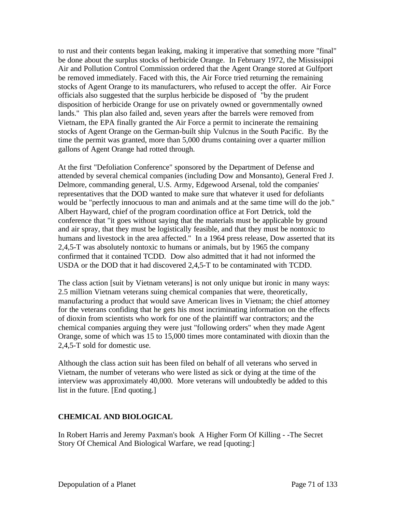to rust and their contents began leaking, making it imperative that something more "final" be done about the surplus stocks of herbicide Orange. In February 1972, the Mississippi Air and Pollution Control Commission ordered that the Agent Orange stored at Gulfport be removed immediately. Faced with this, the Air Force tried returning the remaining stocks of Agent Orange to its manufacturers, who refused to accept the offer. Air Force officials also suggested that the surplus herbicide be disposed of "by the prudent disposition of herbicide Orange for use on privately owned or governmentally owned lands." This plan also failed and, seven years after the barrels were removed from Vietnam, the EPA finally granted the Air Force a permit to incinerate the remaining stocks of Agent Orange on the German-built ship Vulcnus in the South Pacific. By the time the permit was granted, more than 5,000 drums containing over a quarter million gallons of Agent Orange had rotted through.

At the first "Defoliation Conference" sponsored by the Department of Defense and attended by several chemical companies (including Dow and Monsanto), General Fred J. Delmore, commanding general, U.S. Army, Edgewood Arsenal, told the companies' representatives that the DOD wanted to make sure that whatever it used for defoliants would be "perfectly innocuous to man and animals and at the same time will do the job." Albert Hayward, chief of the program coordination office at Fort Detrick, told the conference that "it goes without saying that the materials must be applicable by ground and air spray, that they must be logistically feasible, and that they must be nontoxic to humans and livestock in the area affected." In a 1964 press release, Dow asserted that its 2,4,5-T was absolutely nontoxic to humans or animals, but by 1965 the company confirmed that it contained TCDD. Dow also admitted that it had not informed the USDA or the DOD that it had discovered 2,4,5-T to be contaminated with TCDD.

The class action [suit by Vietnam veterans] is not only unique but ironic in many ways: 2.5 million Vietnam veterans suing chemical companies that were, theoretically, manufacturing a product that would save American lives in Vietnam; the chief attorney for the veterans confiding that he gets his most incriminating information on the effects of dioxin from scientists who work for one of the plaintiff war contractors; and the chemical companies arguing they were just "following orders" when they made Agent Orange, some of which was 15 to 15,000 times more contaminated with dioxin than the 2,4,5-T sold for domestic use.

Although the class action suit has been filed on behalf of all veterans who served in Vietnam, the number of veterans who were listed as sick or dying at the time of the interview was approximately 40,000. More veterans will undoubtedly be added to this list in the future. [End quoting.]

#### **CHEMICAL AND BIOLOGICAL**

In Robert Harris and Jeremy Paxman's book A Higher Form Of Killing - -The Secret Story Of Chemical And Biological Warfare, we read [quoting:]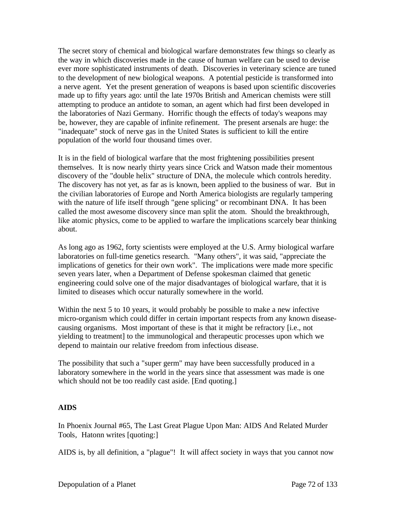The secret story of chemical and biological warfare demonstrates few things so clearly as the way in which discoveries made in the cause of human welfare can be used to devise ever more sophisticated instruments of death. Discoveries in veterinary science are tuned to the development of new biological weapons. A potential pesticide is transformed into a nerve agent. Yet the present generation of weapons is based upon scientific discoveries made up to fifty years ago: until the late 1970s British and American chemists were still attempting to produce an antidote to soman, an agent which had first been developed in the laboratories of Nazi Germany. Horrific though the effects of today's weapons may be, however, they are capable of infinite refinement. The present arsenals are huge: the "inadequate" stock of nerve gas in the United States is sufficient to kill the entire population of the world four thousand times over.

It is in the field of biological warfare that the most frightening possibilities present themselves. It is now nearly thirty years since Crick and Watson made their momentous discovery of the "double helix" structure of DNA, the molecule which controls heredity. The discovery has not yet, as far as is known, been applied to the business of war. But in the civilian laboratories of Europe and North America biologists are regularly tampering with the nature of life itself through "gene splicing" or recombinant DNA. It has been called the most awesome discovery since man split the atom. Should the breakthrough, like atomic physics, come to be applied to warfare the implications scarcely bear thinking about.

As long ago as 1962, forty scientists were employed at the U.S. Army biological warfare laboratories on full-time genetics research. "Many others", it was said, "appreciate the implications of genetics for their own work". The implications were made more specific seven years later, when a Department of Defense spokesman claimed that genetic engineering could solve one of the major disadvantages of biological warfare, that it is limited to diseases which occur naturally somewhere in the world.

Within the next 5 to 10 years, it would probably be possible to make a new infective micro-organism which could differ in certain important respects from any known diseasecausing organisms. Most important of these is that it might be refractory [i.e., not yielding to treatment] to the immunological and therapeutic processes upon which we depend to maintain our relative freedom from infectious disease.

The possibility that such a "super germ" may have been successfully produced in a laboratory somewhere in the world in the years since that assessment was made is one which should not be too readily cast aside. [End quoting.]

#### **AIDS**

In Phoenix Journal #65, The Last Great Plague Upon Man: AIDS And Related Murder Tools, Hatonn writes [quoting:]

AIDS is, by all definition, a "plague"! It will affect society in ways that you cannot now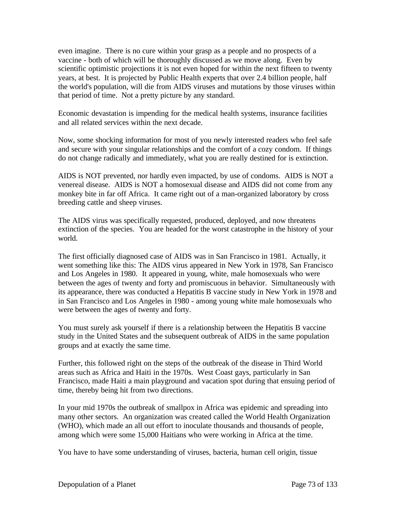even imagine. There is no cure within your grasp as a people and no prospects of a vaccine - both of which will be thoroughly discussed as we move along. Even by scientific optimistic projections it is not even hoped for within the next fifteen to twenty years, at best. It is projected by Public Health experts that over 2.4 billion people, half the world's population, will die from AIDS viruses and mutations by those viruses within that period of time. Not a pretty picture by any standard.

Economic devastation is impending for the medical health systems, insurance facilities and all related services within the next decade.

Now, some shocking information for most of you newly interested readers who feel safe and secure with your singular relationships and the comfort of a cozy condom. If things do not change radically and immediately, what you are really destined for is extinction.

AIDS is NOT prevented, nor hardly even impacted, by use of condoms. AIDS is NOT a venereal disease. AIDS is NOT a homosexual disease and AIDS did not come from any monkey bite in far off Africa. It came right out of a man-organized laboratory by cross breeding cattle and sheep viruses.

The AIDS virus was specifically requested, produced, deployed, and now threatens extinction of the species. You are headed for the worst catastrophe in the history of your world.

The first officially diagnosed case of AIDS was in San Francisco in 1981. Actually, it went something like this: The AIDS virus appeared in New York in 1978, San Francisco and Los Angeles in 1980. It appeared in young, white, male homosexuals who were between the ages of twenty and forty and promiscuous in behavior. Simultaneously with its appearance, there was conducted a Hepatitis B vaccine study in New York in 1978 and in San Francisco and Los Angeles in 1980 - among young white male homosexuals who were between the ages of twenty and forty.

You must surely ask yourself if there is a relationship between the Hepatitis B vaccine study in the United States and the subsequent outbreak of AIDS in the same population groups and at exactly the same time.

Further, this followed right on the steps of the outbreak of the disease in Third World areas such as Africa and Haiti in the 1970s. West Coast gays, particularly in San Francisco, made Haiti a main playground and vacation spot during that ensuing period of time, thereby being hit from two directions.

In your mid 1970s the outbreak of smallpox in Africa was epidemic and spreading into many other sectors. An organization was created called the World Health Organization (WHO), which made an all out effort to inoculate thousands and thousands of people, among which were some 15,000 Haitians who were working in Africa at the time.

You have to have some understanding of viruses, bacteria, human cell origin, tissue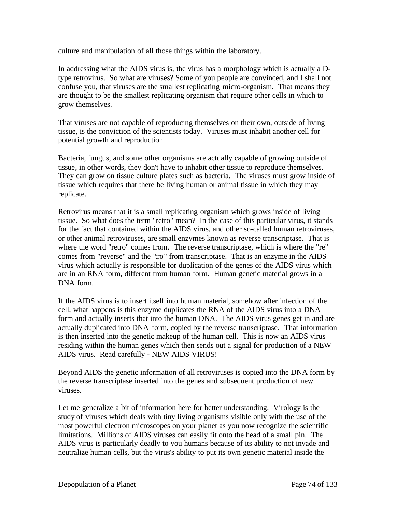culture and manipulation of all those things within the laboratory.

In addressing what the AIDS virus is, the virus has a morphology which is actually a Dtype retrovirus. So what are viruses? Some of you people are convinced, and I shall not confuse you, that viruses are the smallest replicating micro-organism. That means they are thought to be the smallest replicating organism that require other cells in which to grow themselves.

That viruses are not capable of reproducing themselves on their own, outside of living tissue, is the conviction of the scientists today. Viruses must inhabit another cell for potential growth and reproduction.

Bacteria, fungus, and some other organisms are actually capable of growing outside of tissue, in other words, they don't have to inhabit other tissue to reproduce themselves. They can grow on tissue culture plates such as bacteria. The viruses must grow inside of tissue which requires that there be living human or animal tissue in which they may replicate.

Retrovirus means that it is a small replicating organism which grows inside of living tissue. So what does the term "retro" mean? In the case of this particular virus, it stands for the fact that contained within the AIDS virus, and other so-called human retroviruses, or other animal retroviruses, are small enzymes known as reverse transcriptase. That is where the word "retro" comes from. The reverse transcriptase, which is where the "re" comes from "reverse" and the "tro" from transcriptase. That is an enzyme in the AIDS virus which actually is responsible for duplication of the genes of the AIDS virus which are in an RNA form, different from human form. Human genetic material grows in a DNA form.

If the AIDS virus is to insert itself into human material, somehow after infection of the cell, what happens is this enzyme duplicates the RNA of the AIDS virus into a DNA form and actually inserts that into the human DNA. The AIDS virus genes get in and are actually duplicated into DNA form, copied by the reverse transcriptase. That information is then inserted into the genetic makeup of the human cell. This is now an AIDS virus residing within the human genes which then sends out a signal for production of a NEW AIDS virus. Read carefully - NEW AIDS VIRUS!

Beyond AIDS the genetic information of all retroviruses is copied into the DNA form by the reverse transcriptase inserted into the genes and subsequent production of new viruses.

Let me generalize a bit of information here for better understanding. Virology is the study of viruses which deals with tiny living organisms visible only with the use of the most powerful electron microscopes on your planet as you now recognize the scientific limitations. Millions of AIDS viruses can easily fit onto the head of a small pin. The AIDS virus is particularly deadly to you humans because of its ability to not invade and neutralize human cells, but the virus's ability to put its own genetic material inside the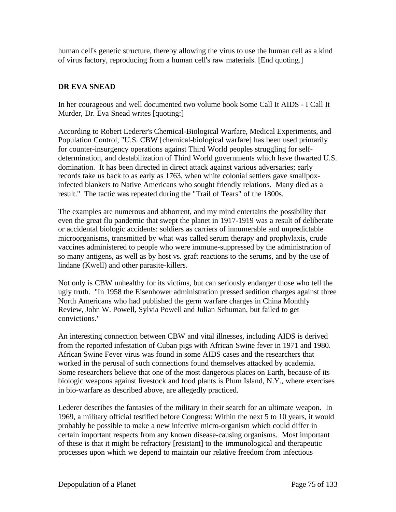human cell's genetic structure, thereby allowing the virus to use the human cell as a kind of virus factory, reproducing from a human cell's raw materials. [End quoting.]

## **DR EVA SNEAD**

In her courageous and well documented two volume book Some Call It AIDS - I Call It Murder, Dr. Eva Snead writes [quoting:]

According to Robert Lederer's Chemical-Biological Warfare, Medical Experiments, and Population Control, "U.S. CBW [chemical-biological warfare] has been used primarily for counter-insurgency operations against Third World peoples struggling for selfdetermination, and destabilization of Third World governments which have thwarted U.S. domination. It has been directed in direct attack against various adversaries; early records take us back to as early as 1763, when white colonial settlers gave smallpoxinfected blankets to Native Americans who sought friendly relations. Many died as a result." The tactic was repeated during the "Trail of Tears" of the 1800s.

The examples are numerous and abhorrent, and my mind entertains the possibility that even the great flu pandemic that swept the planet in 1917-1919 was a result of deliberate or accidental biologic accidents: soldiers as carriers of innumerable and unpredictable microorganisms, transmitted by what was called serum therapy and prophylaxis, crude vaccines administered to people who were immune-suppressed by the administration of so many antigens, as well as by host vs. graft reactions to the serums, and by the use of lindane (Kwell) and other parasite-killers.

Not only is CBW unhealthy for its victims, but can seriously endanger those who tell the ugly truth. "In 1958 the Eisenhower administration pressed sedition charges against three North Americans who had published the germ warfare charges in China Monthly Review, John W. Powell, Sylvia Powell and Julian Schuman, but failed to get convictions."

An interesting connection between CBW and vital illnesses, including AIDS is derived from the reported infestation of Cuban pigs with African Swine fever in 1971 and 1980. African Swine Fever virus was found in some AIDS cases and the researchers that worked in the perusal of such connections found themselves attacked by academia. Some researchers believe that one of the most dangerous places on Earth, because of its biologic weapons against livestock and food plants is Plum Island, N.Y., where exercises in bio-warfare as described above, are allegedly practiced.

Lederer describes the fantasies of the military in their search for an ultimate weapon. In 1969, a military official testified before Congress: Within the next 5 to 10 years, it would probably be possible to make a new infective micro-organism which could differ in certain important respects from any known disease-causing organisms. Most important of these is that it might be refractory [resistant] to the immunological and therapeutic processes upon which we depend to maintain our relative freedom from infectious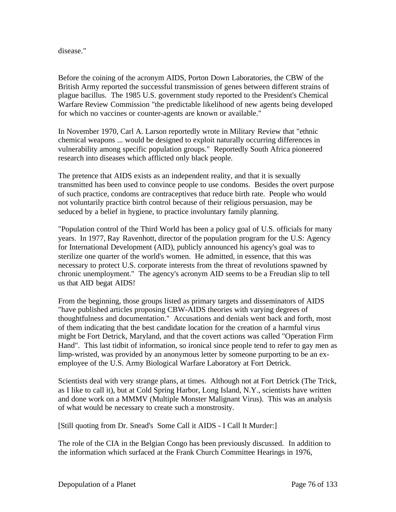disease."

Before the coining of the acronym AIDS, Porton Down Laboratories, the CBW of the British Army reported the successful transmission of genes between different strains of plague bacillus. The 1985 U.S. government study reported to the President's Chemical Warfare Review Commission "the predictable likelihood of new agents being developed for which no vaccines or counter-agents are known or available."

In November 1970, Carl A. Larson reportedly wrote in Military Review that "ethnic chemical weapons ... would be designed to exploit naturally occurring differences in vulnerability among specific population groups." Reportedly South Africa pioneered research into diseases which afflicted only black people.

The pretence that AIDS exists as an independent reality, and that it is sexually transmitted has been used to convince people to use condoms. Besides the overt purpose of such practice, condoms are contraceptives that reduce birth rate. People who would not voluntarily practice birth control because of their religious persuasion, may be seduced by a belief in hygiene, to practice involuntary family planning.

"Population control of the Third World has been a policy goal of U.S. officials for many years. In 1977, Ray Ravenhott, director of the population program for the U.S: Agency for International Development (AID), publicly announced his agency's goal was to sterilize one quarter of the world's women. He admitted, in essence, that this was necessary to protect U.S. corporate interests from the threat of revolutions spawned by chronic unemployment." The agency's acronym AID seems to be a Freudian slip to tell us that AID begat AIDS!

From the beginning, those groups listed as primary targets and disseminators of AIDS "have published articles proposing CBW-AIDS theories with varying degrees of thoughtfulness and documentation." Accusations and denials went back and forth, most of them indicating that the best candidate location for the creation of a harmful virus might be Fort Detrick, Maryland, and that the covert actions was called "Operation Firm Hand". This last tidbit of information, so ironical since people tend to refer to gay men as limp-wristed, was provided by an anonymous letter by someone purporting to be an exemployee of the U.S. Army Biological Warfare Laboratory at Fort Detrick.

Scientists deal with very strange plans, at times. Although not at Fort Detrick (The Trick, as I like to call it), but at Cold Spring Harbor, Long Island, N.Y., scientists have written and done work on a MMMV (Multiple Monster Malignant Virus). This was an analysis of what would be necessary to create such a monstrosity.

[Still quoting from Dr. Snead's Some Call it AIDS - I Call It Murder:]

The role of the CIA in the Belgian Congo has been previously discussed. In addition to the information which surfaced at the Frank Church Committee Hearings in 1976,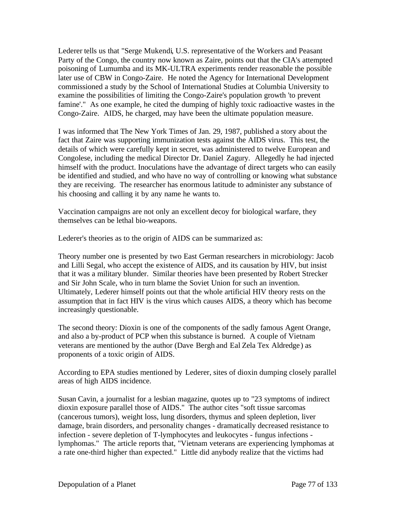Lederer tells us that "Serge Mukendi, U.S. representative of the Workers and Peasant Party of the Congo, the country now known as Zaire, points out that the CIA's attempted poisoning of Lumumba and its MK-ULTRA experiments render reasonable the possible later use of CBW in Congo-Zaire. He noted the Agency for International Development commissioned a study by the School of International Studies at Columbia University to examine the possibilities of limiting the Congo-Zaire's population growth 'to prevent famine'." As one example, he cited the dumping of highly toxic radioactive wastes in the Congo-Zaire. AIDS, he charged, may have been the ultimate population measure.

I was informed that The New York Times of Jan. 29, 1987, published a story about the fact that Zaire was supporting immunization tests against the AIDS virus. This test, the details of which were carefully kept in secret, was administered to twelve European and Congolese, including the medical Director Dr. Daniel Zagury. Allegedly he had injected himself with the product. Inoculations have the advantage of direct targets who can easily be identified and studied, and who have no way of controlling or knowing what substance they are receiving. The researcher has enormous latitude to administer any substance of his choosing and calling it by any name he wants to.

Vaccination campaigns are not only an excellent decoy for biological warfare, they themselves can be lethal bio-weapons.

Lederer's theories as to the origin of AIDS can be summarized as:

Theory number one is presented by two East German researchers in microbiology: Jacob and Lilli Segal, who accept the existence of AIDS, and its causation by HIV, but insist that it was a military blunder. Similar theories have been presented by Robert Strecker and Sir John Scale, who in turn blame the Soviet Union for such an invention. Ultimately, Lederer himself points out that the whole artificial HIV theory rests on the assumption that in fact HIV is the virus which causes AIDS, a theory which has become increasingly questionable.

The second theory: Dioxin is one of the components of the sadly famous Agent Orange, and also a by-product of PCP when this substance is burned. A couple of Vietnam veterans are mentioned by the author (Dave Bergh and Eal Zela Tex Aldredge ) as proponents of a toxic origin of AIDS.

According to EPA studies mentioned by Lederer, sites of dioxin dumping closely parallel areas of high AIDS incidence.

Susan Cavin, a journalist for a lesbian magazine, quotes up to "23 symptoms of indirect dioxin exposure parallel those of AIDS." The author cites "soft tissue sarcomas (cancerous tumors), weight loss, lung disorders, thymus and spleen depletion, liver damage, brain disorders, and personality changes - dramatically decreased resistance to infection - severe depletion of T-lymphocytes and leukocytes - fungus infections lymphomas." The article reports that, "Vietnam veterans are experiencing lymphomas at a rate one-third higher than expected." Little did anybody realize that the victims had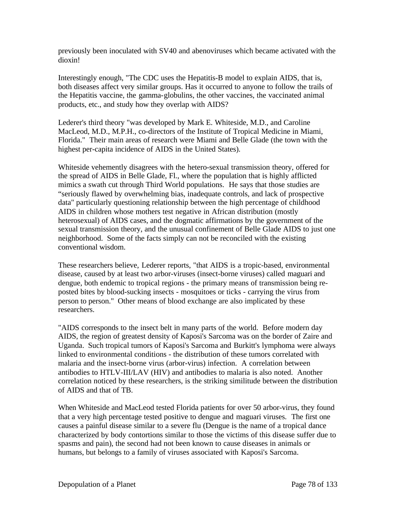previously been inoculated with SV40 and abenoviruses which became activated with the dioxin!

Interestingly enough, "The CDC uses the Hepatitis-B model to explain AIDS, that is, both diseases affect very similar groups. Has it occurred to anyone to follow the trails of the Hepatitis vaccine, the gamma-globulins, the other vaccines, the vaccinated animal products, etc., and study how they overlap with AIDS?

Lederer's third theory "was developed by Mark E. Whiteside, M.D., and Caroline MacLeod, M.D., M.P.H., co-directors of the Institute of Tropical Medicine in Miami, Florida." Their main areas of research were Miami and Belle Glade (the town with the highest per-capita incidence of AIDS in the United States).

Whiteside vehemently disagrees with the hetero-sexual transmission theory, offered for the spread of AIDS in Belle Glade, Fl., where the population that is highly afflicted mimics a swath cut through Third World populations. He says that those studies are "seriously flawed by overwhelming bias, inadequate controls, and lack of prospective data" particularly questioning relationship between the high percentage of childhood AIDS in children whose mothers test negative in African distribution (mostly heterosexual) of AIDS cases, and the dogmatic affirmations by the government of the sexual transmission theory, and the unusual confinement of Belle Glade AIDS to just one neighborhood. Some of the facts simply can not be reconciled with the existing conventional wisdom.

These researchers believe, Lederer reports, "that AIDS is a tropic-based, environmental disease, caused by at least two arbor-viruses (insect-borne viruses) called maguari and dengue, both endemic to tropical regions - the primary means of transmission being reposted bites by blood-sucking insects - mosquitoes or ticks - carrying the virus from person to person." Other means of blood exchange are also implicated by these researchers.

"AIDS corresponds to the insect belt in many parts of the world. Before modern day AIDS, the region of greatest density of Kaposi's Sarcoma was on the border of Zaire and Uganda. Such tropical tumors of Kaposi's Sarcoma and Burkitt's lymphoma were always linked to environmental conditions - the distribution of these tumors correlated with malaria and the insect-borne virus (arbor-virus) infection. A correlation between antibodies to HTLV-III/LAV (HIV) and antibodies to malaria is also noted. Another correlation noticed by these researchers, is the striking similitude between the distribution of AIDS and that of TB.

When Whiteside and MacLeod tested Florida patients for over 50 arbor-virus, they found that a very high percentage tested positive to dengue and maguari viruses. The first one causes a painful disease similar to a severe flu (Dengue is the name of a tropical dance characterized by body contortions similar to those the victims of this disease suffer due to spasms and pain), the second had not been known to cause diseases in animals or humans, but belongs to a family of viruses associated with Kaposi's Sarcoma.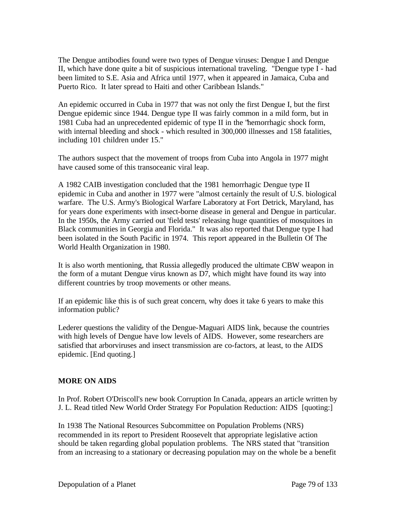The Dengue antibodies found were two types of Dengue viruses: Dengue I and Dengue II, which have done quite a bit of suspicious international traveling. "Dengue type I - had been limited to S.E. Asia and Africa until 1977, when it appeared in Jamaica, Cuba and Puerto Rico. It later spread to Haiti and other Caribbean Islands."

An epidemic occurred in Cuba in 1977 that was not only the first Dengue I, but the first Dengue epidemic since 1944. Dengue type II was fairly common in a mild form, but in 1981 Cuba had an unprecedented epidemic of type II in the "hemorrhagic shock form, with internal bleeding and shock - which resulted in 300,000 illnesses and 158 fatalities, including 101 children under 15."

The authors suspect that the movement of troops from Cuba into Angola in 1977 might have caused some of this transoceanic viral leap.

A 1982 CAIB investigation concluded that the 1981 hemorrhagic Dengue type II epidemic in Cuba and another in 1977 were "almost certainly the result of U.S. biological warfare. The U.S. Army's Biological Warfare Laboratory at Fort Detrick, Maryland, has for years done experiments with insect-borne disease in general and Dengue in particular. In the 1950s, the Army carried out 'field tests' releasing huge quantities of mosquitoes in Black communities in Georgia and Florida." It was also reported that Dengue type I had been isolated in the South Pacific in 1974. This report appeared in the Bulletin Of The World Health Organization in 1980.

It is also worth mentioning, that Russia allegedly produced the ultimate CBW weapon in the form of a mutant Dengue virus known as D7, which might have found its way into different countries by troop movements or other means.

If an epidemic like this is of such great concern, why does it take 6 years to make this information public?

Lederer questions the validity of the Dengue-Maguari AIDS link, because the countries with high levels of Dengue have low levels of AIDS. However, some researchers are satisfied that arborviruses and insect transmission are co-factors, at least, to the AIDS epidemic. [End quoting.]

## **MORE ON AIDS**

In Prof. Robert O'Driscoll's new book Corruption In Canada, appears an article written by J. L. Read titled New World Order Strategy For Population Reduction: AIDS [quoting:]

In 1938 The National Resources Subcommittee on Population Problems (NRS) recommended in its report to President Roosevelt that appropriate legislative action should be taken regarding global population problems. The NRS stated that "transition from an increasing to a stationary or decreasing population may on the whole be a benefit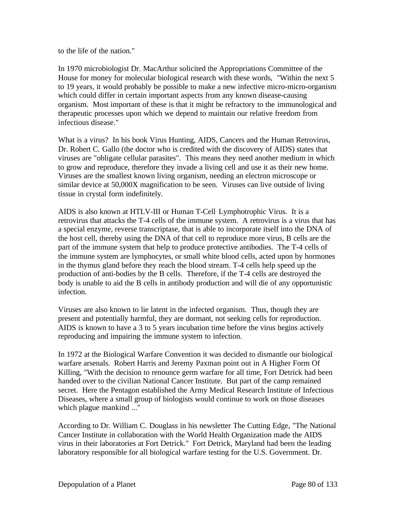to the life of the nation."

In 1970 microbiologist Dr. MacArthur solicited the Appropriations Committee of the House for money for molecular biological research with these words, "Within the next 5 to 19 years, it would probably be possible to make a new infective micro-micro-organism which could differ in certain important aspects from any known disease-causing organism. Most important of these is that it might be refractory to the immunological and therapeutic processes upon which we depend to maintain our relative freedom from infectious disease."

What is a virus? In his book Virus Hunting, AIDS, Cancers and the Human Retrovirus, Dr. Robert C. Gallo (the doctor who is credited with the discovery of AIDS) states that viruses are "obligate cellular parasites". This means they need another medium in which to grow and reproduce, therefore they invade a living cell and use it as their new home. Viruses are the smallest known living organism, needing an electron microscope or similar device at 50,000X magnification to be seen. Viruses can live outside of living tissue in crystal form indefinitely.

AIDS is also known at HTLV-III or Human T-Cell Lymphotrophic Virus. It is a retrovirus that attacks the T-4 cells of the immune system. A retrovirus is a virus that has a special enzyme, reverse transcriptase, that is able to incorporate itself into the DNA of the host cell, thereby using the DNA of that cell to reproduce more virus, B cells are the part of the immune system that help to produce protective antibodies. The T-4 cells of the immune system are lymphocytes, or small white blood cells, acted upon by hormones in the thymus gland before they reach the blood stream. T-4 cells help speed up the production of anti-bodies by the B cells. Therefore, if the T-4 cells are destroyed the body is unable to aid the B cells in antibody production and will die of any opportunistic infection.

Viruses are also known to lie latent in the infected organism. Thus, though they are present and potentially harmful, they are dormant, not seeking cells for reproduction. AIDS is known to have a 3 to 5 years incubation time before the virus begins actively reproducing and impairing the immune system to infection.

In 1972 at the Biological Warfare Convention it was decided to dismantle our biological warfare arsenals. Robert Harris and Jeremy Paxman point out in A Higher Form Of Killing, "With the decision to renounce germ warfare for all time, Fort Detrick had been handed over to the civilian National Cancer Institute. But part of the camp remained secret. Here the Pentagon established the Army Medical Research Institute of Infectious Diseases, where a small group of biologists would continue to work on those diseases which plague mankind ..."

According to Dr. William C. Douglass in his newsletter The Cutting Edge, "The National Cancer Institute in collaboration with the World Health Organization made the AIDS virus in their laboratories at Fort Detrick." Fort Detrick, Maryland had been the leading laboratory responsible for all biological warfare testing for the U.S. Government. Dr.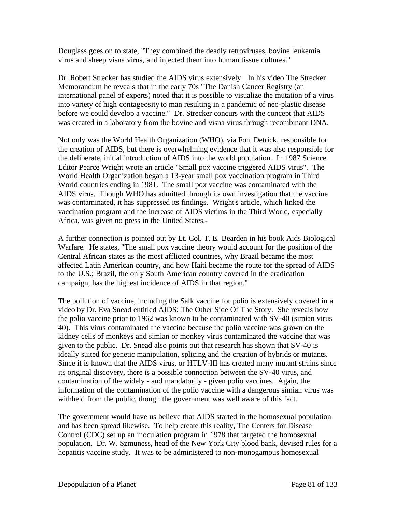Douglass goes on to state, "They combined the deadly retroviruses, bovine leukemia virus and sheep visna virus, and injected them into human tissue cultures."

Dr. Robert Strecker has studied the AIDS virus extensively. In his video The Strecker Memorandum he reveals that in the early 70s "The Danish Cancer Registry (an international panel of experts) noted that it is possible to visualize the mutation of a virus into variety of high contageosity to man resulting in a pandemic of neo-plastic disease before we could develop a vaccine." Dr. Strecker concurs with the concept that AIDS was created in a laboratory from the bovine and visna virus through recombinant DNA.

Not only was the World Health Organization (WHO), via Fort Detrick, responsible for the creation of AIDS, but there is overwhelming evidence that it was also responsible for the deliberate, initial introduction of AIDS into the world population. In 1987 Science Editor Pearce Wright wrote an article "Small pox vaccine triggered AIDS virus". The World Health Organization began a 13-year small pox vaccination program in Third World countries ending in 1981. The small pox vaccine was contaminated with the AIDS virus. Though WHO has admitted through its own investigation that the vaccine was contaminated, it has suppressed its findings. Wright's article, which linked the vaccination program and the increase of AIDS victims in the Third World, especially Africa, was given no press in the United States.-

A further connection is pointed out by Lt. Col. T. E. Bearden in his book Aids Biological Warfare. He states, "The small pox vaccine theory would account for the position of the Central African states as the most afflicted countries, why Brazil became the most affected Latin American country, and how Haiti became the route for the spread of AIDS to the U.S.; Brazil, the only South American country covered in the eradication campaign, has the highest incidence of AIDS in that region."

The pollution of vaccine, including the Salk vaccine for polio is extensively covered in a video by Dr. Eva Snead entitled AIDS: The Other Side Of The Story. She reveals how the polio vaccine prior to 1962 was known to be contaminated with SV-40 (simian virus 40). This virus contaminated the vaccine because the polio vaccine was grown on the kidney cells of monkeys and simian or monkey virus contaminated the vaccine that was given to the public. Dr. Snead also points out that research has shown that SV-40 is ideally suited for genetic manipulation, splicing and the creation of hybrids or mutants. Since it is known that the AIDS virus, or HTLV-III has created many mutant strains since its original discovery, there is a possible connection between the SV-40 virus, and contamination of the widely - and mandatorily - given polio vaccines. Again, the information of the contamination of the polio vaccine with a dangerous simian virus was withheld from the public, though the government was well aware of this fact.

The government would have us believe that AIDS started in the homosexual population and has been spread likewise. To help create this reality, The Centers for Disease Control (CDC) set up an inoculation program in 1978 that targeted the homosexual population. Dr. W. Szmuness, head of the New York City blood bank, devised rules for a hepatitis vaccine study. It was to be administered to non-monogamous homosexual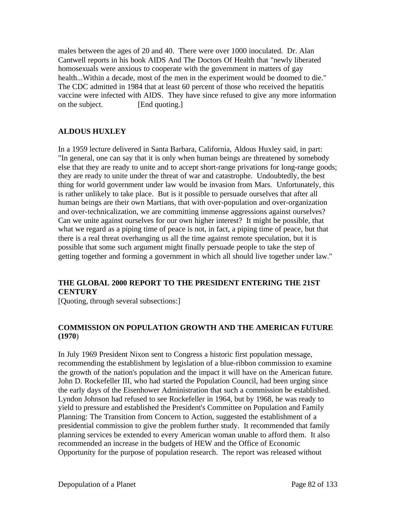males between the ages of 20 and 40. There were over 1000 inoculated. Dr. Alan Cantwell reports in his book AIDS And The Doctors Of Health that "newly liberated homosexuals were anxious to cooperate with the government in matters of gay health...Within a decade, most of the men in the experiment would be doomed to die." The CDC admitted in 1984 that at least 60 percent of those who received the hepatitis vaccine were infected with AIDS. They have since refused to give any more information on the subject. [End quoting.]

# **ALDOUS HUXLEY**

In a 1959 lecture delivered in Santa Barbara, California, Aldous Huxley said, in part: "In general, one can say that it is only when human beings are threatened by somebody else that they are ready to unite and to accept short-range privations for long-range goods; they are ready to unite under the threat of war and catastrophe. Undoubtedly, the best thing for world government under law would be invasion from Mars. Unfortunately, this is rather unlikely to take place. But is it possible to persuade ourselves that after all human beings are their own Martians, that with over-population and over-organization and over-technicalization, we are committing immense aggressions against ourselves? Can we unite against ourselves for our own higher interest? It might be possible, that what we regard as a piping time of peace is not, in fact, a piping time of peace, but that there is a real threat overhanging us all the time against remote speculation, but it is possible that some such argument might finally persuade people to take the step of getting together and forming a government in which all should live together under law."

# **THE GLOBAL 2000 REPORT TO THE PRESIDENT ENTERING THE 21ST CENTURY**

[Quoting, through several subsections:]

## **COMMISSION ON POPULATION GROWTH AND THE AMERICAN FUTURE (1970**)

In July 1969 President Nixon sent to Congress a historic first population message, recommending the establishment by legislation of a blue-ribbon commission to examine the growth of the nation's population and the impact it will have on the American future. John D. Rockefeller III, who had started the Population Council, had been urging since the early days of the Eisenhower Administration that such a commission be established. Lyndon Johnson had refused to see Rockefeller in 1964, but by 1968, he was ready to yield to pressure and established the President's Committee on Population and Family Planning: The Transition from Concern to Action, suggested the establishment of a presidential commission to give the problem further study. It recommended that family planning services be extended to every American woman unable to afford them. It also recommended an increase in the budgets of HEW and the Office of Economic Opportunity for the purpose of population research. The report was released without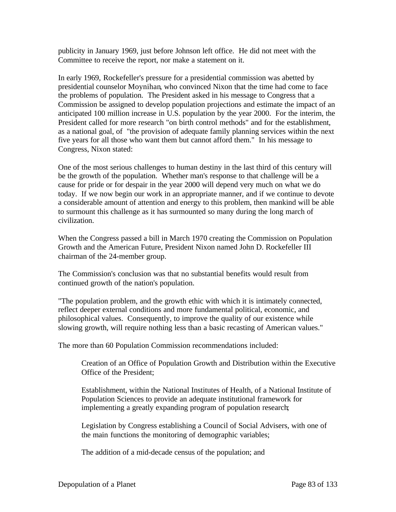publicity in January 1969, just before Johnson left office. He did not meet with the Committee to receive the report, nor make a statement on it.

In early 1969, Rockefeller's pressure for a presidential commission was abetted by presidential counselor Moynihan, who convinced Nixon that the time had come to face the problems of population. The President asked in his message to Congress that a Commission be assigned to develop population projections and estimate the impact of an anticipated 100 million increase in U.S. population by the year 2000. For the interim, the President called for more research "on birth control methods" and for the establishment, as a national goal, of "the provision of adequate family planning services within the next five years for all those who want them but cannot afford them." In his message to Congress, Nixon stated:

One of the most serious challenges to human destiny in the last third of this century will be the growth of the population. Whether man's response to that challenge will be a cause for pride or for despair in the year 2000 will depend very much on what we do today. If we now begin our work in an appropriate manner, and if we continue to devote a considerable amount of attention and energy to this problem, then mankind will be able to surmount this challenge as it has surmounted so many during the long march of civilization.

When the Congress passed a bill in March 1970 creating the Commission on Population Growth and the American Future, President Nixon named John D. Rockefeller III chairman of the 24-member group.

The Commission's conclusion was that no substantial benefits would result from continued growth of the nation's population.

"The population problem, and the growth ethic with which it is intimately connected, reflect deeper external conditions and more fundamental political, economic, and philosophical values. Consequently, to improve the quality of our existence while slowing growth, will require nothing less than a basic recasting of American values."

The more than 60 Population Commission recommendations included:

Creation of an Office of Population Growth and Distribution within the Executive Office of the President;

Establishment, within the National Institutes of Health, of a National Institute of Population Sciences to provide an adequate institutional framework for implementing a greatly expanding program of population research;

Legislation by Congress establishing a Council of Social Advisers, with one of the main functions the monitoring of demographic variables;

The addition of a mid-decade census of the population; and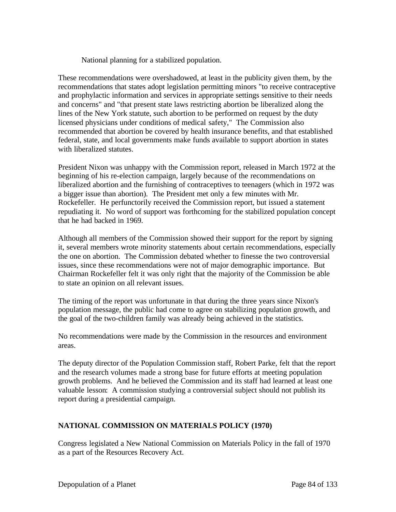National planning for a stabilized population.

These recommendations were overshadowed, at least in the publicity given them, by the recommendations that states adopt legislation permitting minors "to receive contraceptive and prophylactic information and services in appropriate settings sensitive to their needs and concerns" and "that present state laws restricting abortion be liberalized along the lines of the New York statute, such abortion to be performed on request by the duty licensed physicians under conditions of medical safety," The Commission also recommended that abortion be covered by health insurance benefits, and that established federal, state, and local governments make funds available to support abortion in states with liberalized statutes.

President Nixon was unhappy with the Commission report, released in March 1972 at the beginning of his re-election campaign, largely because of the recommendations on liberalized abortion and the furnishing of contraceptives to teenagers (which in 1972 was a bigger issue than abortion). The President met only a few minutes with Mr. Rockefeller. He perfunctorily received the Commission report, but issued a statement repudiating it. No word of support was forthcoming for the stabilized population concept that he had backed in 1969.

Although all members of the Commission showed their support for the report by signing it, several members wrote minority statements about certain recommendations, especially the one on abortion. The Commission debated whether to finesse the two controversial issues, since these recommendations were not of major demographic importance. But Chairman Rockefeller felt it was only right that the majority of the Commission be able to state an opinion on all relevant issues.

The timing of the report was unfortunate in that during the three years since Nixon's population message, the public had come to agree on stabilizing population growth, and the goal of the two-children family was already being achieved in the statistics.

No recommendations were made by the Commission in the resources and environment areas.

The deputy director of the Population Commission staff, Robert Parke, felt that the report and the research volumes made a strong base for future efforts at meeting population growth problems. And he believed the Commission and its staff had learned at least one valuable lesson: A commission studying a controversial subject should not publish its report during a presidential campaign.

# **NATIONAL COMMISSION ON MATERIALS POLICY (1970)**

Congress legislated a New National Commission on Materials Policy in the fall of 1970 as a part of the Resources Recovery Act.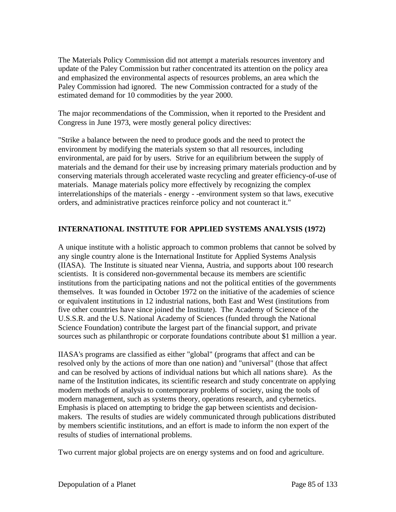The Materials Policy Commission did not attempt a materials resources inventory and update of the Paley Commission but rather concentrated its attention on the policy area and emphasized the environmental aspects of resources problems, an area which the Paley Commission had ignored. The new Commission contracted for a study of the estimated demand for 10 commodities by the year 2000.

The major recommendations of the Commission, when it reported to the President and Congress in June 1973, were mostly general policy directives:

"Strike a balance between the need to produce goods and the need to protect the environment by modifying the materials system so that all resources, including environmental, are paid for by users. Strive for an equilibrium between the supply of materials and the demand for their use by increasing primary materials production and by conserving materials through accelerated waste recycling and greater efficiency-of-use of materials. Manage materials policy more effectively by recognizing the complex interrelationships of the materials - energy - -environment system so that laws, executive orders, and administrative practices reinforce policy and not counteract it."

# **INTERNATIONAL INSTITUTE FOR APPLIED SYSTEMS ANALYSIS (1972)**

A unique institute with a holistic approach to common problems that cannot be solved by any single country alone is the International Institute for Applied Systems Analysis (IIASA). The Institute is situated near Vienna, Austria, and supports about 100 research scientists. It is considered non-governmental because its members are scientific institutions from the participating nations and not the political entities of the governments themselves. It was founded in October 1972 on the initiative of the academies of science or equivalent institutions in 12 industrial nations, both East and West (institutions from five other countries have since joined the Institute). The Academy of Science of the U.S.S.R. and the U.S. National Academy of Sciences (funded through the National Science Foundation) contribute the largest part of the financial support, and private sources such as philanthropic or corporate foundations contribute about \$1 million a year.

IIASA's programs are classified as either "global" (programs that affect and can be resolved only by the actions of more than one nation) and "universal" (those that affect and can be resolved by actions of individual nations but which all nations share). As the name of the Institution indicates, its scientific research and study concentrate on applying modern methods of analysis to contemporary problems of society, using the tools of modern management, such as systems theory, operations research, and cybernetics. Emphasis is placed on attempting to bridge the gap between scientists and decisionmakers. The results of studies are widely communicated through publications distributed by members scientific institutions, and an effort is made to inform the non expert of the results of studies of international problems.

Two current major global projects are on energy systems and on food and agriculture.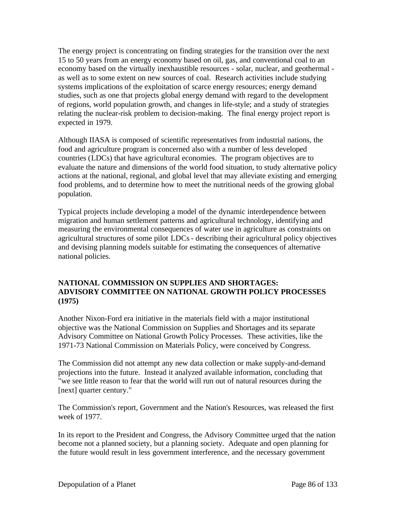The energy project is concentrating on finding strategies for the transition over the next 15 to 50 years from an energy economy based on oil, gas, and conventional coal to an economy based on the virtually inexhaustible resources - solar, nuclear, and geothermal as well as to some extent on new sources of coal. Research activities include studying systems implications of the exploitation of scarce energy resources; energy demand studies, such as one that projects global energy demand with regard to the development of regions, world population growth, and changes in life-style; and a study of strategies relating the nuclear-risk problem to decision-making. The final energy project report is expected in 1979.

Although IIASA is composed of scientific representatives from industrial nations, the food and agriculture program is concerned also with a number of less developed countries (LDCs) that have agricultural economies. The program objectives are to evaluate the nature and dimensions of the world food situation, to study alternative policy actions at the national, regional, and global level that may alleviate existing and emerging food problems, and to determine how to meet the nutritional needs of the growing global population.

Typical projects include developing a model of the dynamic interdependence between migration and human settlement patterns and agricultural technology, identifying and measuring the environmental consequences of water use in agriculture as constraints on agricultural structures of some pilot LDCs - describing their agricultural policy objectives and devising planning models suitable for estimating the consequences of alternative national policies.

## **NATIONAL COMMISSION ON SUPPLIES AND SHORTAGES: ADVISORY COMMITTEE ON NATIONAL GROWTH POLICY PROCESSES (1975)**

Another Nixon-Ford era initiative in the materials field with a major institutional objective was the National Commission on Supplies and Shortages and its separate Advisory Committee on National Growth Policy Processes. These activities, like the 1971-73 National Commission on Materials Policy, were conceived by Congress.

The Commission did not attempt any new data collection or make supply-and-demand projections into the future. Instead it analyzed available information, concluding that "we see little reason to fear that the world will run out of natural resources during the [next] quarter century."

The Commission's report, Government and the Nation's Resources, was released the first week of 1977.

In its report to the President and Congress, the Advisory Committee urged that the nation become not a planned society, but a planning society. Adequate and open planning for the future would result in less government interference, and the necessary government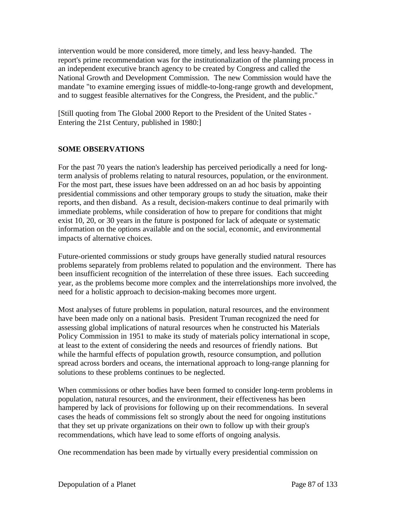intervention would be more considered, more timely, and less heavy-handed. The report's prime recommendation was for the institutionalization of the planning process in an independent executive branch agency to be created by Congress and called the National Growth and Development Commission. The new Commission would have the mandate "to examine emerging issues of middle-to-long-range growth and development, and to suggest feasible alternatives for the Congress, the President, and the public."

[Still quoting from The Global 2000 Report to the President of the United States - Entering the 21st Century, published in 1980:]

# **SOME OBSERVATIONS**

For the past 70 years the nation's leadership has perceived periodically a need for longterm analysis of problems relating to natural resources, population, or the environment. For the most part, these issues have been addressed on an ad hoc basis by appointing presidential commissions and other temporary groups to study the situation, make their reports, and then disband. As a result, decision-makers continue to deal primarily with immediate problems, while consideration of how to prepare for conditions that might exist 10, 20, or 30 years in the future is postponed for lack of adequate or systematic information on the options available and on the social, economic, and environmental impacts of alternative choices.

Future-oriented commissions or study groups have generally studied natural resources problems separately from problems related to population and the environment. There has been insufficient recognition of the interrelation of these three issues. Each succeeding year, as the problems become more complex and the interrelationships more involved, the need for a holistic approach to decision-making becomes more urgent.

Most analyses of future problems in population, natural resources, and the environment have been made only on a national basis. President Truman recognized the need for assessing global implications of natural resources when he constructed his Materials Policy Commission in 1951 to make its study of materials policy international in scope, at least to the extent of considering the needs and resources of friendly nations. But while the harmful effects of population growth, resource consumption, and pollution spread across borders and oceans, the international approach to long-range planning for solutions to these problems continues to be neglected.

When commissions or other bodies have been formed to consider long-term problems in population, natural resources, and the environment, their effectiveness has been hampered by lack of provisions for following up on their recommendations. In several cases the heads of commissions felt so strongly about the need for ongoing institutions that they set up private organizations on their own to follow up with their group's recommendations, which have lead to some efforts of ongoing analysis.

One recommendation has been made by virtually every presidential commission on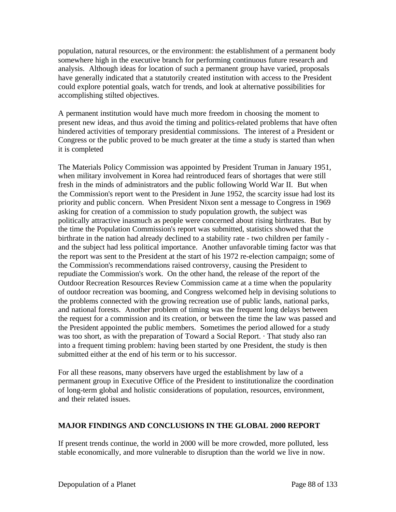population, natural resources, or the environment: the establishment of a permanent body somewhere high in the executive branch for performing continuous future research and analysis. Although ideas for location of such a permanent group have varied, proposals have generally indicated that a statutorily created institution with access to the President could explore potential goals, watch for trends, and look at alternative possibilities for accomplishing stilted objectives.

A permanent institution would have much more freedom in choosing the moment to present new ideas, and thus avoid the timing and politics-related problems that have often hindered activities of temporary presidential commissions. The interest of a President or Congress or the public proved to be much greater at the time a study is started than when it is completed

The Materials Policy Commission was appointed by President Truman in January 1951, when military involvement in Korea had reintroduced fears of shortages that were still fresh in the minds of administrators and the public following World War II. But when the Commission's report went to the President in June 1952, the scarcity issue had lost its priority and public concern. When President Nixon sent a message to Congress in 1969 asking for creation of a commission to study population growth, the subject was politically attractive inasmuch as people were concerned about rising birthrates. But by the time the Population Commission's report was submitted, statistics showed that the birthrate in the nation had already declined to a stability rate - two children per family and the subject had less political importance. Another unfavorable timing factor was that the report was sent to the President at the start of his 1972 re-election campaign; some of the Commission's recommendations raised controversy, causing the President to repudiate the Commission's work. On the other hand, the release of the report of the Outdoor Recreation Resources Review Commission came at a time when the popularity of outdoor recreation was booming, and Congress welcomed help in devising solutions to the problems connected with the growing recreation use of public lands, national parks, and national forests. Another problem of timing was the frequent long delays between the request for a commission and its creation, or between the time the law was passed and the President appointed the public members. Sometimes the period allowed for a study was too short, as with the preparation of Toward a Social Report. · That study also ran into a frequent timing problem: having been started by one President, the study is then submitted either at the end of his term or to his successor.

For all these reasons, many observers have urged the establishment by law of a permanent group in Executive Office of the President to institutionalize the coordination of long-term global and holistic considerations of population, resources, environment, and their related issues.

#### **MAJOR FINDINGS AND CONCLUSIONS IN THE GLOBAL 2000 REPORT**

If present trends continue, the world in 2000 will be more crowded, more polluted, less stable economically, and more vulnerable to disruption than the world we live in now.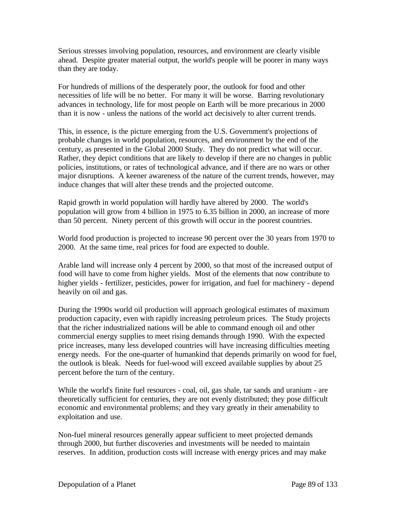Serious stresses involving population, resources, and environment are clearly visible ahead. Despite greater material output, the world's people will be poorer in many ways than they are today.

For hundreds of millions of the desperately poor, the outlook for food and other necessities of life will be no better. For many it will be worse. Barring revolutionary advances in technology, life for most people on Earth will be more precarious in 2000 than it is now - unless the nations of the world act decisively to alter current trends.

This, in essence, is the picture emerging from the U.S. Government's projections of probable changes in world population, resources, and environment by the end of the century, as presented in the Global 2000 Study. They do not predict what will occur. Rather, they depict conditions that are likely to develop if there are no changes in public policies, institutions, or rates of technological advance, and if there are no wars or other major disruptions. A keener awareness of the nature of the current trends, however, may induce changes that will alter these trends and the projected outcome.

Rapid growth in world population will hardly have altered by 2000. The world's population will grow from 4 billion in 1975 to 6.35 billion in 2000, an increase of more than 50 percent. Ninety percent of this growth will occur in the poorest countries.

World food production is projected to increase 90 percent over the 30 years from 1970 to 2000. At the same time, real prices for food are expected to double.

Arable land will increase only 4 percent by 2000, so that most of the increased output of food will have to come from higher yields. Most of the elements that now contribute to higher yields - fertilizer, pesticides, power for irrigation, and fuel for machinery - depend heavily on oil and gas.

During the 1990s world oil production will approach geological estimates of maximum production capacity, even with rapidly increasing petroleum prices. The Study projects that the richer industrialized nations will be able to command enough oil and other commercial energy supplies to meet rising demands through 1990. With the expected price increases, many less developed countries will have increasing difficulties meeting energy needs. For the one-quarter of humankind that depends primarily on wood for fuel, the outlook is bleak. Needs for fuel-wood will exceed available supplies by about 25 percent before the turn of the century.

While the world's finite fuel resources - coal, oil, gas shale, tar sands and uranium - are theoretically sufficient for centuries, they are not evenly distributed; they pose difficult economic and environmental problems; and they vary greatly in their amenability to exploitation and use.

Non-fuel mineral resources generally appear sufficient to meet projected demands through 2000, but further discoveries and investments will be needed to maintain reserves. In addition, production costs will increase with energy prices and may make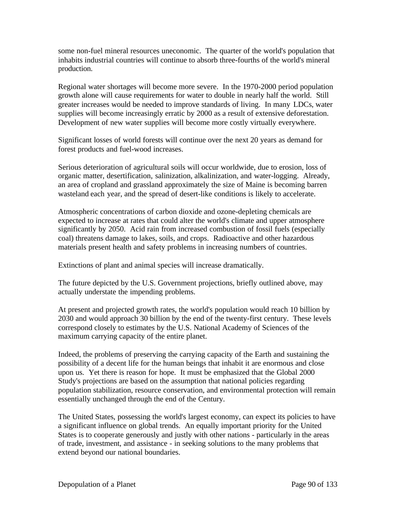some non-fuel mineral resources uneconomic. The quarter of the world's population that inhabits industrial countries will continue to absorb three-fourths of the world's mineral production.

Regional water shortages will become more severe. In the 1970-2000 period population growth alone will cause requirements for water to double in nearly half the world. Still greater increases would be needed to improve standards of living. In many LDCs, water supplies will become increasingly erratic by 2000 as a result of extensive deforestation. Development of new water supplies will become more costly virtually everywhere.

Significant losses of world forests will continue over the next 20 years as demand for forest products and fuel-wood increases.

Serious deterioration of agricultural soils will occur worldwide, due to erosion, loss of organic matter, desertification, salinization, alkalinization, and water-logging. Already, an area of cropland and grassland approximately the size of Maine is becoming barren wasteland each year, and the spread of desert-like conditions is likely to accelerate.

Atmospheric concentrations of carbon dioxide and ozone-depleting chemicals are expected to increase at rates that could alter the world's climate and upper atmosphere significantly by 2050. Acid rain from increased combustion of fossil fuels (especially coal) threatens damage to lakes, soils, and crops. Radioactive and other hazardous materials present health and safety problems in increasing numbers of countries.

Extinctions of plant and animal species will increase dramatically.

The future depicted by the U.S. Government projections, briefly outlined above, may actually understate the impending problems.

At present and projected growth rates, the world's population would reach 10 billion by 2030 and would approach 30 billion by the end of the twenty-first century. These levels correspond closely to estimates by the U.S. National Academy of Sciences of the maximum carrying capacity of the entire planet.

Indeed, the problems of preserving the carrying capacity of the Earth and sustaining the possibility of a decent life for the human beings that inhabit it are enormous and close upon us. Yet there is reason for hope. It must be emphasized that the Global 2000 Study's projections are based on the assumption that national policies regarding population stabilization, resource conservation, and environmental protection will remain essentially unchanged through the end of the Century.

The United States, possessing the world's largest economy, can expect its policies to have a significant influence on global trends. An equally important priority for the United States is to cooperate generously and justly with other nations - particularly in the areas of trade, investment, and assistance - in seeking solutions to the many problems that extend beyond our national boundaries.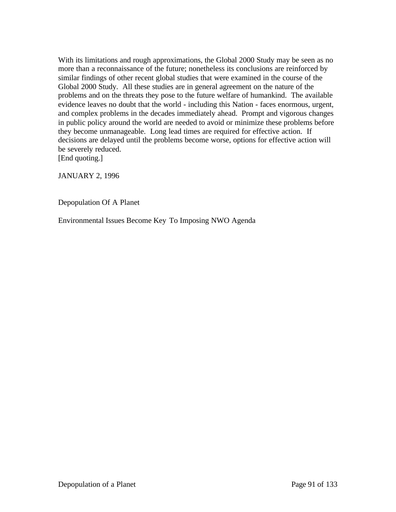With its limitations and rough approximations, the Global 2000 Study may be seen as no more than a reconnaissance of the future; nonetheless its conclusions are reinforced by similar findings of other recent global studies that were examined in the course of the Global 2000 Study. All these studies are in general agreement on the nature of the problems and on the threats they pose to the future welfare of humankind. The available evidence leaves no doubt that the world - including this Nation - faces enormous, urgent, and complex problems in the decades immediately ahead. Prompt and vigorous changes in public policy around the world are needed to avoid or minimize these problems before they become unmanageable. Long lead times are required for effective action. If decisions are delayed until the problems become worse, options for effective action will be severely reduced. [End quoting.]

JANUARY 2, 1996

Depopulation Of A Planet

Environmental Issues Become Key To Imposing NWO Agenda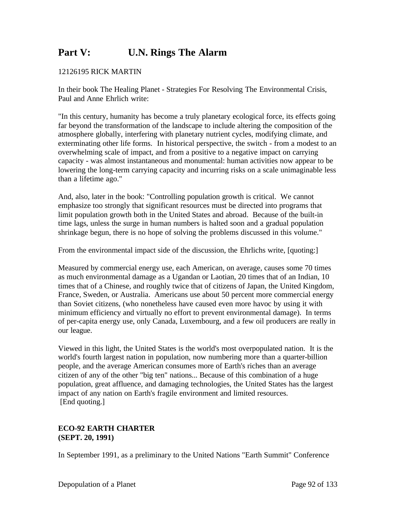# **Part V: U.N. Rings The Alarm**

## 12126195 RICK MARTIN

In their book The Healing Planet - Strategies For Resolving The Environmental Crisis, Paul and Anne Ehrlich write:

"In this century, humanity has become a truly planetary ecological force, its effects going far beyond the transformation of the landscape to include altering the composition of the atmosphere globally, interfering with planetary nutrient cycles, modifying climate, and exterminating other life forms. In historical perspective, the switch - from a modest to an overwhelming scale of impact, and from a positive to a negative impact on carrying capacity - was almost instantaneous and monumental: human activities now appear to be lowering the long-term carrying capacity and incurring risks on a scale unimaginable less than a lifetime ago."

And, also, later in the book: "Controlling population growth is critical. We cannot emphasize too strongly that significant resources must be directed into programs that limit population growth both in the United States and abroad. Because of the built-in time lags, unless the surge in human numbers is halted soon and a gradual population shrinkage begun, there is no hope of solving the problems discussed in this volume."

From the environmental impact side of the discussion, the Ehrlichs write, [quoting:]

Measured by commercial energy use, each American, on average, causes some 70 times as much environmental damage as a Ugandan or Laotian, 20 times that of an Indian, 10 times that of a Chinese, and roughly twice that of citizens of Japan, the United Kingdom, France, Sweden, or Australia. Americans use about 50 percent more commercial energy than Soviet citizens, (who nonetheless have caused even more havoc by using it with minimum efficiency and virtually no effort to prevent environmental damage). In terms of per-capita energy use, only Canada, Luxembourg, and a few oil producers are really in our league.

Viewed in this light, the United States is the world's most overpopulated nation. It is the world's fourth largest nation in population, now numbering more than a quarter-billion people, and the average American consumes more of Earth's riches than an average citizen of any of the other "big ten" nations... Because of this combination of a huge population, great affluence, and damaging technologies, the United States has the largest impact of any nation on Earth's fragile environment and limited resources. [End quoting.]

## **ECO-92 EARTH CHARTER (SEPT. 20, 1991)**

In September 1991, as a preliminary to the United Nations "Earth Summit" Conference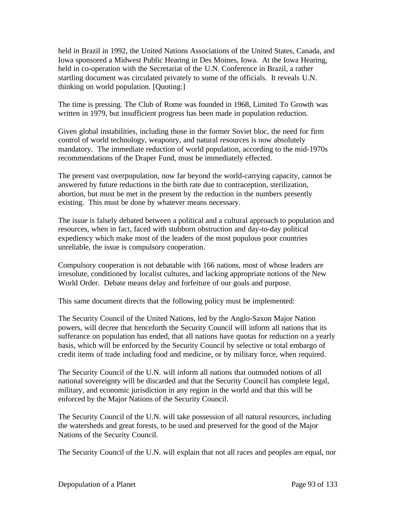held in Brazil in 1992, the United Nations Associations of the United States, Canada, and Iowa sponsored a Midwest Public Hearing in Des Moines, Iowa. At the Iowa Hearing, held in co-operation with the Secretariat of the U.N. Conference in Brazil, a rather startling document was circulated privately to some of the officials. It reveals U.N. thinking on world population. [Quoting:]

The time is pressing. The Club of Rome was founded in 1968, Limited To Growth was written in 1979, but insufficient progress has been made in population reduction.

Given global instabilities, including those in the former Soviet bloc, the need for firm control of world technology, weaponry, and natural resources is now absolutely mandatory. The immediate reduction of world population, according to the mid-1970s recommendations of the Draper Fund, must be immediately effected.

The present vast overpopulation, now far beyond the world-carrying capacity, cannot be answered by future reductions in the birth rate due to contraception, sterilization, abortion, but must be met in the present by the reduction in the numbers presently existing. This must be done by whatever means necessary.

The issue is falsely debated between a political and a cultural approach to population and resources, when in fact, faced with stubborn obstruction and day-to-day political expediency which make most of the leaders of the most populous poor countries unreliable, the issue is compulsory cooperation.

Compulsory cooperation is not debatable with 166 nations, most of whose leaders are irresolute, conditioned by localist cultures, and lacking appropriate notions of the New World Order. Debate means delay and forfeiture of our goals and purpose.

This same document directs that the following policy must be implemented:

The Security Council of the United Nations, led by the Anglo-Saxon Major Nation powers, will decree that henceforth the Security Council will inform all nations that its sufferance on population has ended, that all nations have quotas for reduction on a yearly basis, which will be enforced by the Security Council by selective or total embargo of credit items of trade including food and medicine, or by military force, when required.

The Security Council of the U.N. will inform all nations that outmoded notions of all national sovereignty will be discarded and that the Security Council has complete legal, military, and economic jurisdiction in any region in the world and that this will be enforced by the Major Nations of the Security Council.

The Security Council of the U.N. will take possession of all natural resources, including the watersheds and great forests, to be used and preserved for the good of the Major Nations of the Security Council.

The Security Council of the U.N. will explain that not all races and peoples are equal, nor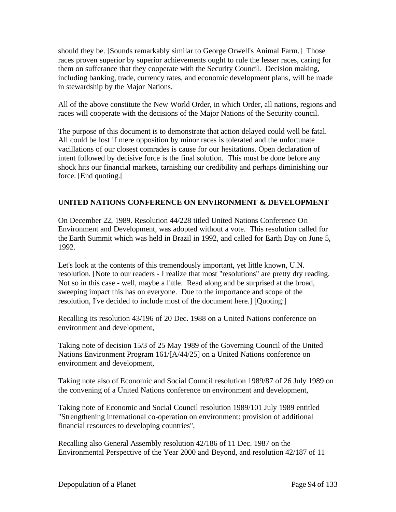should they be. [Sounds remarkably similar to George Orwell's Animal Farm.] Those races proven superior by superior achievements ought to rule the lesser races, caring for them on sufferance that they cooperate with the Security Council. Decision making, including banking, trade, currency rates, and economic development plans, will be made in stewardship by the Major Nations.

All of the above constitute the New World Order, in which Order, all nations, regions and races will cooperate with the decisions of the Major Nations of the Security council.

The purpose of this document is to demonstrate that action delayed could well be fatal. All could be lost if mere opposition by minor races is tolerated and the unfortunate vacillations of our closest comrades is cause for our hesitations. Open declaration of intent followed by decisive force is the final solution. This must be done before any shock hits our financial markets, tarnishing our credibility and perhaps diminishing our force. [End quoting.[

## **UNITED NATIONS CONFERENCE ON ENVIRONMENT & DEVELOPMENT**

On December 22, 1989. Resolution 44/228 titled United Nations Conference On Environment and Development, was adopted without a vote. This resolution called for the Earth Summit which was held in Brazil in 1992, and called for Earth Day on June 5, 1992.

Let's look at the contents of this tremendously important, yet little known, U.N. resolution. [Note to our readers - I realize that most "resolutions" are pretty dry reading. Not so in this case - well, maybe a little. Read along and be surprised at the broad, sweeping impact this has on everyone. Due to the importance and scope of the resolution, I've decided to include most of the document here.] [Quoting:]

Recalling its resolution 43/196 of 20 Dec. 1988 on a United Nations conference on environment and development,

Taking note of decision 15/3 of 25 May 1989 of the Governing Council of the United Nations Environment Program 161/[A/44/25] on a United Nations conference on environment and development,

Taking note also of Economic and Social Council resolution 1989/87 of 26 July 1989 on the convening of a United Nations conference on environment and development,

Taking note of Economic and Social Council resolution 1989/101 July 1989 entitled "Strengthening international co-operation on environment: provision of additional financial resources to developing countries",

Recalling also General Assembly resolution 42/186 of 11 Dec. 1987 on the Environmental Perspective of the Year 2000 and Beyond, and resolution 42/187 of 11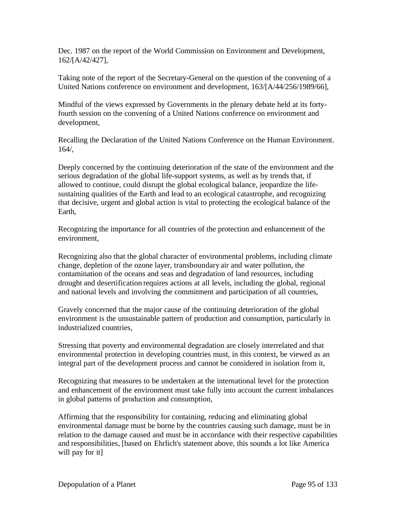Dec. 1987 on the report of the World Commission on Environment and Development, 162/[A/42/427],

Taking note of the report of the Secretary-General on the question of the convening of a United Nations conference on environment and development, 163/[A/44/256/1989/66],

Mindful of the views expressed by Governments in the plenary debate held at its fortyfourth session on the convening of a United Nations conference on environment and development,

Recalling the Declaration of the United Nations Conference on the Human Environment. 164/,

Deeply concerned by the continuing deterioration of the state of the environment and the serious degradation of the global life-support systems, as well as by trends that, if allowed to continue, could disrupt the global ecological balance, jeopardize the lifesustaining qualities of the Earth and lead to an ecological catastrophe, and recognizing that decisive, urgent and global action is vital to protecting the ecological balance of the Earth,

Recognizing the importance for all countries of the protection and enhancement of the environment,

Recognizing also that the global character of environmental problems, including climate change, depletion of the ozone layer, transboundary air and water pollution, the contamination of the oceans and seas and degradation of land resources, including drought and desertification requires actions at all levels, including the global, regional and national levels and involving the commitment and participation of all countries,

Gravely concerned that the major cause of the continuing deterioration of the global environment is the unsustainable pattern of production and consumption, particularly in industrialized countries,

Stressing that poverty and environmental degradation are closely interrelated and that environmental protection in developing countries must, in this context, be viewed as an integral part of the development process and cannot be considered in isolation from it,

Recognizing that measures to be undertaken at the international level for the protection and enhancement of the environment must take fully into account the current imbalances in global patterns of production and consumption,

Affirming that the responsibility for containing, reducing and eliminating global environmental damage must be borne by the countries causing such damage, must be in relation to the damage caused and must be in accordance with their respective capabilities and responsibilities, [based on Ehrlich's statement above, this sounds a lot like America will pay for it]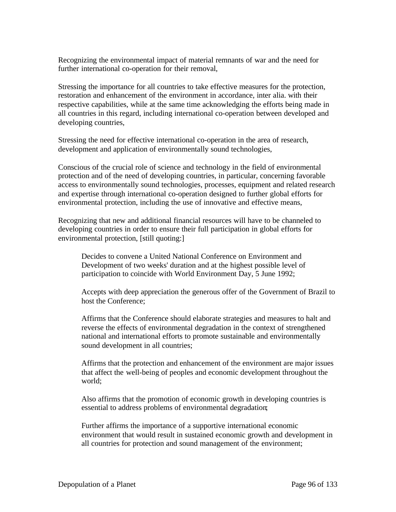Recognizing the environmental impact of material remnants of war and the need for further international co-operation for their removal,

Stressing the importance for all countries to take effective measures for the protection, restoration and enhancement of the environment in accordance, inter alia. with their respective capabilities, while at the same time acknowledging the efforts being made in all countries in this regard, including international co-operation between developed and developing countries,

Stressing the need for effective international co-operation in the area of research, development and application of environmentally sound technologies,

Conscious of the crucial role of science and technology in the field of environmental protection and of the need of developing countries, in particular, concerning favorable access to environmentally sound technologies, processes, equipment and related research and expertise through international co-operation designed to further global efforts for environmental protection, including the use of innovative and effective means,

Recognizing that new and additional financial resources will have to be channeled to developing countries in order to ensure their full participation in global efforts for environmental protection, [still quoting:]

Decides to convene a United National Conference on Environment and Development of two weeks' duration and at the highest possible level of participation to coincide with World Environment Day, 5 June 1992;

Accepts with deep appreciation the generous offer of the Government of Brazil to host the Conference;

Affirms that the Conference should elaborate strategies and measures to halt and reverse the effects of environmental degradation in the context of strengthened national and international efforts to promote sustainable and environmentally sound development in all countries;

Affirms that the protection and enhancement of the environment are major issues that affect the well-being of peoples and economic development throughout the world;

Also affirms that the promotion of economic growth in developing countries is essential to address problems of environmental degradation;

Further affirms the importance of a supportive international economic environment that would result in sustained economic growth and development in all countries for protection and sound management of the environment;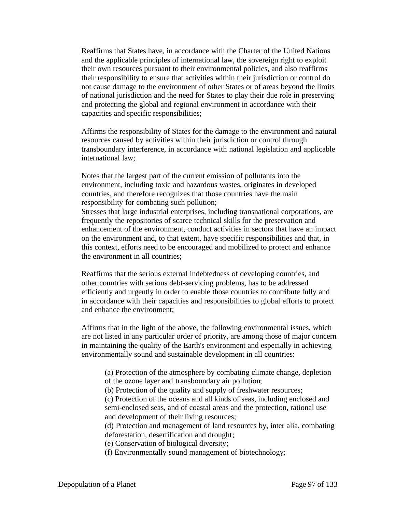Reaffirms that States have, in accordance with the Charter of the United Nations and the applicable principles of international law, the sovereign right to exploit their own resources pursuant to their environmental policies, and also reaffirms their responsibility to ensure that activities within their jurisdiction or control do not cause damage to the environment of other States or of areas beyond the limits of national jurisdiction and the need for States to play their due role in preserving and protecting the global and regional environment in accordance with their capacities and specific responsibilities;

Affirms the responsibility of States for the damage to the environment and natural resources caused by activities within their jurisdiction or control through transboundary interference, in accordance with national legislation and applicable international law;

Notes that the largest part of the current emission of pollutants into the environment, including toxic and hazardous wastes, originates in developed countries, and therefore recognizes that those countries have the main responsibility for combating such pollution;

Stresses that large industrial enterprises, including transnational corporations, are frequently the repositories of scarce technical skills for the preservation and enhancement of the environment, conduct activities in sectors that have an impact on the environment and, to that extent, have specific responsibilities and that, in this context, efforts need to be encouraged and mobilized to protect and enhance the environment in all countries;

Reaffirms that the serious external indebtedness of developing countries, and other countries with serious debt-servicing problems, has to be addressed efficiently and urgently in order to enable those countries to contribute fully and in accordance with their capacities and responsibilities to global efforts to protect and enhance the environment;

Affirms that in the light of the above, the following environmental issues, which are not listed in any particular order of priority, are among those of major concern in maintaining the quality of the Earth's environment and especially in achieving environmentally sound and sustainable development in all countries:

(a) Protection of the atmosphere by combating climate change, depletion of the ozone layer and transboundary air pollution;

(b) Protection of the quality and supply of freshwater resources;

(c) Protection of the oceans and all kinds of seas, including enclosed and semi-enclosed seas, and of coastal areas and the protection, rational use and development of their living resources;

(d) Protection and management of land resources by, inter alia, combating deforestation, desertification and drought;

(e) Conservation of biological diversity;

(f) Environmentally sound management of biotechnology;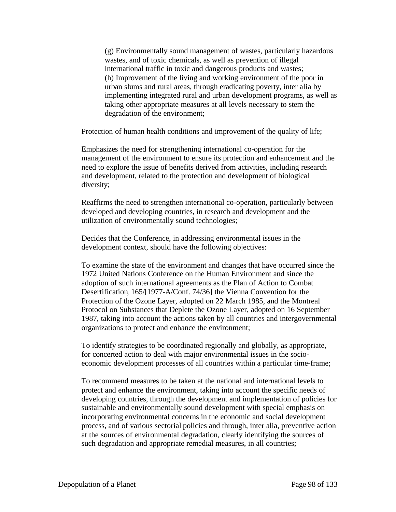(g) Environmentally sound management of wastes, particularly hazardous wastes, and of toxic chemicals, as well as prevention of illegal international traffic in toxic and dangerous products and wastes; (h) Improvement of the living and working environment of the poor in urban slums and rural areas, through eradicating poverty, inter alia by implementing integrated rural and urban development programs, as well as taking other appropriate measures at all levels necessary to stem the degradation of the environment;

Protection of human health conditions and improvement of the quality of life;

Emphasizes the need for strengthening international co-operation for the management of the environment to ensure its protection and enhancement and the need to explore the issue of benefits derived from activities, including research and development, related to the protection and development of biological diversity;

Reaffirms the need to strengthen international co-operation, particularly between developed and developing countries, in research and development and the utilization of environmentally sound technologies;

Decides that the Conference, in addressing environmental issues in the development context, should have the following objectives:

To examine the state of the environment and changes that have occurred since the 1972 United Nations Conference on the Human Environment and since the adoption of such international agreements as the Plan of Action to Combat Desertification, 165/[1977-A/Conf. 74/36] the Vienna Convention for the Protection of the Ozone Layer, adopted on 22 March 1985, and the Montreal Protocol on Substances that Deplete the Ozone Layer, adopted on 16 September 1987, taking into account the actions taken by all countries and intergovernmental organizations to protect and enhance the environment;

To identify strategies to be coordinated regionally and globally, as appropriate, for concerted action to deal with major environmental issues in the socioeconomic development processes of all countries within a particular time-frame;

To recommend measures to be taken at the national and international levels to protect and enhance the environment, taking into account the specific needs of developing countries, through the development and implementation of policies for sustainable and environmentally sound development with special emphasis on incorporating environmental concerns in the economic and social development process, and of various sectorial policies and through, inter alia, preventive action at the sources of environmental degradation, clearly identifying the sources of such degradation and appropriate remedial measures, in all countries;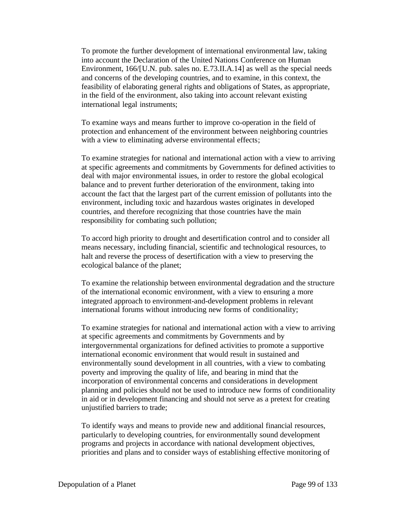To promote the further development of international environmental law, taking into account the Declaration of the United Nations Conference on Human Environment, 166/[U.N. pub. sales no. E.73.II.A.14] as well as the special needs and concerns of the developing countries, and to examine, in this context, the feasibility of elaborating general rights and obligations of States, as appropriate, in the field of the environment, also taking into account relevant existing international legal instruments;

To examine ways and means further to improve co-operation in the field of protection and enhancement of the environment between neighboring countries with a view to eliminating adverse environmental effects;

To examine strategies for national and international action with a view to arriving at specific agreements and commitments by Governments for defined activities to deal with major environmental issues, in order to restore the global ecological balance and to prevent further deterioration of the environment, taking into account the fact that the largest part of the current emission of pollutants into the environment, including toxic and hazardous wastes originates in developed countries, and therefore recognizing that those countries have the main responsibility for combating such pollution;

To accord high priority to drought and desertification control and to consider all means necessary, including financial, scientific and technological resources, to halt and reverse the process of desertification with a view to preserving the ecological balance of the planet;

To examine the relationship between environmental degradation and the structure of the international economic environment, with a view to ensuring a more integrated approach to environment-and-development problems in relevant international forums without introducing new forms of conditionality;

To examine strategies for national and international action with a view to arriving at specific agreements and commitments by Governments and by intergovernmental organizations for defined activities to promote a supportive international economic environment that would result in sustained and environmentally sound development in all countries, with a view to combating poverty and improving the quality of life, and bearing in mind that the incorporation of environmental concerns and considerations in development planning and policies should not be used to introduce new forms of conditionality in aid or in development financing and should not serve as a pretext for creating unjustified barriers to trade;

To identify ways and means to provide new and additional financial resources, particularly to developing countries, for environmentally sound development programs and projects in accordance with national development objectives, priorities and plans and to consider ways of establishing effective monitoring of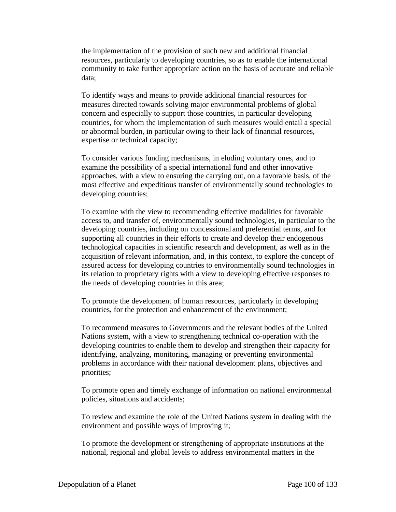the implementation of the provision of such new and additional financial resources, particularly to developing countries, so as to enable the international community to take further appropriate action on the basis of accurate and reliable data;

To identify ways and means to provide additional financial resources for measures directed towards solving major environmental problems of global concern and especially to support those countries, in particular developing countries, for whom the implementation of such measures would entail a special or abnormal burden, in particular owing to their lack of financial resources, expertise or technical capacity;

To consider various funding mechanisms, in eluding voluntary ones, and to examine the possibility of a special international fund and other innovative approaches, with a view to ensuring the carrying out, on a favorable basis, of the most effective and expeditious transfer of environmentally sound technologies to developing countries;

To examine with the view to recommending effective modalities for favorable access to, and transfer of, environmentally sound technologies, in particular to the developing countries, including on concessional and preferential terms, and for supporting all countries in their efforts to create and develop their endogenous technological capacities in scientific research and development, as well as in the acquisition of relevant information, and, in this context, to explore the concept of assured access for developing countries to environmentally sound technologies in its relation to proprietary rights with a view to developing effective responses to the needs of developing countries in this area;

To promote the development of human resources, particularly in developing countries, for the protection and enhancement of the environment;

To recommend measures to Governments and the relevant bodies of the United Nations system, with a view to strengthening technical co-operation with the developing countries to enable them to develop and strengthen their capacity for identifying, analyzing, monitoring, managing or preventing environmental problems in accordance with their national development plans, objectives and priorities;

To promote open and timely exchange of information on national environmental policies, situations and accidents;

To review and examine the role of the United Nations system in dealing with the environment and possible ways of improving it;

To promote the development or strengthening of appropriate institutions at the national, regional and global levels to address environmental matters in the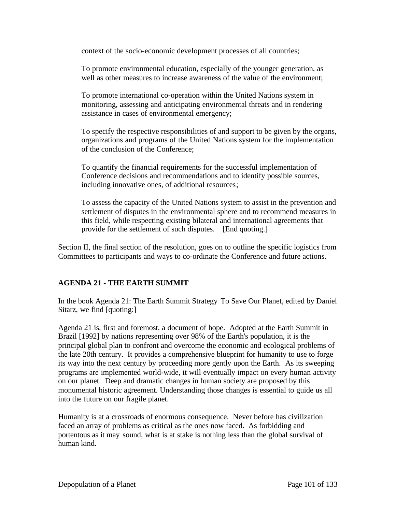context of the socio-economic development processes of all countries;

To promote environmental education, especially of the younger generation, as well as other measures to increase awareness of the value of the environment;

To promote international co-operation within the United Nations system in monitoring, assessing and anticipating environmental threats and in rendering assistance in cases of environmental emergency;

To specify the respective responsibilities of and support to be given by the organs, organizations and programs of the United Nations system for the implementation of the conclusion of the Conference;

To quantify the financial requirements for the successful implementation of Conference decisions and recommendations and to identify possible sources, including innovative ones, of additional resources;

To assess the capacity of the United Nations system to assist in the prevention and settlement of disputes in the environmental sphere and to recommend measures in this field, while respecting existing bilateral and international agreements that provide for the settlement of such disputes. [End quoting.]

Section II, the final section of the resolution, goes on to outline the specific logistics from Committees to participants and ways to co-ordinate the Conference and future actions.

## **AGENDA 21 - THE EARTH SUMMIT**

In the book Agenda 21: The Earth Summit Strategy To Save Our Planet, edited by Daniel Sitarz, we find [quoting:]

Agenda 21 is, first and foremost, a document of hope. Adopted at the Earth Summit in Brazil [1992] by nations representing over 98% of the Earth's population, it is the principal global plan to confront and overcome the economic and ecological problems of the late 20th century. It provides a comprehensive blueprint for humanity to use to forge its way into the next century by proceeding more gently upon the Earth. As its sweeping programs are implemented world-wide, it will eventually impact on every human activity on our planet. Deep and dramatic changes in human society are proposed by this monumental historic agreement. Understanding those changes is essential to guide us all into the future on our fragile planet.

Humanity is at a crossroads of enormous consequence. Never before has civilization faced an array of problems as critical as the ones now faced. As forbidding and portentous as it may sound, what is at stake is nothing less than the global survival of human kind.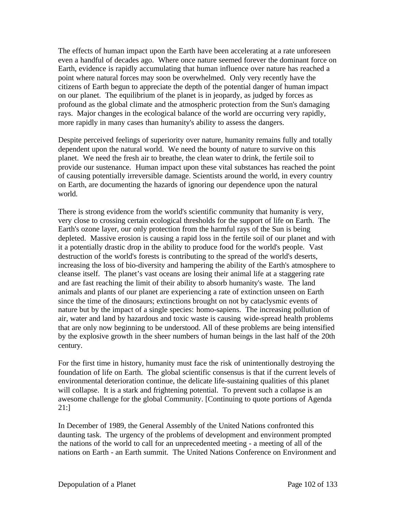The effects of human impact upon the Earth have been accelerating at a rate unforeseen even a handful of decades ago. Where once nature seemed forever the dominant force on Earth, evidence is rapidly accumulating that human influence over nature has reached a point where natural forces may soon be overwhelmed. Only very recently have the citizens of Earth begun to appreciate the depth of the potential danger of human impact on our planet. The equilibrium of the planet is in jeopardy, as judged by forces as profound as the global climate and the atmospheric protection from the Sun's damaging rays. Major changes in the ecological balance of the world are occurring very rapidly, more rapidly in many cases than humanity's ability to assess the dangers.

Despite perceived feelings of superiority over nature, humanity remains fully and totally dependent upon the natural world. We need the bounty of nature to survive on this planet. We need the fresh air to breathe, the clean water to drink, the fertile soil to provide our sustenance. Human impact upon these vital substances has reached the point of causing potentially irreversible damage. Scientists around the world, in every country on Earth, are documenting the hazards of ignoring our dependence upon the natural world.

There is strong evidence from the world's scientific community that humanity is very, very close to crossing certain ecological thresholds for the support of life on Earth. The Earth's ozone layer, our only protection from the harmful rays of the Sun is being depleted. Massive erosion is causing a rapid loss in the fertile soil of our planet and with it a potentially drastic drop in the ability to produce food for the world's people. Vast destruction of the world's forests is contributing to the spread of the world's deserts, increasing the loss of bio-diversity and hampering the ability of the Earth's atmosphere to cleanse itself. The planet's vast oceans are losing their animal life at a staggering rate and are fast reaching the limit of their ability to absorb humanity's waste. The land animals and plants of our planet are experiencing a rate of extinction unseen on Earth since the time of the dinosaurs; extinctions brought on not by cataclysmic events of nature but by the impact of a single species: homo-sapiens. The increasing pollution of air, water and land by hazardous and toxic waste is causing wide-spread health problems that are only now beginning to be understood. All of these problems are being intensified by the explosive growth in the sheer numbers of human beings in the last half of the 20th century.

For the first time in history, humanity must face the risk of unintentionally destroying the foundation of life on Earth. The global scientific consensus is that if the current levels of environmental deterioration continue, the delicate life-sustaining qualities of this planet will collapse. It is a stark and frightening potential. To prevent such a collapse is an awesome challenge for the global Community. [Continuing to quote portions of Agenda 21:]

In December of 1989, the General Assembly of the United Nations confronted this daunting task. The urgency of the problems of development and environment prompted the nations of the world to call for an unprecedented meeting - a meeting of all of the nations on Earth - an Earth summit. The United Nations Conference on Environment and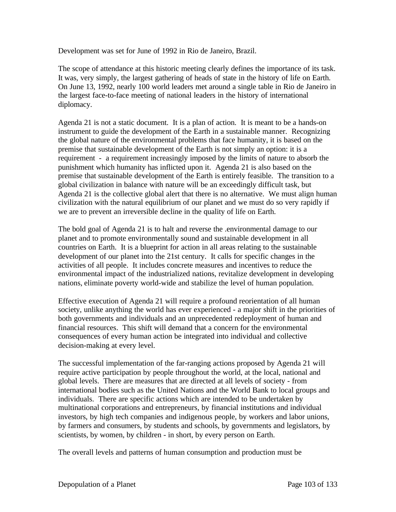Development was set for June of 1992 in Rio de Janeiro, Brazil.

The scope of attendance at this historic meeting clearly defines the importance of its task. It was, very simply, the largest gathering of heads of state in the history of life on Earth. On June 13, 1992, nearly 100 world leaders met around a single table in Rio de Janeiro in the largest face-to-face meeting of national leaders in the history of international diplomacy.

Agenda 21 is not a static document. It is a plan of action. It is meant to be a hands-on instrument to guide the development of the Earth in a sustainable manner. Recognizing the global nature of the environmental problems that face humanity, it is based on the premise that sustainable development of the Earth is not simply an option: it is a requirement - a requirement increasingly imposed by the limits of nature to absorb the punishment which humanity has inflicted upon it. Agenda 21 is also based on the premise that sustainable development of the Earth is entirely feasible. The transition to a global civilization in balance with nature will be an exceedingly difficult task, but Agenda 21 is the collective global alert that there is no alternative. We must align human civilization with the natural equilibrium of our planet and we must do so very rapidly if we are to prevent an irreversible decline in the quality of life on Earth.

The bold goal of Agenda 21 is to halt and reverse the .environmental damage to our planet and to promote environmentally sound and sustainable development in all countries on Earth. It is a blueprint for action in all areas relating to the sustainable development of our planet into the 21st century. It calls for specific changes in the activities of all people. It includes concrete measures and incentives to reduce the environmental impact of the industrialized nations, revitalize development in developing nations, eliminate poverty world-wide and stabilize the level of human population.

Effective execution of Agenda 21 will require a profound reorientation of all human society, unlike anything the world has ever experienced - a major shift in the priorities of both governments and individuals and an unprecedented redeployment of human and financial resources. This shift will demand that a concern for the environmental consequences of every human action be integrated into individual and collective decision-making at every level.

The successful implementation of the far-ranging actions proposed by Agenda 21 will require active participation by people throughout the world, at the local, national and global levels. There are measures that are directed at all levels of society - from international bodies such as the United Nations and the World Bank to local groups and individuals. There are specific actions which are intended to be undertaken by multinational corporations and entrepreneurs, by financial institutions and individual investors, by high tech companies and indigenous people, by workers and labor unions, by farmers and consumers, by students and schools, by governments and legislators, by scientists, by women, by children - in short, by every person on Earth.

The overall levels and patterns of human consumption and production must be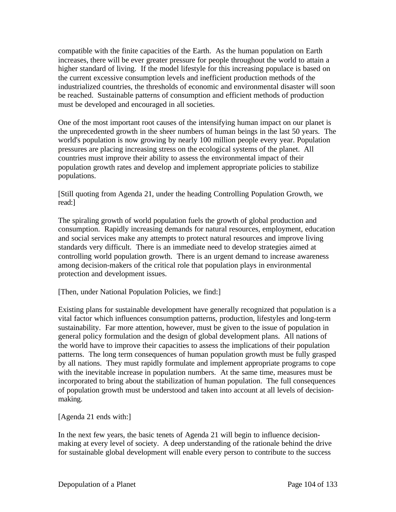compatible with the finite capacities of the Earth. As the human population on Earth increases, there will be ever greater pressure for people throughout the world to attain a higher standard of living. If the model lifestyle for this increasing populace is based on the current excessive consumption levels and inefficient production methods of the industrialized countries, the thresholds of economic and environmental disaster will soon be reached. Sustainable patterns of consumption and efficient methods of production must be developed and encouraged in all societies.

One of the most important root causes of the intensifying human impact on our planet is the unprecedented growth in the sheer numbers of human beings in the last 50 years. The world's population is now growing by nearly 100 million people every year. Population pressures are placing increasing stress on the ecological systems of the planet. All countries must improve their ability to assess the environmental impact of their population growth rates and develop and implement appropriate policies to stabilize populations.

[Still quoting from Agenda 21, under the heading Controlling Population Growth, we read:]

The spiraling growth of world population fuels the growth of global production and consumption. Rapidly increasing demands for natural resources, employment, education and social services make any attempts to protect natural resources and improve living standards very difficult. There is an immediate need to develop strategies aimed at controlling world population growth. There is an urgent demand to increase awareness among decision-makers of the critical role that population plays in environmental protection and development issues.

[Then, under National Population Policies, we find:]

Existing plans for sustainable development have generally recognized that population is a vital factor which influences consumption patterns, production, lifestyles and long-term sustainability. Far more attention, however, must be given to the issue of population in general policy formulation and the design of global development plans. All nations of the world have to improve their capacities to assess the implications of their population patterns. The long term consequences of human population growth must be fully grasped by all nations. They must rapidly formulate and implement appropriate programs to cope with the inevitable increase in population numbers. At the same time, measures must be incorporated to bring about the stabilization of human population. The full consequences of population growth must be understood and taken into account at all levels of decisionmaking.

[Agenda 21 ends with:]

In the next few years, the basic tenets of Agenda 21 will begin to influence decisionmaking at every level of society. A deep understanding of the rationale behind the drive for sustainable global development will enable every person to contribute to the success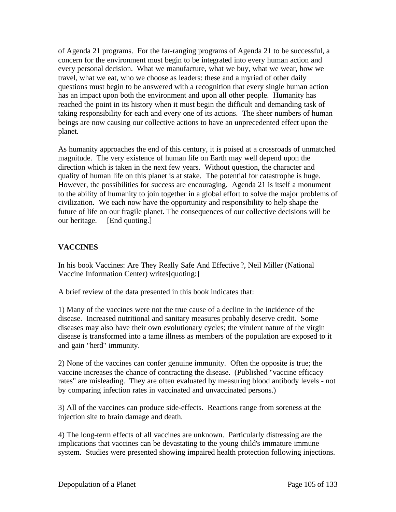of Agenda 21 programs. For the far-ranging programs of Agenda 21 to be successful, a concern for the environment must begin to be integrated into every human action and every personal decision. What we manufacture, what we buy, what we wear, how we travel, what we eat, who we choose as leaders: these and a myriad of other daily questions must begin to be answered with a recognition that every single human action has an impact upon both the environment and upon all other people. Humanity has reached the point in its history when it must begin the difficult and demanding task of taking responsibility for each and every one of its actions. The sheer numbers of human beings are now causing our collective actions to have an unprecedented effect upon the planet.

As humanity approaches the end of this century, it is poised at a crossroads of unmatched magnitude. The very existence of human life on Earth may well depend upon the direction which is taken in the next few years. Without question, the character and quality of human life on this planet is at stake. The potential for catastrophe is huge. However, the possibilities for success are encouraging. Agenda 21 is itself a monument to the ability of humanity to join together in a global effort to solve the major problems of civilization. We each now have the opportunity and responsibility to help shape the future of life on our fragile planet. The consequences of our collective decisions will be our heritage. [End quoting.]

# **VACCINES**

In his book Vaccines: Are They Really Safe And Effective ?, Neil Miller (National Vaccine Information Center) writes[quoting:]

A brief review of the data presented in this book indicates that:

1) Many of the vaccines were not the true cause of a decline in the incidence of the disease. Increased nutritional and sanitary measures probably deserve credit. Some diseases may also have their own evolutionary cycles; the virulent nature of the virgin disease is transformed into a tame illness as members of the population are exposed to it and gain "herd" immunity.

2) None of the vaccines can confer genuine immunity. Often the opposite is true; the vaccine increases the chance of contracting the disease. (Published "vaccine efficacy rates" are misleading. They are often evaluated by measuring blood antibody levels - not by comparing infection rates in vaccinated and unvaccinated persons.)

3) All of the vaccines can produce side-effects. Reactions range from soreness at the injection site to brain damage and death.

4) The long-term effects of all vaccines are unknown. Particularly distressing are the implications that vaccines can be devastating to the young child's immature immune system. Studies were presented showing impaired health protection following injections.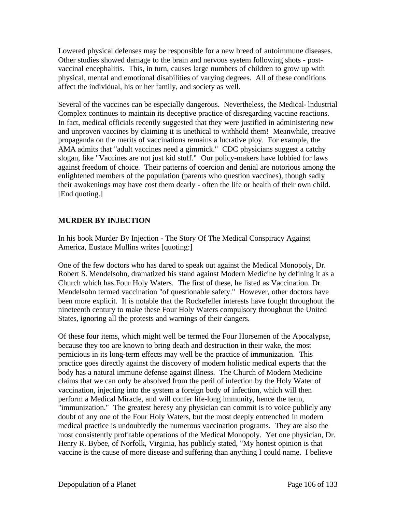Lowered physical defenses may be responsible for a new breed of autoimmune diseases. Other studies showed damage to the brain and nervous system following shots - postvaccinal encephalitis. This, in turn, causes large numbers of children to grow up with physical, mental and emotional disabilities of varying degrees. All of these conditions affect the individual, his or her family, and society as well.

Several of the vaccines can be especially dangerous. Nevertheless, the Medical- lndustrial Complex continues to maintain its deceptive practice of disregarding vaccine reactions. In fact, medical officials recently suggested that they were justified in administering new and unproven vaccines by claiming it is unethical to withhold them! Meanwhile, creative propaganda on the merits of vaccinations remains a lucrative ploy. For example, the AMA admits that "adult vaccines need a gimmick." CDC physicians suggest a catchy slogan, like "Vaccines are not just kid stuff." Our policy-makers have lobbied for laws against freedom of choice. Their patterns of coercion and denial are notorious among the enlightened members of the population (parents who question vaccines), though sadly their awakenings may have cost them dearly - often the life or health of their own child. [End quoting.]

# **MURDER BY INJECTION**

In his book Murder By Injection - The Story Of The Medical Conspiracy Against America, Eustace Mullins writes [quoting:]

One of the few doctors who has dared to speak out against the Medical Monopoly, Dr. Robert S. Mendelsohn, dramatized his stand against Modern Medicine by defining it as a Church which has Four Holy Waters. The first of these, he listed as Vaccination. Dr. Mendelsohn termed vaccination "of questionable safety." However, other doctors have been more explicit. It is notable that the Rockefeller interests have fought throughout the nineteenth century to make these Four Holy Waters compulsory throughout the United States, ignoring all the protests and warnings of their dangers.

Of these four items, which might well be termed the Four Horsemen of the Apocalypse, because they too are known to bring death and destruction in their wake, the most pernicious in its long-term effects may well be the practice of immunization. This practice goes directly against the discovery of modern holistic medical experts that the body has a natural immune defense against illness. The Church of Modern Medicine claims that we can only be absolved from the peril of infection by the Holy Water of vaccination, injecting into the system a foreign body of infection, which will then perform a Medical Miracle, and will confer life-long immunity, hence the term, "immunization." The greatest heresy any physician can commit is to voice publicly any doubt of any one of the Four Holy Waters, but the most deeply entrenched in modern medical practice is undoubtedly the numerous vaccination programs. They are also the most consistently profitable operations of the Medical Monopoly. Yet one physician, Dr. Henry R. Bybee, of Norfolk, Virginia, has publicly stated, "My honest opinion is that vaccine is the cause of more disease and suffering than anything I could name. I believe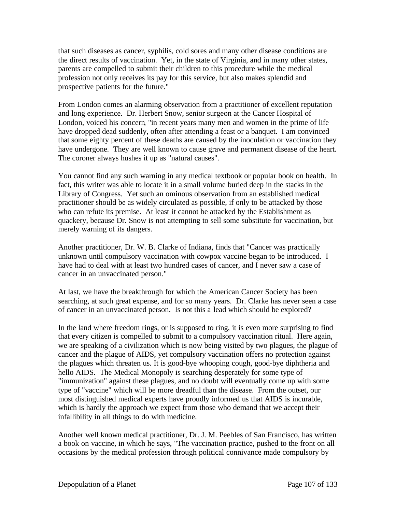that such diseases as cancer, syphilis, cold sores and many other disease conditions are the direct results of vaccination. Yet, in the state of Virginia, and in many other states, parents are compelled to submit their children to this procedure while the medical profession not only receives its pay for this service, but also makes splendid and prospective patients for the future."

From London comes an alarming observation from a practitioner of excellent reputation and long experience. Dr. Herbert Snow, senior surgeon at the Cancer Hospital of London, voiced his concern, "in recent years many men and women in the prime of life have dropped dead suddenly, often after attending a feast or a banquet. I am convinced that some eighty percent of these deaths are caused by the inoculation or vaccination they have undergone. They are well known to cause grave and permanent disease of the heart. The coroner always hushes it up as "natural causes".

You cannot find any such warning in any medical textbook or popular book on health. In fact, this writer was able to locate it in a small volume buried deep in the stacks in the Library of Congress. Yet such an ominous observation from an established medical practitioner should be as widely circulated as possible, if only to be attacked by those who can refute its premise. At least it cannot be attacked by the Establishment as quackery, because Dr. Snow is not attempting to sell some substitute for vaccination, but merely warning of its dangers.

Another practitioner, Dr. W. B. Clarke of Indiana, finds that "Cancer was practically unknown until compulsory vaccination with cowpox vaccine began to be introduced. I have had to deal with at least two hundred cases of cancer, and I never saw a case of cancer in an unvaccinated person."

At last, we have the breakthrough for which the American Cancer Society has been searching, at such great expense, and for so many years. Dr. Clarke has never seen a case of cancer in an unvaccinated person. Is not this a lead which should be explored?

In the land where freedom rings, or is supposed to ring, it is even more surprising to find that every citizen is compelled to submit to a compulsory vaccination ritual. Here again, we are speaking of a civilization which is now being visited by two plagues, the plague of cancer and the plague of AIDS, yet compulsory vaccination offers no protection against the plagues which threaten us. It is good-bye whooping cough, good-bye diphtheria and hello AIDS. The Medical Monopoly is searching desperately for some type of "immunization" against these plagues, and no doubt will eventually come up with some type of "vaccine" which will be more dreadful than the disease. From the outset, our most distinguished medical experts have proudly informed us that AIDS is incurable, which is hardly the approach we expect from those who demand that we accept their infallibility in all things to do with medicine.

Another well known medical practitioner, Dr. J. M. Peebles of San Francisco, has written a book on vaccine, in which he says, "The vaccination practice, pushed to the front on all occasions by the medical profession through political connivance made compulsory by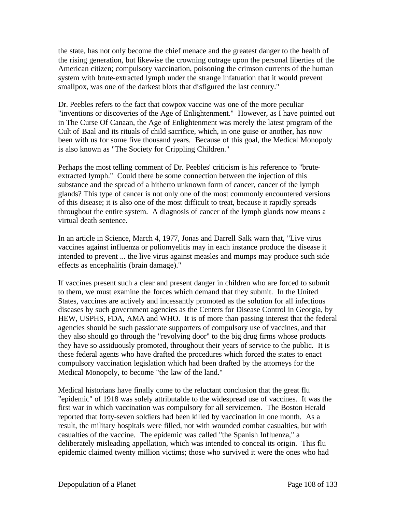the state, has not only become the chief menace and the greatest danger to the health of the rising generation, but likewise the crowning outrage upon the personal liberties of the American citizen; compulsory vaccination, poisoning the crimson currents of the human system with brute-extracted lymph under the strange infatuation that it would prevent smallpox, was one of the darkest blots that disfigured the last century."

Dr. Peebles refers to the fact that cowpox vaccine was one of the more peculiar "inventions or discoveries of the Age of Enlightenment." However, as I have pointed out in The Curse Of Canaan, the Age of Enlightenment was merely the latest program of the Cult of Baal and its rituals of child sacrifice, which, in one guise or another, has now been with us for some five thousand years. Because of this goal, the Medical Monopoly is also known as "The Society for Crippling Children."

Perhaps the most telling comment of Dr. Peebles' criticism is his reference to "bruteextracted lymph." Could there be some connection between the injection of this substance and the spread of a hitherto unknown form of cancer, cancer of the lymph glands? This type of cancer is not only one of the most commonly encountered versions of this disease; it is also one of the most difficult to treat, because it rapidly spreads throughout the entire system. A diagnosis of cancer of the lymph glands now means a virtual death sentence.

In an article in Science, March 4, 1977, Jonas and Darrell Salk warn that, "Live virus vaccines against influenza or poliomyelitis may in each instance produce the disease it intended to prevent ... the live virus against measles and mumps may produce such side effects as encephalitis (brain damage)."

If vaccines present such a clear and present danger in children who are forced to submit to them, we must examine the forces which demand that they submit. In the United States, vaccines are actively and incessantly promoted as the solution for all infectious diseases by such government agencies as the Centers for Disease Control in Georgia, by HEW, USPHS, FDA, AMA and WHO. It is of more than passing interest that the federal agencies should be such passionate supporters of compulsory use of vaccines, and that they also should go through the "revolving door" to the big drug firms whose products they have so assiduously promoted, throughout their years of service to the public. It is these federal agents who have drafted the procedures which forced the states to enact compulsory vaccination legislation which had been drafted by the attorneys for the Medical Monopoly, to become "the law of the land."

Medical historians have finally come to the reluctant conclusion that the great flu "epidemic" of 1918 was solely attributable to the widespread use of vaccines. It was the first war in which vaccination was compulsory for all servicemen. The Boston Herald reported that forty-seven soldiers had been killed by vaccination in one month. As a result, the military hospitals were filled, not with wounded combat casualties, but with casualties of the vaccine. The epidemic was called "the Spanish Influenza," a deliberately misleading appellation, which was intended to conceal its origin. This flu epidemic claimed twenty million victims; those who survived it were the ones who had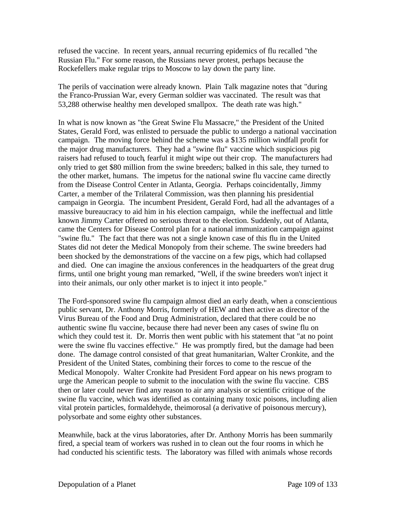refused the vaccine. In recent years, annual recurring epidemics of flu recalled "the Russian Flu." For some reason, the Russians never protest, perhaps because the Rockefellers make regular trips to Moscow to lay down the party line.

The perils of vaccination were already known. Plain Talk magazine notes that "during the Franco-Prussian War, every German soldier was vaccinated. The result was that 53,288 otherwise healthy men developed smallpox. The death rate was high."

In what is now known as "the Great Swine Flu Massacre," the President of the United States, Gerald Ford, was enlisted to persuade the public to undergo a national vaccination campaign. The moving force behind the scheme was a \$135 million windfall profit for the major drug manufacturers. They had a "swine flu" vaccine which suspicious pig raisers had refused to touch, fearful it might wipe out their crop. The manufacturers had only tried to get \$80 million from the swine breeders; balked in this sale, they turned to the other market, humans. The impetus for the national swine flu vaccine came directly from the Disease Control Center in Atlanta, Georgia. Perhaps coincidentally, Jimmy Carter, a member of the Trilateral Commission, was then planning his presidential campaign in Georgia. The incumbent President, Gerald Ford, had all the advantages of a massive bureaucracy to aid him in his election campaign, while the ineffectual and little known Jimmy Carter offered no serious threat to the election. Suddenly, out of Atlanta, came the Centers for Disease Control plan for a national immunization campaign against "swine flu." The fact that there was not a single known case of this flu in the United States did not deter the Medical Monopoly from their scheme. The swine breeders had been shocked by the demonstrations of the vaccine on a few pigs, which had collapsed and died. One can imagine the anxious conferences in the headquarters of the great drug firms, until one bright young man remarked, "Well, if the swine breeders won't inject it into their animals, our only other market is to inject it into people."

The Ford-sponsored swine flu campaign almost died an early death, when a conscientious public servant, Dr. Anthony Morris, formerly of HEW and then active as director of the Virus Bureau of the Food and Drug Administration, declared that there could be no authentic swine flu vaccine, because there had never been any cases of swine flu on which they could test it. Dr. Morris then went public with his statement that "at no point were the swine flu vaccines effective." He was promptly fired, but the damage had been done. The damage control consisted of that great humanitarian, Walter Cronkite, and the President of the United States, combining their forces to come to the rescue of the Medical Monopoly. Walter Cronkite had President Ford appear on his news program to urge the American people to submit to the inoculation with the swine flu vaccine. CBS then or later could never find any reason to air any analysis or scientific critique of the swine flu vaccine, which was identified as containing many toxic poisons, including alien vital protein particles, formaldehyde, theimorosal (a derivative of poisonous mercury), polysorbate and some eighty other substances.

Meanwhile, back at the virus laboratories, after Dr. Anthony Morris has been summarily fired, a special team of workers was rushed in to clean out the four rooms in which he had conducted his scientific tests. The laboratory was filled with animals whose records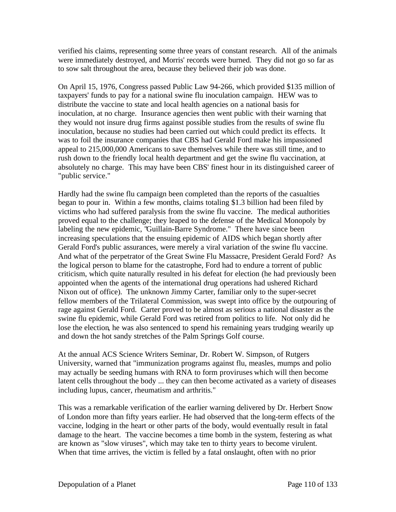verified his claims, representing some three years of constant research. All of the animals were immediately destroyed, and Morris' records were burned. They did not go so far as to sow salt throughout the area, because they believed their job was done.

On April 15, 1976, Congress passed Public Law 94-266, which provided \$135 million of taxpayers' funds to pay for a national swine flu inoculation campaign. HEW was to distribute the vaccine to state and local health agencies on a national basis for inoculation, at no charge. Insurance agencies then went public with their warning that they would not insure drug firms against possible studies from the results of swine flu inoculation, because no studies had been carried out which could predict its effects. It was to foil the insurance companies that CBS had Gerald Ford make his impassioned appeal to 215,000,000 Americans to save themselves while there was still time, and to rush down to the friendly local health department and get the swine flu vaccination, at absolutely no charge. This may have been CBS' finest hour in its distinguished career of "public service."

Hardly had the swine flu campaign been completed than the reports of the casualties began to pour in. Within a few months, claims totaling \$1.3 billion had been filed by victims who had suffered paralysis from the swine flu vaccine. The medical authorities proved equal to the challenge; they leaped to the defense of the Medical Monopoly by labeling the new epidemic, "Guillain-Barre Syndrome." There have since been increasing speculations that the ensuing epidemic of AIDS which began shortly after Gerald Ford's public assurances, were merely a viral variation of the swine flu vaccine. And what of the perpetrator of the Great Swine Flu Massacre, President Gerald Ford? As the logical person to blame for the catastrophe, Ford had to endure a torrent of public criticism, which quite naturally resulted in his defeat for election (he had previously been appointed when the agents of the international drug operations had ushered Richard Nixon out of office). The unknown Jimmy Carter, familiar only to the super-secret fellow members of the Trilateral Commission, was swept into office by the outpouring of rage against Gerald Ford. Carter proved to be almost as serious a national disaster as the swine flu epidemic, while Gerald Ford was retired from politics to life. Not only did he lose the election, he was also sentenced to spend his remaining years trudging wearily up and down the hot sandy stretches of the Palm Springs Golf course.

At the annual ACS Science Writers Seminar, Dr. Robert W. Simpson, of Rutgers University, warned that "immunization programs against flu, measles, mumps and polio may actually be seeding humans with RNA to form proviruses which will then become latent cells throughout the body ... they can then become activated as a variety of diseases including lupus, cancer, rheumatism and arthritis."

This was a remarkable verification of the earlier warning delivered by Dr. Herbert Snow of London more than fifty years earlier. He had observed that the long-term effects of the vaccine, lodging in the heart or other parts of the body, would eventually result in fatal damage to the heart. The vaccine becomes a time bomb in the system, festering as what are known as "slow viruses", which may take ten to thirty years to become virulent. When that time arrives, the victim is felled by a fatal onslaught, often with no prior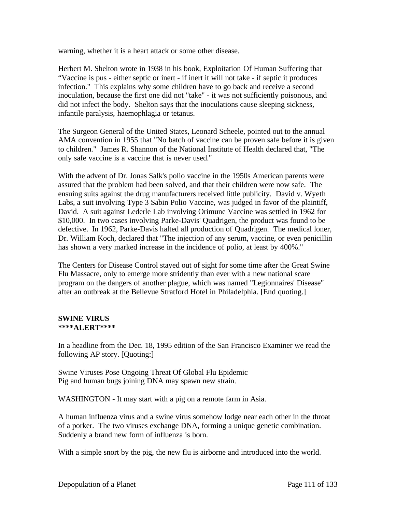warning, whether it is a heart attack or some other disease.

Herbert M. Shelton wrote in 1938 in his book, Exploitation Of Human Suffering that "Vaccine is pus - either septic or inert - if inert it will not take - if septic it produces infection." This explains why some children have to go back and receive a second inoculation, because the first one did not "take" - it was not sufficiently poisonous, and did not infect the body. Shelton says that the inoculations cause sleeping sickness, infantile paralysis, haemophlagia or tetanus.

The Surgeon General of the United States, Leonard Scheele, pointed out to the annual AMA convention in 1955 that "No batch of vaccine can be proven safe before it is given to children." James R. Shannon of the National Institute of Health declared that, "The only safe vaccine is a vaccine that is never used."

With the advent of Dr. Jonas Salk's polio vaccine in the 1950s American parents were assured that the problem had been solved, and that their children were now safe. The ensuing suits against the drug manufacturers received little publicity. David v. Wyeth Labs, a suit involving Type 3 Sabin Polio Vaccine, was judged in favor of the plaintiff, David. A suit against Lederle Lab involving Orimune Vaccine was settled in 1962 for \$10,000. In two cases involving Parke-Davis' Quadrigen, the product was found to be defective. In 1962, Parke-Davis halted all production of Quadrigen. The medical loner, Dr. William Koch, declared that "The injection of any serum, vaccine, or even penicillin has shown a very marked increase in the incidence of polio, at least by 400%."

The Centers for Disease Control stayed out of sight for some time after the Great Swine Flu Massacre, only to emerge more stridently than ever with a new national scare program on the dangers of another plague, which was named "Legionnaires' Disease" after an outbreak at the Bellevue Stratford Hotel in Philadelphia. [End quoting.]

#### **SWINE VIRUS \*\*\*\*ALERT\*\*\*\***

In a headline from the Dec. 18, 1995 edition of the San Francisco Examiner we read the following AP story. [Quoting:]

Swine Viruses Pose Ongoing Threat Of Global Flu Epidemic Pig and human bugs joining DNA may spawn new strain.

WASHINGTON - It may start with a pig on a remote farm in Asia.

A human influenza virus and a swine virus somehow lodge near each other in the throat of a porker. The two viruses exchange DNA, forming a unique genetic combination. Suddenly a brand new form of influenza is born.

With a simple snort by the pig, the new flu is airborne and introduced into the world.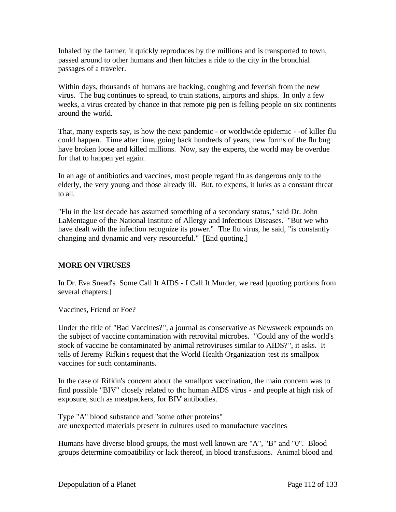Inhaled by the farmer, it quickly reproduces by the millions and is transported to town, passed around to other humans and then hitches a ride to the city in the bronchial passages of a traveler.

Within days, thousands of humans are hacking, coughing and feverish from the new virus. The bug continues to spread, to train stations, airports and ships. In only a few weeks, a virus created by chance in that remote pig pen is felling people on six continents around the world.

That, many experts say, is how the next pandemic - or worldwide epidemic - -of killer flu could happen. Time after time, going back hundreds of years, new forms of the flu bug have broken loose and killed millions. Now, say the experts, the world may be overdue for that to happen yet again.

In an age of antibiotics and vaccines, most people regard flu as dangerous only to the elderly, the very young and those already ill. But, to experts, it lurks as a constant threat to all.

"Flu in the last decade has assumed something of a secondary status," said Dr. John LaMentague of the National Institute of Allergy and Infectious Diseases. "But we who have dealt with the infection recognize its power." The flu virus, he said, "is constantly changing and dynamic and very resourceful." [End quoting.]

## **MORE ON VIRUSES**

In Dr. Eva Snead's Some Call It AIDS - I Call It Murder, we read [quoting portions from several chapters:]

Vaccines, Friend or Foe?

Under the title of "Bad Vaccines?", a journal as conservative as Newsweek expounds on the subject of vaccine contamination with retrovital microbes. "Could any of the world's stock of vaccine be contaminated by animal retroviruses similar to AIDS?", it asks. It tells of Jeremy Rifkin's request that the World Health Organization test its smallpox vaccines for such contaminants.

In the case of Rifkin's concern about the smallpox vaccination, the main concern was to find possible "BIV" closely related to thc human AIDS virus - and people at high risk of exposure, such as meatpackers, for BIV antibodies.

Type "A" blood substance and "some other proteins" are unexpected materials present in cultures used to manufacture vaccines

Humans have diverse blood groups, the most well known are "A", "B" and "0". Blood groups determine compatibility or lack thereof, in blood transfusions. Animal blood and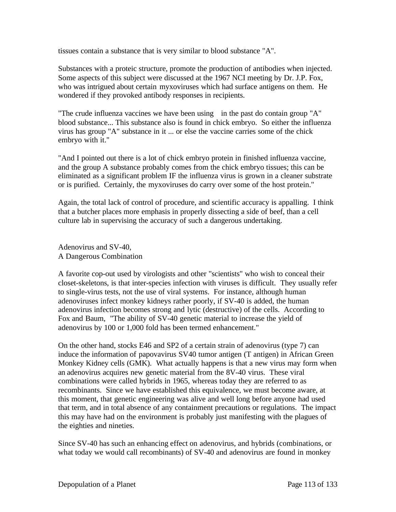tissues contain a substance that is very similar to blood substance "A".

Substances with a proteic structure, promote the production of antibodies when injected. Some aspects of this subject were discussed at the 1967 NCI meeting by Dr. J.P. Fox, who was intrigued about certain myxoviruses which had surface antigens on them. He wondered if they provoked antibody responses in recipients.

"The crude influenza vaccines we have been using in the past do contain group "A" blood substance... This substance also is found in chick embryo. So either the influenza virus has group "A" substance in it ... or else the vaccine carries some of the chick embryo with it."

"And I pointed out there is a lot of chick embryo protein in finished influenza vaccine, and the group A substance probably comes from the chick embryo tissues; this can be eliminated as a significant problem IF the influenza virus is grown in a cleaner substrate or is purified. Certainly, the myxoviruses do carry over some of the host protein."

Again, the total lack of control of procedure, and scientific accuracy is appalling. I think that a butcher places more emphasis in properly dissecting a side of beef, than a cell culture lab in supervising the accuracy of such a dangerous undertaking.

Adenovirus and SV-40, A Dangerous Combination

A favorite cop-out used by virologists and other "scientists" who wish to conceal their closet-skeletons, is that inter-species infection with viruses is difficult. They usually refer to single-virus tests, not the use of viral systems. For instance, although human adenoviruses infect monkey kidneys rather poorly, if SV-40 is added, the human adenovirus infection becomes strong and lytic (destructive) of the cells. According to Fox and Baum, "The ability of SV-40 genetic material to increase the yield of adenovirus by 100 or 1,000 fold has been termed enhancement."

On the other hand, stocks E46 and SP2 of a certain strain of adenovirus (type 7) can induce the information of papovavirus SV40 tumor antigen (T antigen) in African Green Monkey Kidney cells (GMK). What actually happens is that a new virus may form when an adenovirus acquires new genetic material from the 8V-40 virus. These viral combinations were called hybrids in 1965, whereas today they are referred to as recombinants. Since we have established this equivalence, we must become aware, at this moment, that genetic engineering was alive and well long before anyone had used that term, and in total absence of any containment precautions or regulations. The impact this may have had on the environment is probably just manifesting with the plagues of the eighties and nineties.

Since SV-40 has such an enhancing effect on adenovirus, and hybrids (combinations, or what today we would call recombinants) of SV-40 and adenovirus are found in monkey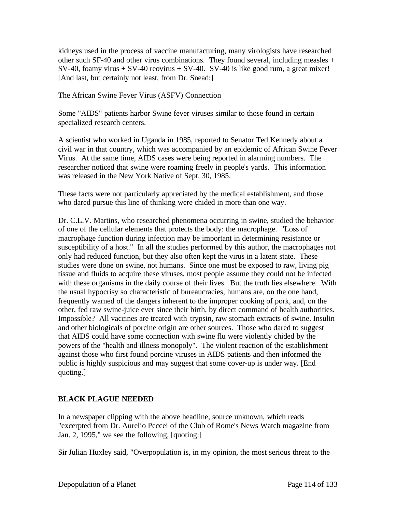kidneys used in the process of vaccine manufacturing, many virologists have researched other such SF-40 and other virus combinations. They found several, including measles + SV-40, foamy virus  $+$  SV-40 reovirus  $+$  SV-40. SV-40 is like good rum, a great mixer! [And last, but certainly not least, from Dr. Snead:]

The African Swine Fever Virus (ASFV) Connection

Some "AIDS" patients harbor Swine fever viruses similar to those found in certain specialized research centers.

A scientist who worked in Uganda in 1985, reported to Senator Ted Kennedy about a civil war in that country, which was accompanied by an epidemic of African Swine Fever Virus. At the same time, AIDS cases were being reported in alarming numbers. The researcher noticed that swine were roaming freely in people's yards. This information was released in the New York Native of Sept. 30, 1985.

These facts were not particularly appreciated by the medical establishment, and those who dared pursue this line of thinking were chided in more than one way.

Dr. C.L.V. Martins, who researched phenomena occurring in swine, studied the behavior of one of the cellular elements that protects the body: the macrophage. "Loss of macrophage function during infection may be important in determining resistance or susceptibility of a host." In all the studies performed by this author, the macrophages not only had reduced function, but they also often kept the virus in a latent state. These studies were done on swine, not humans. Since one must be exposed to raw, living pig tissue and fluids to acquire these viruses, most people assume they could not be infected with these organisms in the daily course of their lives. But the truth lies elsewhere. With the usual hypocrisy so characteristic of bureaucracies, humans are, on the one hand, frequently warned of the dangers inherent to the improper cooking of pork, and, on the other, fed raw swine-juice ever since their birth, by direct command of health authorities. Impossible? All vaccines are treated with trypsin, raw stomach extracts of swine. Insulin and other biologicals of porcine origin are other sources. Those who dared to suggest that AIDS could have some connection with swine flu were violently chided by the powers of the "health and illness monopoly". The violent reaction of the establishment against those who first found porcine viruses in AIDS patients and then informed the public is highly suspicious and may suggest that some cover-up is under way. [End quoting.]

# **BLACK PLAGUE NEEDED**

In a newspaper clipping with the above headline, source unknown, which reads "excerpted from Dr. Aurelio Peccei of the Club of Rome's News Watch magazine from Jan. 2, 1995," we see the following, [quoting:]

Sir Julian Huxley said, "Overpopulation is, in my opinion, the most serious threat to the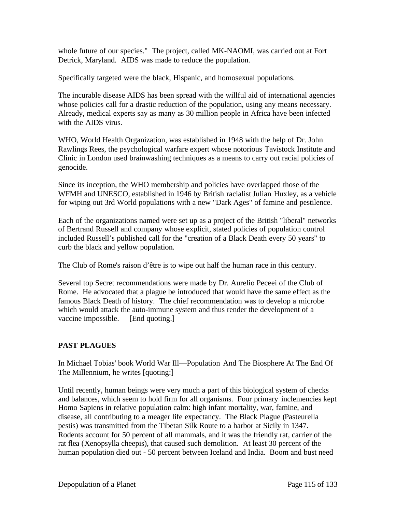whole future of our species." The project, called MK-NAOMI, was carried out at Fort Detrick, Maryland. AIDS was made to reduce the population.

Specifically targeted were the black, Hispanic, and homosexual populations.

The incurable disease AIDS has been spread with the willful aid of international agencies whose policies call for a drastic reduction of the population, using any means necessary. Already, medical experts say as many as 30 million people in Africa have been infected with the AIDS virus.

WHO, World Health Organization, was established in 1948 with the help of Dr. John Rawlings Rees, the psychological warfare expert whose notorious Tavistock Institute and Clinic in London used brainwashing techniques as a means to carry out racial policies of genocide.

Since its inception, the WHO membership and policies have overlapped those of the WFMH and UNESCO, established in 1946 by British racialist Julian Huxley, as a vehicle for wiping out 3rd World populations with a new "Dark Ages" of famine and pestilence.

Each of the organizations named were set up as a project of the British "liberal" networks of Bertrand Russell and company whose explicit, stated policies of population control included Russell's published call for the "creation of a Black Death every 50 years" to curb the black and yellow population.

The Club of Rome's raison d'être is to wipe out half the human race in this century.

Several top Secret recommendations were made by Dr. Aurelio Peceei of the Club of Rome. He advocated that a plague be introduced that would have the same effect as the famous Black Death of history. The chief recommendation was to develop a microbe which would attack the auto-immune system and thus render the development of a vaccine impossible. [End quoting.]

## **PAST PLAGUES**

In Michael Tobias' book World War Ill—Population And The Biosphere At The End Of The Millennium, he writes [quoting:]

Until recently, human beings were very much a part of this biological system of checks and balances, which seem to hold firm for all organisms. Four primary inclemencies kept Homo Sapiens in relative population calm: high infant mortality, war, famine, and disease, all contributing to a meager life expectancy. The Black Plague (Pasteurella pestis) was transmitted from the Tibetan Silk Route to a harbor at Sicily in 1347. Rodents account for 50 percent of all mammals, and it was the friendly rat, carrier of the rat flea (Xenopsylla cheepis), that caused such demolition. At least 30 percent of the human population died out - 50 percent between Iceland and India. Boom and bust need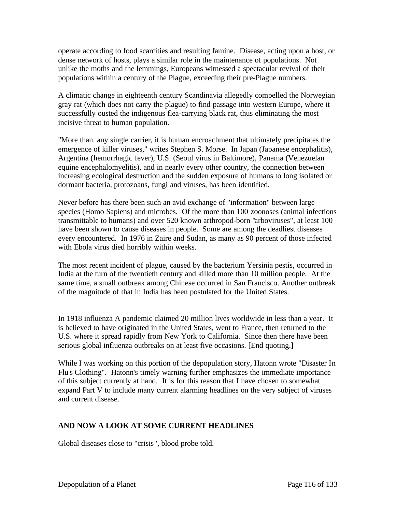operate according to food scarcities and resulting famine. Disease, acting upon a host, or dense network of hosts, plays a similar role in the maintenance of populations. Not unlike the moths and the lemmings, Europeans witnessed a spectacular revival of their populations within a century of the Plague, exceeding their pre-Plague numbers.

A climatic change in eighteenth century Scandinavia allegedly compelled the Norwegian gray rat (which does not carry the plague) to find passage into western Europe, where it successfully ousted the indigenous flea-carrying black rat, thus eliminating the most incisive threat to human population.

"More than. any single carrier, it is human encroachment that ultimately precipitates the emergence of killer viruses," writes Stephen S. Morse. In Japan (Japanese encephalitis), Argentina (hemorrhagic fever), U.S. (Seoul virus in Baltimore), Panama (Venezuelan equine encephalomyelitis), and in nearly every other country, the connection between increasing ecological destruction and the sudden exposure of humans to long isolated or dormant bacteria, protozoans, fungi and viruses, has been identified.

Never before has there been such an avid exchange of "information" between large species (Homo Sapiens) and microbes. Of the more than 100 zoonoses (animal infections transmittable to humans) and over 520 known arthropod-born "arboviruses", at least 100 have been shown to cause diseases in people. Some are among the deadliest diseases every encountered. In 1976 in Zaire and Sudan, as many as 90 percent of those infected with Ebola virus died horribly within weeks.

The most recent incident of plague, caused by the bacterium Yersinia pestis, occurred in India at the turn of the twentieth century and killed more than 10 million people. At the same time, a small outbreak among Chinese occurred in San Francisco. Another outbreak of the magnitude of that in India has been postulated for the United States.

In 1918 influenza A pandemic claimed 20 million lives worldwide in less than a year. It is believed to have originated in the United States, went to France, then returned to the U.S. where it spread rapidly from New York to California. Since then there have been serious global influenza outbreaks on at least five occasions. [End quoting.]

While I was working on this portion of the depopulation story, Hatonn wrote "Disaster In Flu's Clothing". Hatonn's timely warning further emphasizes the immediate importance of this subject currently at hand. It is for this reason that I have chosen to somewhat expand Part V to include many current alarming headlines on the very subject of viruses and current disease.

## **AND NOW A LOOK AT SOME CURRENT HEADLINES**

Global diseases close to "crisis", blood probe told.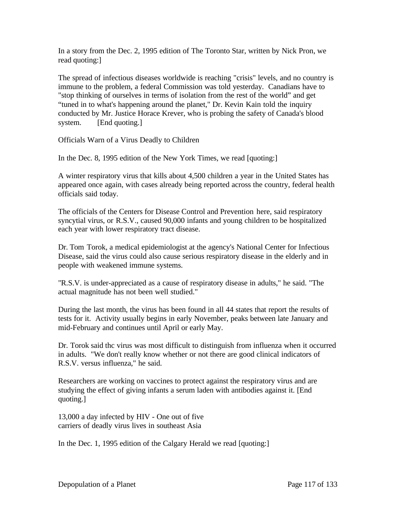In a story from the Dec. 2, 1995 edition of The Toronto Star, written by Nick Pron, we read quoting:]

The spread of infectious diseases worldwide is reaching "crisis" levels, and no country is immune to the problem, a federal Commission was told yesterday. Canadians have to "stop thinking of ourselves in terms of isolation from the rest of the world" and get "tuned in to what's happening around the planet," Dr. Kevin Kain told the inquiry conducted by Mr. Justice Horace Krever, who is probing the safety of Canada's blood system. [End quoting.]

Officials Warn of a Virus Deadly to Children

In the Dec. 8, 1995 edition of the New York Times, we read [quoting:]

A winter respiratory virus that kills about 4,500 children a year in the United States has appeared once again, with cases already being reported across the country, federal health officials said today.

The officials of the Centers for Disease Control and Prevention here, said respiratory syncytial virus, or R.S.V., caused 90,000 infants and young children to be hospitalized each year with lower respiratory tract disease.

Dr. Tom Torok, a medical epidemiologist at the agency's National Center for Infectious Disease, said the virus could also cause serious respiratory disease in the elderly and in people with weakened immune systems.

"R.S.V. is under-appreciated as a cause of respiratory disease in adults," he said. "The actual magnitude has not been well studied."

During the last month, the virus has been found in all 44 states that report the results of tests for it. Activity usually begins in early November, peaks between late January and mid-February and continues until April or early May.

Dr. Torok said thc virus was most difficult to distinguish from influenza when it occurred in adults. "We don't really know whether or not there are good clinical indicators of R.S.V. versus influenza," he said.

Researchers are working on vaccines to protect against the respiratory virus and are studying the effect of giving infants a serum laden with antibodies against it. [End quoting.]

13,000 a day infected by HIV - One out of five carriers of deadly virus lives in southeast Asia

In the Dec. 1, 1995 edition of the Calgary Herald we read [quoting:]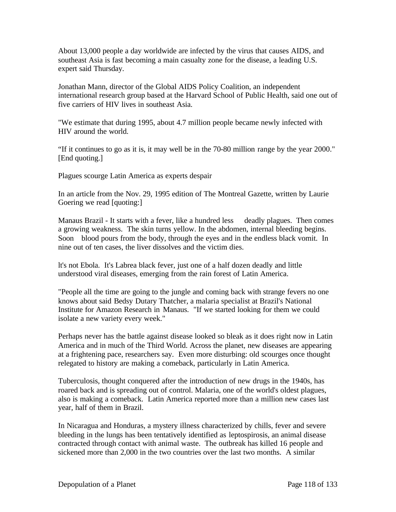About 13,000 people a day worldwide are infected by the virus that causes AIDS, and southeast Asia is fast becoming a main casualty zone for the disease, a leading U.S. expert said Thursday.

Jonathan Mann, director of the Global AIDS Policy Coalition, an independent international research group based at the Harvard School of Public Health, said one out of five carriers of HIV lives in southeast Asia.

"We estimate that during 1995, about 4.7 million people became newly infected with HIV around the world.

"If it continues to go as it is, it may well be in the 70-80 million range by the year 2000." [End quoting.]

Plagues scourge Latin America as experts despair

In an article from the Nov. 29, 1995 edition of The Montreal Gazette, written by Laurie Goering we read [quoting:]

Manaus Brazil - It starts with a fever, like a hundred less deadly plagues. Then comes a growing weakness. The skin turns yellow. In the abdomen, internal bleeding begins. Soon blood pours from the body, through the eyes and in the endless black vomit. In nine out of ten cases, the liver dissolves and the victim dies.

lt's not Ebola. It's Labrea black fever, just one of a half dozen deadly and little understood viral diseases, emerging from the rain forest of Latin America.

"People all the time are going to the jungle and coming back with strange fevers no one knows about said Bedsy Dutary Thatcher, a malaria specialist at Brazil's National Institute for Amazon Research in Manaus. "If we started looking for them we could isolate a new variety every week."

Perhaps never has the battle against disease looked so bleak as it does right now in Latin America and in much of the Third World. Across the planet, new diseases are appearing at a frightening pace, researchers say. Even more disturbing: old scourges once thought relegated to history are making a comeback, particularly in Latin America.

Tuberculosis, thought conquered after the introduction of new drugs in the 1940s, has roared back and is spreading out of control. Malaria, one of the world's oldest plagues, also is making a comeback. Latin America reported more than a million new cases last year, half of them in Brazil.

In Nicaragua and Honduras, a mystery illness characterized by chills, fever and severe bleeding in the lungs has been tentatively identified as leptospirosis, an animal disease contracted through contact with animal waste. The outbreak has killed 16 people and sickened more than 2,000 in the two countries over the last two months. A similar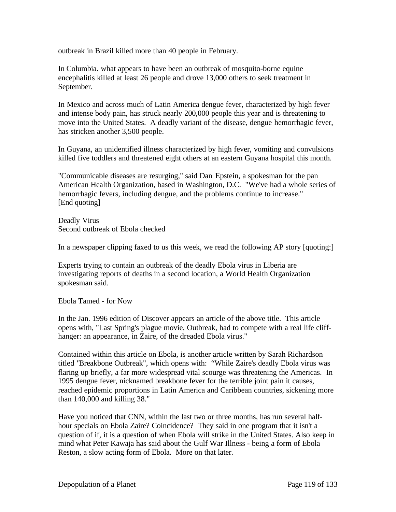outbreak in Brazil killed more than 40 people in February.

In Columbia. what appears to have been an outbreak of mosquito-borne equine encephalitis killed at least 26 people and drove 13,000 others to seek treatment in September.

In Mexico and across much of Latin America dengue fever, characterized by high fever and intense body pain, has struck nearly 200,000 people this year and is threatening to move into the United States. A deadly variant of the disease, dengue hemorrhagic fever, has stricken another 3,500 people.

In Guyana, an unidentified illness characterized by high fever, vomiting and convulsions killed five toddlers and threatened eight others at an eastern Guyana hospital this month.

"Communicable diseases are resurging," said Dan Epstein, a spokesman for the pan American Health Organization, based in Washington, D.C. "We've had a whole series of hemorrhagic fevers, including dengue, and the problems continue to increase." [End quoting]

Deadly Virus Second outbreak of Ebola checked

In a newspaper clipping faxed to us this week, we read the following AP story [quoting:]

Experts trying to contain an outbreak of the deadly Ebola virus in Liberia are investigating reports of deaths in a second location, a World Health Organization spokesman said.

Ebola Tamed - for Now

In the Jan. 1996 edition of Discover appears an article of the above title. This article opens with, "Last Spring's plague movie, Outbreak, had to compete with a real life cliffhanger: an appearance, in Zaire, of the dreaded Ebola virus."

Contained within this article on Ebola, is another article written by Sarah Richardson titled "Breakbone Outbreak", which opens with: "While Zaire's deadly Ebola virus was flaring up briefly, a far more widespread vital scourge was threatening the Americas. In 1995 dengue fever, nicknamed breakbone fever for the terrible joint pain it causes, reached epidemic proportions in Latin America and Caribbean countries, sickening more than 140,000 and killing 38."

Have you noticed that CNN, within the last two or three months, has run several halfhour specials on Ebola Zaire? Coincidence? They said in one program that it isn't a question of if, it is a question of when Ebola will strike in the United States. Also keep in mind what Peter Kawaja has said about the Gulf War Illness - being a form of Ebola Reston, a slow acting form of Ebola. More on that later.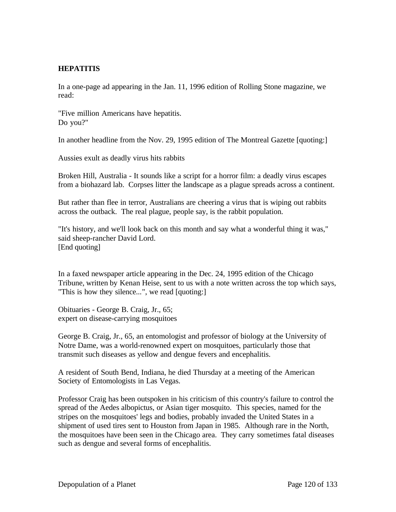#### **HEPATITIS**

In a one-page ad appearing in the Jan. 11, 1996 edition of Rolling Stone magazine, we read:

"Five million Americans have hepatitis. Do you?"

In another headline from the Nov. 29, 1995 edition of The Montreal Gazette [quoting:]

Aussies exult as deadly virus hits rabbits

Broken Hill, Australia - It sounds like a script for a horror film: a deadly virus escapes from a biohazard lab. Corpses litter the landscape as a plague spreads across a continent.

But rather than flee in terror, Australians are cheering a virus that is wiping out rabbits across the outback. The real plague, people say, is the rabbit population.

"It's history, and we'll look back on this month and say what a wonderful thing it was," said sheep-rancher David Lord. [End quoting]

In a faxed newspaper article appearing in the Dec. 24, 1995 edition of the Chicago Tribune, written by Kenan Heise, sent to us with a note written across the top which says, "This is how they silence...", we read [quoting:]

Obituaries - George B. Craig, Jr., 65; expert on disease-carrying mosquitoes

George B. Craig, Jr., 65, an entomologist and professor of biology at the University of Notre Dame, was a world-renowned expert on mosquitoes, particularly those that transmit such diseases as yellow and dengue fevers and encephalitis.

A resident of South Bend, Indiana, he died Thursday at a meeting of the American Society of Entomologists in Las Vegas.

Professor Craig has been outspoken in his criticism of this country's failure to control the spread of the Aedes albopictus, or Asian tiger mosquito. This species, named for the stripes on the mosquitoes' legs and bodies, probably invaded the United States in a shipment of used tires sent to Houston from Japan in 1985. Although rare in the North, the mosquitoes have been seen in the Chicago area. They carry sometimes fatal diseases such as dengue and several forms of encephalitis.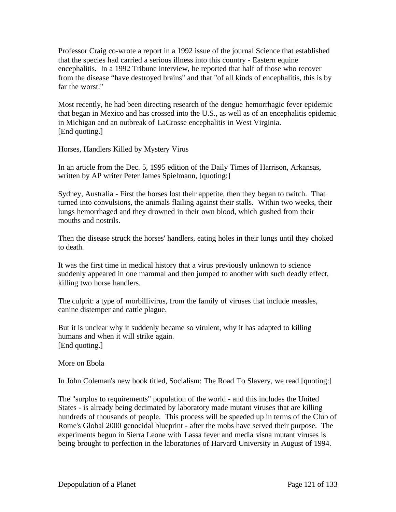Professor Craig co-wrote a report in a 1992 issue of the journal Science that established that the species had carried a serious illness into this country - Eastern equine encephalitis. In a 1992 Tribune interview, he reported that half of those who recover from the disease "have destroyed brains" and that "of all kinds of encephalitis, this is by far the worst."

Most recently, he had been directing research of the dengue hemorrhagic fever epidemic that began in Mexico and has crossed into the U.S., as well as of an encephalitis epidemic in Michigan and an outbreak of LaCrosse encephalitis in West Virginia. [End quoting.]

Horses, Handlers Killed by Mystery Virus

In an article from the Dec. 5, 1995 edition of the Daily Times of Harrison, Arkansas, written by AP writer Peter James Spielmann, [quoting:]

Sydney, Australia - First the horses lost their appetite, then they began to twitch. That turned into convulsions, the animals flailing against their stalls. Within two weeks, their lungs hemorrhaged and they drowned in their own blood, which gushed from their mouths and nostrils.

Then the disease struck the horses' handlers, eating holes in their lungs until they choked to death.

It was the first time in medical history that a virus previously unknown to science suddenly appeared in one mammal and then jumped to another with such deadly effect, killing two horse handlers.

The culprit: a type of morbillivirus, from the family of viruses that include measles, canine distemper and cattle plague.

But it is unclear why it suddenly became so virulent, why it has adapted to killing humans and when it will strike again. [End quoting.]

More on Ebola

In John Coleman's new book titled, Socialism: The Road To Slavery, we read [quoting:]

The "surplus to requirements" population of the world - and this includes the United States - is already being decimated by laboratory made mutant viruses that are killing hundreds of thousands of people. This process will be speeded up in terms of the Club of Rome's Global 2000 genocidal blueprint - after the mobs have served their purpose. The experiments begun in Sierra Leone with Lassa fever and media visna mutant viruses is being brought to perfection in the laboratories of Harvard University in August of 1994.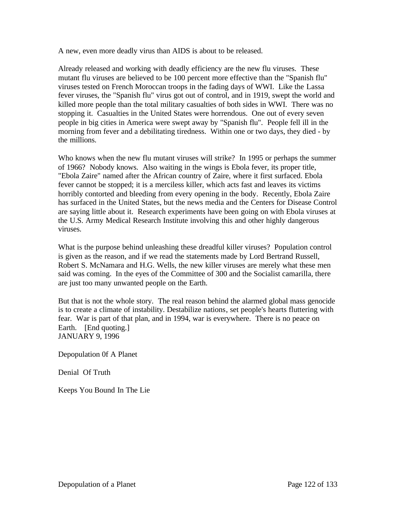A new, even more deadly virus than AIDS is about to be released.

Already released and working with deadly efficiency are the new flu viruses. These mutant flu viruses are believed to be 100 percent more effective than the "Spanish flu" viruses tested on French Moroccan troops in the fading days of WWI. Like the Lassa fever viruses, the "Spanish flu" virus got out of control, and in 1919, swept the world and killed more people than the total military casualties of both sides in WWI. There was no stopping it. Casualties in the United States were horrendous. One out of every seven people in big cities in America were swept away by "Spanish flu". People fell ill in the morning from fever and a debilitating tiredness. Within one or two days, they died - by the millions.

Who knows when the new flu mutant viruses will strike? In 1995 or perhaps the summer of 1966? Nobody knows. Also waiting in the wings is Ebola fever, its proper title, "Ebola Zaire" named after the African country of Zaire, where it first surfaced. Ebola fever cannot be stopped; it is a merciless killer, which acts fast and leaves its victims horribly contorted and bleeding from every opening in the body. Recently, Ebola Zaire has surfaced in the United States, but the news media and the Centers for Disease Control are saying little about it. Research experiments have been going on with Ebola viruses at the U.S. Army Medical Research Institute involving this and other highly dangerous viruses.

What is the purpose behind unleashing these dreadful killer viruses? Population control is given as the reason, and if we read the statements made by Lord Bertrand Russell, Robert S. McNamara and H.G. Wells, the new killer viruses are merely what these men said was coming. In the eyes of the Committee of 300 and the Socialist camarilla, there are just too many unwanted people on the Earth.

But that is not the whole story. The real reason behind the alarmed global mass genocide is to create a climate of instability. Destabilize nations, set people's hearts fluttering with fear. War is part of that plan, and in 1994, war is everywhere. There is no peace on Earth. [End quoting.] JANUARY 9, 1996

Depopulation 0f A Planet

Denial Of Truth

Keeps You Bound In The Lie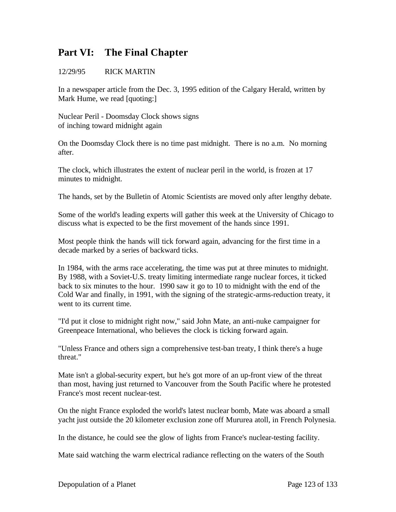# **Part VI: The Final Chapter**

### 12/29/95 RICK MARTIN

In a newspaper article from the Dec. 3, 1995 edition of the Calgary Herald, written by Mark Hume, we read [quoting:]

Nuclear Peril - Doomsday Clock shows signs of inching toward midnight again

On the Doomsday Clock there is no time past midnight. There is no a.m. No morning after.

The clock, which illustrates the extent of nuclear peril in the world, is frozen at 17 minutes to midnight.

The hands, set by the Bulletin of Atomic Scientists are moved only after lengthy debate.

Some of the world's leading experts will gather this week at the University of Chicago to discuss what is expected to be the first movement of the hands since 1991.

Most people think the hands will tick forward again, advancing for the first time in a decade marked by a series of backward ticks.

In 1984, with the arms race accelerating, the time was put at three minutes to midnight. By 1988, with a Soviet-U.S. treaty limiting intermediate range nuclear forces, it ticked back to six minutes to the hour. 1990 saw it go to 10 to midnight with the end of the Cold War and finally, in 1991, with the signing of the strategic-arms-reduction treaty, it went to its current time.

"I'd put it close to midnight right now," said John Mate, an anti-nuke campaigner for Greenpeace International, who believes the clock is ticking forward again.

"Unless France and others sign a comprehensive test-ban treaty, I think there's a huge threat."

Mate isn't a global-security expert, but he's got more of an up-front view of the threat than most, having just returned to Vancouver from the South Pacific where he protested France's most recent nuclear-test.

On the night France exploded the world's latest nuclear bomb, Mate was aboard a small yacht just outside the 20 kilometer exclusion zone off Mururea atoll, in French Polynesia.

In the distance, he could see the glow of lights from France's nuclear-testing facility.

Mate said watching the warm electrical radiance reflecting on the waters of the South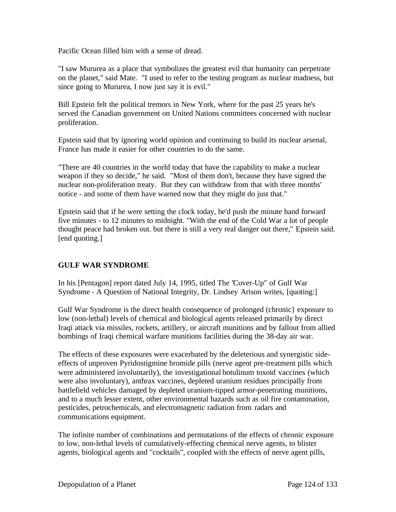Pacific Ocean filled him with a sense of dread.

"I saw Mururea as a place that symbolizes the greatest evil that humanity can perpetrate on the planet," said Mate. "I used to refer to the testing program as nuclear madness, but since going to Mururea, I now just say it is evil."

Bill Epstein felt the political tremors in New York, where for the past 25 years he's served the Canadian government on United Nations committees concerned with nuclear proliferation.

Epstein said that by ignoring world opinion and continuing to build its nuclear arsenal, France has made it easier for other countries to do the same.

"There are 40 countries in the world today that have the capability to make a nuclear weapon if they so decide," he said. "Most of them don't, because they have signed the nuclear non-proliferation treaty. But they can withdraw from that with three months' notice - and some of them have warned now that they might do just that."

Epstein said that if he were setting the clock today, he'd push the minute hand forward five minutes - to 12 minutes to midnight. "With the end of the Cold War a lot of people thought peace had broken out. but there is still a very real danger out there," Epstein said. [end quoting.]

## **GULF WAR SYNDROME**

In his [Pentagon] report dated July 14, 1995, titled The "Cover-Up" of Gulf War Syndrome - A Question of National Integrity, Dr. Lindsey Arison writes, [quoting:]

Gulf War Syndrome is the direct health consequence of prolonged (chronic} exposure to low (non-lethal) levels of chemical and biological agents released primarily by direct Iraqi attack via missiles, rockets, artillery, or aircraft munitions and by fallout from allied bombings of Iraqi chemical warfare munitions facilities during the 38-day air war.

The effects of these exposures were exacerbated by the deleterious and synergistic sideeffects of unproven Pyridostigmine bromide pills (nerve agent pre-treatment pills which were administered involuntarily), the investigational botulinum toxoid vaccines (which were also involuntary), anthrax vaccines, depleted uranium residues principally from battlefield vehicles damaged by depleted uranium-tipped armor-penetrating munitions, and to a much lesser extent, other environmental hazards such as oil fire contamination, pesticides, petrochemicals, and electromagnetic radiation from radars and communications equipment.

The infinite number of combinations and permutations of the effects of chronic exposure to low, non-lethal levels of cumulatively-effecting chemical nerve agents, to blister agents, biological agents and "cocktails", coupled with the effects of nerve agent pills,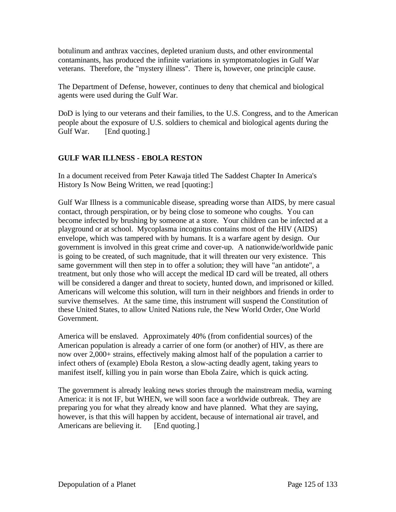botulinum and anthrax vaccines, depleted uranium dusts, and other environmental contaminants, has produced the infinite variations in symptomatologies in Gulf War veterans. Therefore, the "mystery illness". There is, however, one principle cause.

The Department of Defense, however, continues to deny that chemical and biological agents were used during the Gulf War.

DoD is lying to our veterans and their families, to the U.S. Congress, and to the American people about the exposure of U.S. soldiers to chemical and biological agents during the Gulf War. [End quoting.]

# **GULF WAR ILLNESS - EBOLA RESTON**

In a document received from Peter Kawaja titled The Saddest Chapter In America's History Is Now Being Written, we read [quoting:]

Gulf War Illness is a communicable disease, spreading worse than AIDS, by mere casual contact, through perspiration, or by being close to someone who coughs. You can become infected by brushing by someone at a store. Your children can be infected at a playground or at school. Mycoplasma incognitus contains most of the HIV (AIDS) envelope, which was tampered with by humans. It is a warfare agent by design. Our government is involved in this great crime and cover-up. A nationwide/worldwide panic is going to be created, of such magnitude, that it will threaten our very existence. This same government will then step in to offer a solution; they will have "an antidote", a treatment, but only those who will accept the medical ID card will be treated, all others will be considered a danger and threat to society, hunted down, and imprisoned or killed. Americans will welcome this solution, will turn in their neighbors and friends in order to survive themselves. At the same time, this instrument will suspend the Constitution of these United States, to allow United Nations rule, the New World Order, One World Government.

America will be enslaved. Approximately 40% (from confidential sources) of the American population is already a carrier of one form (or another) of HIV, as there are now over 2,000+ strains, effectively making almost half of the population a carrier to infect others of (example) Ebola Reston, a slow-acting deadly agent, taking years to manifest itself, killing you in pain worse than Ebola Zaire, which is quick acting.

The government is already leaking news stories through the mainstream media, warning America: it is not IF, but WHEN, we will soon face a worldwide outbreak. They are preparing you for what they already know and have planned. What they are saying, however, is that this will happen by accident, because of international air travel, and Americans are believing it. [End quoting.]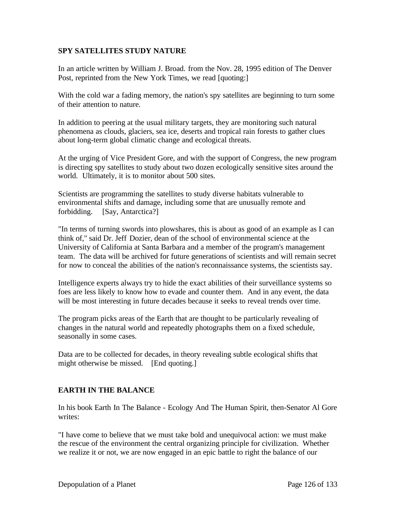#### **SPY SATELLITES STUDY NATURE**

In an article written by William J. Broad. from the Nov. 28, 1995 edition of The Denver Post, reprinted from the New York Times, we read [quoting:]

With the cold war a fading memory, the nation's spy satellites are beginning to turn some of their attention to nature.

In addition to peering at the usual military targets, they are monitoring such natural phenomena as clouds, glaciers, sea ice, deserts and tropical rain forests to gather clues about long-term global climatic change and ecological threats.

At the urging of Vice President Gore, and with the support of Congress, the new program is directing spy satellites to study about two dozen ecologically sensitive sites around the world. Ultimately, it is to monitor about 500 sites.

Scientists are programming the satellites to study diverse habitats vulnerable to environmental shifts and damage, including some that are unusually remote and forbidding. [Say, Antarctica?]

"In terms of turning swords into plowshares, this is about as good of an example as I can think of," said Dr. Jeff Dozier, dean of the school of environmental science at the University of California at Santa Barbara and a member of the program's management team. The data will be archived for future generations of scientists and will remain secret for now to conceal the abilities of the nation's reconnaissance systems, the scientists say.

Intelligence experts always try to hide the exact abilities of their surveillance systems so foes are less likely to know how to evade and counter them. And in any event, the data will be most interesting in future decades because it seeks to reveal trends over time.

The program picks areas of the Earth that are thought to be particularly revealing of changes in the natural world and repeatedly photographs them on a fixed schedule, seasonally in some cases.

Data are to be collected for decades, in theory revealing subtle ecological shifts that might otherwise be missed. [End quoting.]

## **EARTH IN THE BALANCE**

In his book Earth In The Balance - Ecology And The Human Spirit, then-Senator Al Gore writes:

"I have come to believe that we must take bold and unequivocal action: we must make the rescue of the environment the central organizing principle for civilization. Whether we realize it or not, we are now engaged in an epic battle to right the balance of our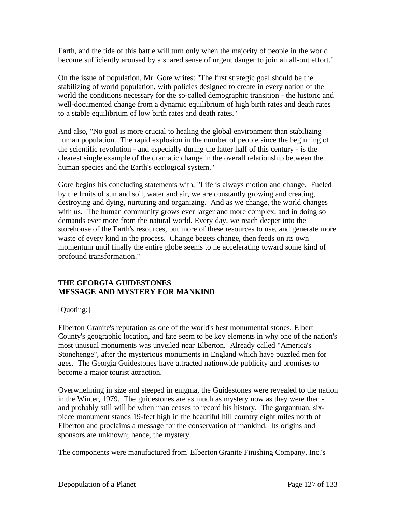Earth, and the tide of this battle will turn only when the majority of people in the world become sufficiently aroused by a shared sense of urgent danger to join an all-out effort."

On the issue of population, Mr. Gore writes: "The first strategic goal should be the stabilizing of world population, with policies designed to create in every nation of the world the conditions necessary for the so-called demographic transition - the historic and well-documented change from a dynamic equilibrium of high birth rates and death rates to a stable equilibrium of low birth rates and death rates."

And also, "No goal is more crucial to healing the global environment than stabilizing human population. The rapid explosion in the number of people since the beginning of the scientific revolution - and especially during the latter half of this century - is the clearest single example of the dramatic change in the overall relationship between the human species and the Earth's ecological system."

Gore begins his concluding statements with, "Life is always motion and change. Fueled by the fruits of sun and soil, water and air, we are constantly growing and creating, destroying and dying, nurturing and organizing. And as we change, the world changes with us. The human community grows ever larger and more complex, and in doing so demands ever more from the natural world. Every day, we reach deeper into the storehouse of the Earth's resources, put more of these resources to use, and generate more waste of every kind in the process. Change begets change, then feeds on its own momentum until finally the entire globe seems to he accelerating toward some kind of profound transformation."

## **THE GEORGIA GUIDESTONES MESSAGE AND MYSTERY FOR MANKIND**

## [Quoting:]

Elberton Granite's reputation as one of the world's best monumental stones, Elbert County's geographic location, and fate seem to be key elements in why one of the nation's most unusual monuments was unveiled near Elberton. Already called "America's Stonehenge", after the mysterious monuments in England which have puzzled men for ages. The Georgia Guidestones have attracted nationwide publicity and promises to become a major tourist attraction.

Overwhelming in size and steeped in enigma, the Guidestones were revealed to the nation in the Winter, 1979. The guidestones are as much as mystery now as they were then and probably still will be when man ceases to record his history. The gargantuan, sixpiece monument stands 19-feet high in the beautiful hill country eight miles north of Elberton and proclaims a message for the conservation of mankind. Its origins and sponsors are unknown; hence, the mystery.

The components were manufactured from Elberton Granite Finishing Company, Inc.'s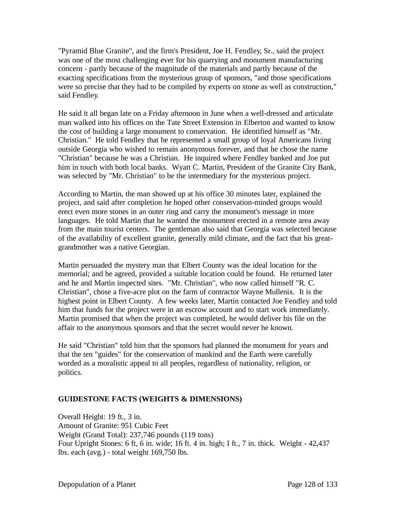"Pyramid Blue Granite", and the firm's President, Joe H. Fendley, Sr., said the project was one of the most challenging ever for his quarrying and monument manufacturing concern - partly because of the magnitude of the materials and partly because of the exacting specifications from the mysterious group of sponsors, "and those specifications were so precise that they had to be compiled by experts on stone as well as construction," said Fendley.

He said it all began late on a Friday afternoon in June when a well-dressed and articulate man walked into his offices on the Tate Street Extension in Elberton and wanted to know the cost of building a large monument to conservation. He identified himself as "Mr. Christian." He told Fendley that he represented a small group of loyal Americans living outside Georgia who wished to remain anonymous forever, and that he chose the name "Christian" because he was a Christian. He inquired where Fendley banked and Joe put him in touch with both local banks. Wyatt C. Martin, President of the Granite City Bank, was selected by "Mr. Christian" to be the intermediary for the mysterious project.

According to Martin, the man showed up at his office 30 minutes later, explained the project, and said after completion he hoped other conservation-minded groups would erect even more stones in an outer ring and carry the monument's message in more languages. He told Martin that he wanted the monument erected in a remote area away from the main tourist centers. The gentleman also said that Georgia was selected because of the availability of excellent granite, generally mild climate, and the fact that his greatgrandmother was a native Georgian.

Martin persuaded the mystery man that Elbert County was the ideal location for the memorial; and he agreed, provided a suitable location could be found. He returned later and he and Martin inspected sites. "Mr. Christian", who now called himself "R. C. Christian", chose a five-acre plot on the farm of contractor Wayne Mullenix. It is the highest point in Elbert County. A few weeks later, Martin contacted Joe Fendley and told him that funds for the project were in an escrow account and to start work immediately. Martin promised that when the project was completed, he would deliver his file on the affair to the anonymous sponsors and that the secret would never he known.

He said "Christian" told him that the sponsors had planned the monument for years and that the ten "guides" for the conservation of mankind and the Earth were carefully worded as a moralistic appeal to all peoples, regardless of nationality, religion, or politics.

## **GUIDESTONE FACTS (WEIGHTS & DIMENSIONS)**

Overall Height: 19 ft., 3 in. Amount of Granite: 951 Cubic Feet Weight (Grand Total): 237,746 pounds (119 tons) Four Upright Stones: 6 ft, 6 in. wide; 16 ft. 4 in. high; I ft., 7 in. thick. Weight - 42,437 lbs. each (avg.) - total weight 169,750 lbs.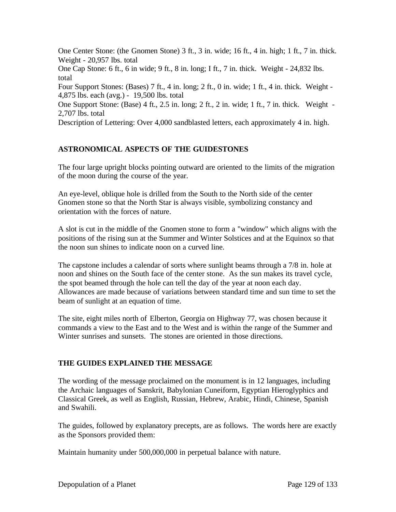One Center Stone: (the Gnomen Stone) 3 ft., 3 in. wide; 16 ft., 4 in. high; 1 ft., 7 in. thick. Weight - 20,957 lbs. total One Cap Stone: 6 ft., 6 in wide; 9 ft., 8 in. long; I ft., 7 in. thick. Weight - 24,832 lbs. total Four Support Stones: (Bases) 7 ft., 4 in. long; 2 ft., 0 in. wide; 1 ft., 4 in. thick. Weight - 4,875 lbs. each (avg.) - 19,500 lbs. total One Support Stone: (Base) 4 ft., 2.5 in. long; 2 ft., 2 in. wide; 1 ft., 7 in. thick. Weight - 2,707 lbs. total Description of Lettering: Over 4,000 sandblasted letters, each approximately 4 in. high.

## **ASTRONOMICAL ASPECTS OF THE GUIDESTONES**

The four large upright blocks pointing outward are oriented to the limits of the migration of the moon during the course of the year.

An eye-level, oblique hole is drilled from the South to the North side of the center Gnomen stone so that the North Star is always visible, symbolizing constancy and orientation with the forces of nature.

A slot is cut in the middle of the Gnomen stone to form a "window" which aligns with the positions of the rising sun at the Summer and Winter Solstices and at the Equinox so that the noon sun shines to indicate noon on a curved line.

The capstone includes a calendar of sorts where sunlight beams through a 7/8 in. hole at noon and shines on the South face of the center stone. As the sun makes its travel cycle, the spot beamed through the hole can tell the day of the year at noon each day. Allowances are made because of variations between standard time and sun time to set the beam of sunlight at an equation of time.

The site, eight miles north of Elberton, Georgia on Highway 77, was chosen because it commands a view to the East and to the West and is within the range of the Summer and Winter sunrises and sunsets. The stones are oriented in those directions.

## **THE GUIDES EXPLAINED THE MESSAGE**

The wording of the message proclaimed on the monument is in 12 languages, including the Archaic languages of Sanskrit, Babylonian Cuneiform, Egyptian Hieroglyphics and Classical Greek, as well as English, Russian, Hebrew, Arabic, Hindi, Chinese, Spanish and Swahili.

The guides, followed by explanatory precepts, are as follows. The words here are exactly as the Sponsors provided them:

Maintain humanity under 500,000,000 in perpetual balance with nature.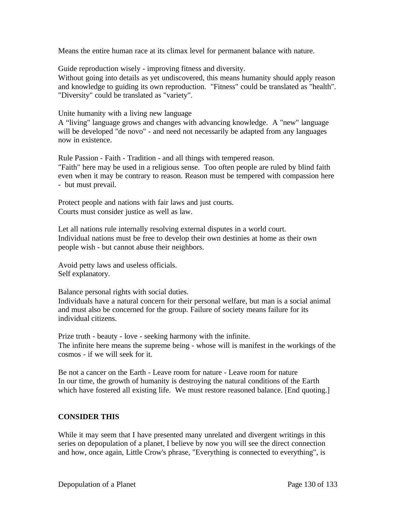Means the entire human race at its climax level for permanent balance with nature.

Guide reproduction wisely - improving fitness and diversity.

Without going into details as yet undiscovered, this means humanity should apply reason and knowledge to guiding its own reproduction. "Fitness" could be translated as "health". "Diversity" could be translated as "variety".

Unite humanity with a living new language

A "living" language grows and changes with advancing knowledge. A "new" language will be developed "de novo" - and need not necessarily be adapted from any languages now in existence.

Rule Passion - Faith - Tradition - and all things with tempered reason. "Faith" here may be used in a religious sense. Too often people are ruled by blind faith even when it may be contrary to reason. Reason must be tempered with compassion here - but must prevail.

Protect people and nations with fair laws and just courts. Courts must consider justice as well as law.

Let all nations rule internally resolving external disputes in a world court. Individual nations must be free to develop their own destinies at home as their own people wish - but cannot abuse their neighbors.

Avoid petty laws and useless officials. Self explanatory.

Balance personal rights with social duties.

Individuals have a natural concern for their personal welfare, but man is a social animal and must also be concerned for the group. Failure of society means failure for its individual citizens.

Prize truth - beauty - love - seeking harmony with the infinite. The infinite here means the supreme being - whose will is manifest in the workings of the cosmos - if we will seek for it.

Be not a cancer on the Earth - Leave room for nature - Leave room for nature In our time, the growth of humanity is destroying the natural conditions of the Earth which have fostered all existing life. We must restore reasoned balance. [End quoting.]

#### **CONSIDER THIS**

While it may seem that I have presented many unrelated and divergent writings in this series on depopulation of a planet, I believe by now you will see the direct connection and how, once again, Little Crow's phrase, "Everything is connected to everything", is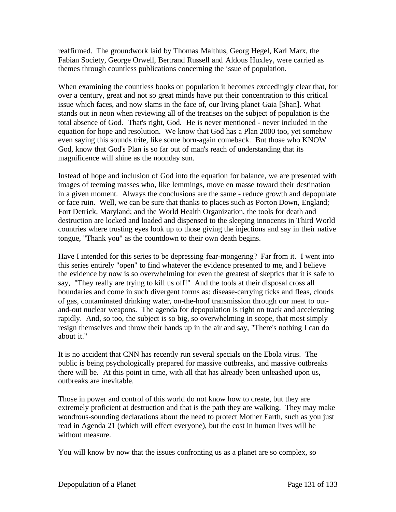reaffirmed. The groundwork laid by Thomas Malthus, Georg Hegel, Karl Marx, the Fabian Society, George Orwell, Bertrand Russell and Aldous Huxley, were carried as themes through countless publications concerning the issue of population.

When examining the countless books on population it becomes exceedingly clear that, for over a century, great and not so great minds have put their concentration to this critical issue which faces, and now slams in the face of, our living planet Gaia [Shan]. What stands out in neon when reviewing all of the treatises on the subject of population is the total absence of God. That's right, God. He is never mentioned - never included in the equation for hope and resolution. We know that God has a Plan 2000 too, yet somehow even saying this sounds trite, like some born-again comeback. But those who KNOW God, know that God's Plan is so far out of man's reach of understanding that its magnificence will shine as the noonday sun.

Instead of hope and inclusion of God into the equation for balance, we are presented with images of teeming masses who, like lemmings, move en masse toward their destination in a given moment. Always the conclusions are the same - reduce growth and depopulate or face ruin. Well, we can be sure that thanks to places such as Porton Down, England; Fort Detrick, Maryland; and the World Health Organization, the tools for death and destruction are locked and loaded and dispensed to the sleeping innocents in Third World countries where trusting eyes look up to those giving the injections and say in their native tongue, "Thank you" as the countdown to their own death begins.

Have I intended for this series to be depressing fear-mongering? Far from it. I went into this series entirely "open" to find whatever the evidence presented to me, and I believe the evidence by now is so overwhelming for even the greatest of skeptics that it is safe to say, "They really are trying to kill us off!" And the tools at their disposal cross all boundaries and come in such divergent forms as: disease-carrying ticks and fleas, clouds of gas, contaminated drinking water, on-the-hoof transmission through our meat to outand-out nuclear weapons. The agenda for depopulation is right on track and accelerating rapidly. And, so too, the subject is so big, so overwhelming in scope, that most simply resign themselves and throw their hands up in the air and say, "There's nothing I can do about it."

It is no accident that CNN has recently run several specials on the Ebola virus. The public is being psychologically prepared for massive outbreaks, and massive outbreaks there will be. At this point in time, with all that has already been unleashed upon us, outbreaks are inevitable.

Those in power and control of this world do not know how to create, but they are extremely proficient at destruction and that is the path they are walking. They may make wondrous-sounding declarations about the need to protect Mother Earth, such as you just read in Agenda 21 (which will effect everyone), but the cost in human lives will be without measure.

You will know by now that the issues confronting us as a planet are so complex, so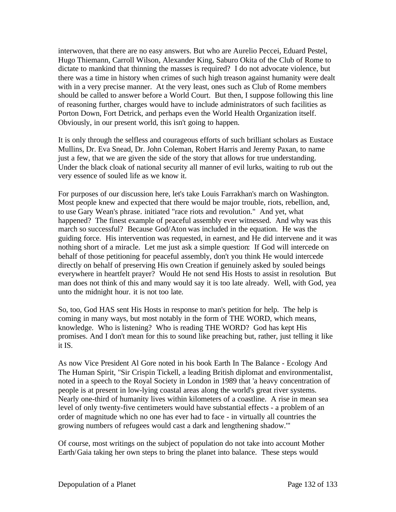interwoven, that there are no easy answers. But who are Aurelio Peccei, Eduard Pestel, Hugo Thiemann, Carroll Wilson, Alexander King, Saburo Okita of the Club of Rome to dictate to mankind that thinning the masses is required? I do not advocate violence, but there was a time in history when crimes of such high treason against humanity were dealt with in a very precise manner. At the very least, ones such as Club of Rome members should be called to answer before a World Court. But then, I suppose following this line of reasoning further, charges would have to include administrators of such facilities as Porton Down, Fort Detrick, and perhaps even the World Health Organization itself. Obviously, in our present world, this isn't going to happen.

It is only through the selfless and courageous efforts of such brilliant scholars as Eustace Mullins, Dr. Eva Snead, Dr. John Coleman, Robert Harris and Jeremy Paxan, to name just a few, that we are given the side of the story that allows for true understanding. Under the black cloak of national security all manner of evil lurks, waiting to rub out the very essence of souled life as we know it.

For purposes of our discussion here, let's take Louis Farrakhan's march on Washington. Most people knew and expected that there would be major trouble, riots, rebellion, and, to use Gary Wean's phrase. initiated "race riots and revolution." And yet, what happened? The finest example of peaceful assembly ever witnessed. And why was this march so successful? Because God/Aton was included in the equation. He was the guiding force. His intervention was requested, in earnest, and He did intervene and it was nothing short of a miracle. Let me just ask a simple question: If God will intercede on behalf of those petitioning for peaceful assembly, don't you think He would intercede directly on behalf of preserving His own Creation if genuinely asked by souled beings everywhere in heartfelt prayer? Would He not send His Hosts to assist in resolution. But man does not think of this and many would say it is too late already. Well, with God, yea unto the midnight hour. it is not too late.

So, too, God HAS sent His Hosts in response to man's petition for help. The help is coming in many ways, but most notably in the form of THE WORD, which means, knowledge. Who is listening? Who is reading THE WORD? God has kept His promises. And I don't mean for this to sound like preaching but, rather, just telling it like it IS.

As now Vice President Al Gore noted in his book Earth In The Balance - Ecology And The Human Spirit, "Sir Crispin Tickell, a leading British diplomat and environmentalist, noted in a speech to the Royal Society in London in 1989 that 'a heavy concentration of people is at present in low-lying coastal areas along the world's great river systems. Nearly one-third of humanity lives within kilometers of a coastline. A rise in mean sea level of only twenty-five centimeters would have substantial effects - a problem of an order of magnitude which no one has ever had to face - in virtually all countries the growing numbers of refugees would cast a dark and lengthening shadow.'"

Of course, most writings on the subject of population do not take into account Mother Earth/Gaia taking her own steps to bring the planet into balance. These steps would